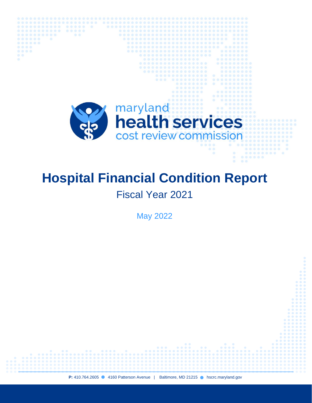

................

 $00000$ 

 $00000000$ 

# **Hospital Financial Condition Report**

## Fiscal Year 2021

May 2022

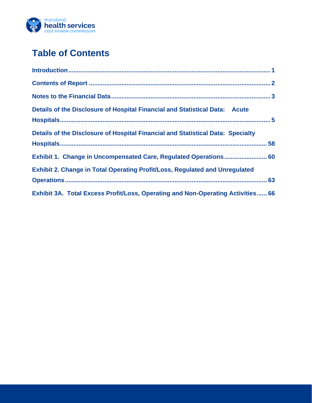

### **Table of Contents**

| Details of the Disclosure of Hospital Financial and Statistical Data: Acute        |  |
|------------------------------------------------------------------------------------|--|
| Details of the Disclosure of Hospital Financial and Statistical Data: Specialty    |  |
| Exhibit 1. Change in Uncompensated Care, Regulated Operations 60                   |  |
| <b>Exhibit 2. Change in Total Operating Profit/Loss, Regulated and Unregulated</b> |  |
| Exhibit 3A. Total Excess Profit/Loss, Operating and Non-Operating Activities 66    |  |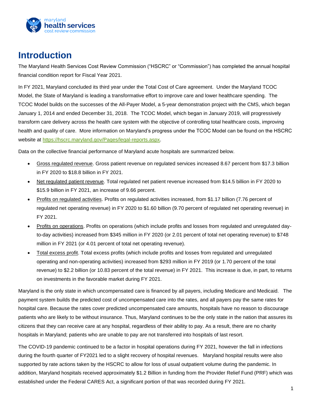

### <span id="page-2-0"></span>**Introduction**

The Maryland Health Services Cost Review Commission ("HSCRC" or "Commission") has completed the annual hospital financial condition report for Fiscal Year 2021.

In FY 2021, Maryland concluded its third year under the Total Cost of Care agreement. Under the Maryland TCOC Model, the State of Maryland is leading a transformative effort to improve care and lower healthcare spending. The TCOC Model builds on the successes of the All-Payer Model, a 5-year demonstration project with the CMS, which began January 1, 2014 and ended December 31, 2018. The TCOC Model, which began in January 2019, will progressively transform care delivery across the health care system with the objective of controlling total healthcare costs, improving health and quality of care. More information on Maryland's progress under the TCOC Model can be found on the HSCRC website at [https://hscrc.maryland.gov/Pages/legal-reports.aspx.](https://hscrc.maryland.gov/Pages/legal-reports.aspx)

Data on the collective financial performance of Maryland acute hospitals are summarized below.

- Gross regulated revenue. Gross patient revenue on regulated services increased 8.67 percent from \$17.3 billion in FY 2020 to \$18.8 billion in FY 2021.
- Net regulated patient revenue. Total regulated net patient revenue increased from \$14.5 billion in FY 2020 to \$15.9 billion in FY 2021, an increase of 9.66 percent.
- Profits on regulated activities. Profits on regulated activities increased, from \$1.17 billion (7.76 percent of regulated net operating revenue) in FY 2020 to \$1.60 billion (9.70 percent of regulated net operating revenue) in FY 2021.
- Profits on operations. Profits on operations (which include profits and losses from regulated and unregulated dayto-day activities) increased from \$345 million in FY 2020 (or 2.01 percent of total net operating revenue) to \$748 million in FY 2021 (or 4.01 percent of total net operating revenue).
- Total excess profit. Total excess profits (which include profits and losses from regulated and unregulated operating and non-operating activities) increased from \$293 million in FY 2019 (or 1.70 percent of the total revenue) to \$2.2 billion (or 10.83 percent of the total revenue) in FY 2021. This increase is due, in part, to returns on investments in the favorable market during FY 2021.

Maryland is the only state in which uncompensated care is financed by all payers, including Medicare and Medicaid. The payment system builds the predicted cost of uncompensated care into the rates, and all payers pay the same rates for hospital care. Because the rates cover predicted uncompensated care amounts, hospitals have no reason to discourage patients who are likely to be without insurance. Thus, Maryland continues to be the only state in the nation that assures its citizens that they can receive care at any hospital, regardless of their ability to pay. As a result, there are no charity hospitals in Maryland; patients who are unable to pay are not transferred into hospitals of last resort.

The COVID-19 pandemic continued to be a factor in hospital operations during FY 2021, however the fall in infections during the fourth quarter of FY2021 led to a slight recovery of hospital revenues. Maryland hospital results were also supported by rate actions taken by the HSCRC to allow for loss of usual outpatient volume during the pandemic. In addition, Maryland hospitals received approximately \$1.2 Billion in funding from the Provider Relief Fund (PRF) which was established under the Federal CARES Act, a significant portion of that was recorded during FY 2021.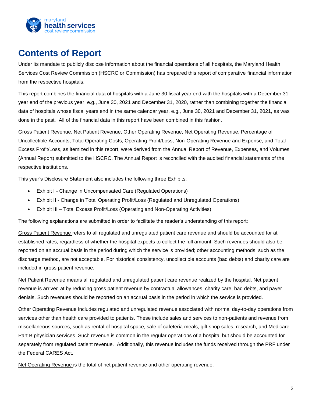

### <span id="page-3-0"></span>**Contents of Report**

Under its mandate to publicly disclose information about the financial operations of all hospitals, the Maryland Health Services Cost Review Commission (HSCRC or Commission) has prepared this report of comparative financial information from the respective hospitals.

This report combines the financial data of hospitals with a June 30 fiscal year end with the hospitals with a December 31 year end of the previous year, e.g., June 30, 2021 and December 31, 2020, rather than combining together the financial data of hospitals whose fiscal years end in the same calendar year, e.g., June 30, 2021 and December 31, 2021, as was done in the past. All of the financial data in this report have been combined in this fashion.

Gross Patient Revenue, Net Patient Revenue, Other Operating Revenue, Net Operating Revenue, Percentage of Uncollectible Accounts, Total Operating Costs, Operating Profit/Loss, Non-Operating Revenue and Expense, and Total Excess Profit/Loss, as itemized in this report, were derived from the Annual Report of Revenue, Expenses, and Volumes (Annual Report) submitted to the HSCRC. The Annual Report is reconciled with the audited financial statements of the respective institutions.

This year's Disclosure Statement also includes the following three Exhibits:

- Exhibit I Change in Uncompensated Care (Regulated Operations)
- Exhibit II Change in Total Operating Profit/Loss (Regulated and Unregulated Operations)
- Exhibit III Total Excess Profit/Loss (Operating and Non-Operating Activities)

The following explanations are submitted in order to facilitate the reader's understanding of this report:

Gross Patient Revenue refers to all regulated and unregulated patient care revenue and should be accounted for at established rates, regardless of whether the hospital expects to collect the full amount. Such revenues should also be reported on an accrual basis in the period during which the service is provided; other accounting methods, such as the discharge method, are not acceptable. For historical consistency, uncollectible accounts (bad debts) and charity care are included in gross patient revenue.

Net Patient Revenue means all regulated and unregulated patient care revenue realized by the hospital. Net patient revenue is arrived at by reducing gross patient revenue by contractual allowances, charity care, bad debts, and payer denials. Such revenues should be reported on an accrual basis in the period in which the service is provided.

Other Operating Revenue includes regulated and unregulated revenue associated with normal day-to-day operations from services other than health care provided to patients. These include sales and services to non-patients and revenue from miscellaneous sources, such as rental of hospital space, sale of cafeteria meals, gift shop sales, research, and Medicare Part B physician services. Such revenue is common in the regular operations of a hospital but should be accounted for separately from regulated patient revenue. Additionally, this revenue includes the funds received through the PRF under the Federal CARES Act.

Net Operating Revenue is the total of net patient revenue and other operating revenue.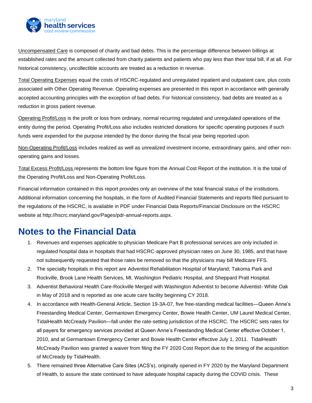

Uncompensated Care is composed of charity and bad debts. This is the percentage difference between billings at established rates and the amount collected from charity patients and patients who pay less than their total bill, if at all. For historical consistency, uncollectible accounts are treated as a reduction in revenue.

Total Operating Expenses equal the costs of HSCRC-regulated and unregulated inpatient and outpatient care, plus costs associated with Other Operating Revenue. Operating expenses are presented in this report in accordance with generally accepted accounting principles with the exception of bad debts. For historical consistency, bad debts are treated as a reduction in gross patient revenue.

Operating Profit/Loss is the profit or loss from ordinary, normal recurring regulated and unregulated operations of the entity during the period. Operating Profit/Loss also includes restricted donations for specific operating purposes if such funds were expended for the purpose intended by the donor during the fiscal year being reported upon.

Non-Operating Profit/Loss includes realized as well as unrealized investment income, extraordinary gains, and other nonoperating gains and losses.

Total Excess Profit/Loss represents the bottom line figure from the Annual Cost Report of the institution. It is the total of the Operating Profit/Loss and Non-Operating Profit/Loss.

Financial information contained in this report provides only an overview of the total financial status of the institutions. Additional information concerning the hospitals, in the form of Audited Financial Statements and reports filed pursuant to the regulations of the HSCRC, is available in PDF under Financial Data Reports/Financial Disclosure on the HSCRC website at http://hscrc.maryland.gov/Pages/pdr-annual-reports.aspx.

### <span id="page-4-0"></span>**Notes to the Financial Data**

- 1. Revenues and expenses applicable to physician Medicare Part B professional services are only included in regulated hospital data in hospitals that had HSCRC-approved physician rates on June 30, 1985, and that have not subsequently requested that those rates be removed so that the physicians may bill Medicare FFS.
- 2. The specialty hospitals in this report are Adventist Rehabilitation Hospital of Maryland; Takoma Park and Rockville, Brook Lane Health Services, Mt. Washington Pediatric Hospital, and Sheppard Pratt Hospital.
- 3. Adventist Behavioral Health Care-Rockville Merged with Washington Adventist to become Adventist- White Oak in May of 2018 and is reported as one acute care facility beginning CY 2018.
- 4. In accordance with Health-General Article, Section 19-3A-07, five free-standing medical facilities—Queen Anne's Freestanding Medical Center, Germantown Emergency Center, Bowie Health Center, UM Laurel Medical Center, TidalHealth McCready Pavilion—fall under the rate-setting jurisdiction of the HSCRC. The HSCRC sets rates for all payers for emergency services provided at Queen Anne's Freestanding Medical Center effective October 1, 2010, and at Germantown Emergency Center and Bowie Health Center effective July 1, 2011. TidalHealth McCready Pavilion was granted a waiver from filing the FY 2020 Cost Report due to the timing of the acquisition of McCready by TidalHealth.
- 5. There remained three Alternative Care Sites (ACS's), originally opened in FY 2020 by the Maryland Department of Health, to assure the state continued to have adequate hospital capacity during the COVID crisis. These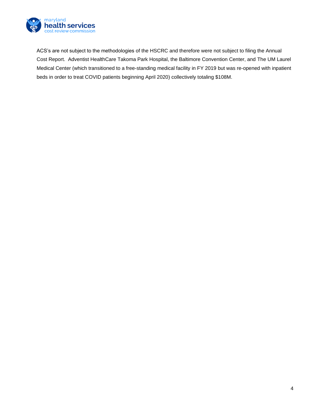

ACS's are not subject to the methodologies of the HSCRC and therefore were not subject to filing the Annual Cost Report. Adventist HealthCare Takoma Park Hospital, the Baltimore Convention Center, and The UM Laurel Medical Center (which transitioned to a free-standing medical facility in FY 2019 but was re-opened with inpatient beds in order to treat COVID patients beginning April 2020) collectively totaling \$108M.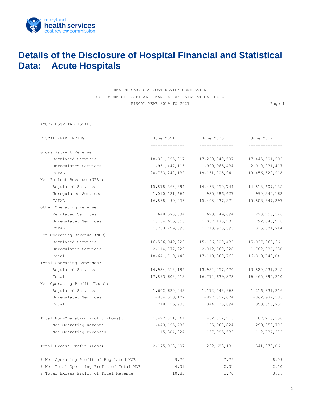

### <span id="page-6-0"></span>**Details of the Disclosure of Hospital Financial and Statistical Data: Acute Hospitals**

HEALTH SERVICES COST REVIEW COMMISSION DISCLOSURE OF HOSPITAL FINANCIAL AND STATISTICAL DATA FISCAL YEAR 2019 TO 2021 CHAR CHARGE 1

=======================================================================================================

ACUTE HOSPITAL TOTALS

| FISCAL YEAR ENDING                        | June 2021         | June 2020         | June 2019         |
|-------------------------------------------|-------------------|-------------------|-------------------|
|                                           | -------------     | -------------     |                   |
| Gross Patient Revenue:                    |                   |                   |                   |
| Requlated Services                        | 18,821,795,017    | 17,260,040,507    | 17, 445, 591, 502 |
| Unregulated Services                      | 1,961,447,115     | 1,900,965,434     | 2,010,931,417     |
| TOTAL                                     | 20,783,242,132    | 19,161,005,941    | 19, 456, 522, 918 |
| Net Patient Revenue (NPR):                |                   |                   |                   |
| Regulated Services                        | 15,878,368,394    | 14,483,050,744    | 14,813,607,135    |
| Unregulated Services                      | 1,010,121,664     | 925, 386, 627     | 990, 340, 162     |
| TOTAL                                     | 16,888,490,058    | 15, 408, 437, 371 | 15,803,947,297    |
| Other Operating Revenue:                  |                   |                   |                   |
| Requlated Services                        | 648, 573, 834     | 623,749,694       | 223, 755, 526     |
| Unregulated Services                      | 1,104,655,556     | 1,087,173,701     | 792,046,218       |
| TOTAL                                     | 1,753,229,390     | 1,710,923,395     | 1,015,801,744     |
| Net Operating Revenue (NOR)               |                   |                   |                   |
| Regulated Services                        | 16,526,942,229    | 15,106,800,439    | 15,037,362,661    |
| Unregulated Services                      | 2, 114, 777, 220  | 2,012,560,328     | 1,782,386,380     |
| Total                                     | 18,641,719,449    | 17, 119, 360, 766 | 16,819,749,041    |
| Total Operating Expenses:                 |                   |                   |                   |
| Regulated Services                        | 14, 924, 312, 186 | 13,934,257,470    | 13,820,531,345    |
| Total                                     | 17,893,602,513    | 16,774,639,872    | 16, 465, 895, 310 |
| Net Operating Profit (Loss):              |                   |                   |                   |
| Regulated Services                        | 1,602,630,043     | 1, 172, 542, 968  | 1,216,831,316     |
| Unregulated Services                      | $-854, 513, 107$  | $-827,822,074$    | $-862, 977, 586$  |
| Total                                     | 748,116,936       | 344,720,894       | 353,853,731       |
| Total Non-Operating Profit (Loss):        | 1, 427, 811, 761  | $-52,032,713$     | 187, 216, 330     |
| Non-Operating Revenue                     | 1, 443, 195, 785  | 105,962,824       | 299,950,703       |
| Non-Operating Expenses                    | 15,384,024        | 157,995,536       | 112,734,373       |
| Total Excess Profit (Loss):               | 2,175,928,697     | 292,688,181       | 541,070,061       |
| % Net Operating Profit of Regulated NOR   | 9.70              | 7.76              | 8.09              |
| % Net Total Operating Profit of Total NOR | 4.01              | 2.01              | 2.10              |
| % Total Excess Profit of Total Revenue    | 10.83             | 1.70              | 3.16              |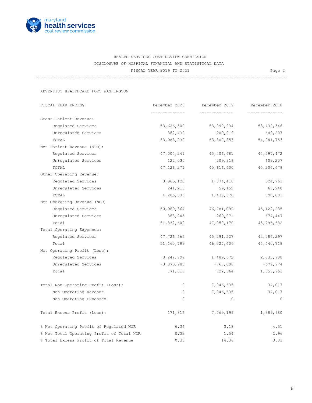

=======================================================================================================

ADVENTIST HEALTHCARE FORT WASHINGTON

| FISCAL YEAR ENDING                      |                                           | December 2020 | December 2019  | December 2018  |
|-----------------------------------------|-------------------------------------------|---------------|----------------|----------------|
|                                         |                                           | ------------  | -------------- | -------------- |
| Gross Patient Revenue:                  |                                           |               |                |                |
| Regulated Services                      |                                           | 53,626,500    | 53,090,934     | 53, 432, 546   |
| Unregulated Services                    |                                           | 362,430       | 209,919        | 609,207        |
| TOTAL                                   |                                           | 53,988,930    | 53,300,853     | 54,041,753     |
| Net Patient Revenue (NPR):              |                                           |               |                |                |
| Regulated Services                      |                                           | 47,004,241    | 45,406,681     | 44,597,472     |
| Unregulated Services                    |                                           | 122,030       | 209,919        | 609,207        |
| TOTAL                                   |                                           | 47, 126, 271  | 45,616,600     | 45,206,679     |
| Other Operating Revenue:                |                                           |               |                |                |
| Regulated Services                      |                                           | 3,965,123     | 1,374,418      | 524,763        |
| Unregulated Services                    |                                           | 241,215       | 59,152         | 65,240         |
| TOTAL                                   |                                           | 4,206,338     | 1,433,570      | 590,003        |
| Net Operating Revenue (NOR)             |                                           |               |                |                |
| Regulated Services                      |                                           | 50,969,364    | 46,781,099     | 45, 122, 235   |
| Unregulated Services                    |                                           | 363,245       | 269,071        | 674,447        |
| Total                                   |                                           | 51,332,609    | 47,050,170     | 45,796,682     |
| Total Operating Expenses:               |                                           |               |                |                |
| Requlated Services                      |                                           | 47,726,565    | 45,291,527     | 43,086,297     |
| Total                                   |                                           | 51,160,793    | 46,327,606     | 44,440,719     |
| Net Operating Profit (Loss):            |                                           |               |                |                |
| Regulated Services                      |                                           | 3,242,799     | 1,489,572      | 2,035,938      |
| Unregulated Services                    |                                           | $-3,070,983$  | $-767,008$     | $-679,974$     |
| Total                                   |                                           | 171,816       | 722,564        | 1,355,963      |
| Total Non-Operating Profit (Loss):      |                                           | 0             | 7,046,635      | 34,017         |
| Non-Operating Revenue                   |                                           | $\circ$       | 7,046,635      | 34,017         |
| Non-Operating Expenses                  |                                           | $\circ$       | $\circ$        | $\overline{0}$ |
| Total Excess Profit (Loss):             |                                           | 171,816       | 7,769,199      | 1,389,980      |
| % Net Operating Profit of Regulated NOR |                                           | 6.36          | 3.18           | 4.51           |
|                                         | % Net Total Operating Profit of Total NOR | 0.33          | 1.54           | 2.96           |
| % Total Excess Profit of Total Revenue  |                                           | 0.33          | 14.36          | 3.03           |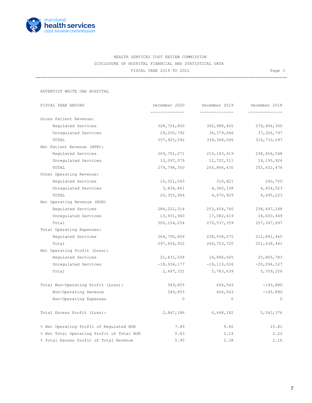

=======================================================================================================

ADVENTIST WHITE OAK HOSPITAL

| FISCAL YEAR ENDING                        | December 2020 | December 2019   | December 2018 |
|-------------------------------------------|---------------|-----------------|---------------|
|                                           | ------------  | --------------  | ------------  |
| Gross Patient Revenue:                    |               |                 |               |
| Regulated Services                        | 328,724,800   | 302,988,400     | 279,406,300   |
| Unregulated Services                      | 29,200,792    | 36,379,666      | 37,326,797    |
| TOTAL                                     | 357,925,592   | 339,368,066     | 316,733,097   |
| Net Patient Revenue (NPR):                |               |                 |               |
| Requlated Services                        | 269,701,271   | 253,143,919     | 238, 456, 548 |
| Unregulated Services                      | 10,097,079    | 12,722,511      | 14,195,926    |
| TOTAL                                     | 279,798,350   | 265,866,430     | 252,652,474   |
| Other Operating Revenue:                  |               |                 |               |
| Regulated Services                        | 16,521,043    | 310,821         | 240,700       |
| Unregulated Services                      | 3,834,861     | 4,360,108       | 4,454,523     |
| TOTAL                                     | 20,355,904    | 4,670,929       | 4,695,223     |
| Net Operating Revenue (NOR)               |               |                 |               |
| Regulated Services                        | 286, 222, 314 | 253, 454, 740   | 238,697,248   |
| Unregulated Services                      | 13,931,940    | 17,082,619      | 18,650,449    |
| Total                                     | 300,154,254   | 270,537,359     | 257, 347, 697 |
| Total Operating Expenses:                 |               |                 |               |
| Regulated Services                        | 264,790,806   | 228,558,075     | 212,891,465   |
| Total                                     | 297,656,922   | 264,753,720     | 251,638,441   |
| Net Operating Profit (Loss):              |               |                 |               |
| Regulated Services                        | 21,431,508    | 24,896,665      | 25,805,783    |
| Unregulated Services                      | $-18,934,177$ | $-19, 113, 026$ | $-20,096,527$ |
| Total                                     | 2,497,331     | 5,783,639       | 5,709,256     |
| Total Non-Operating Profit (Loss):        | 349,855       | 664,543         | $-145,880$    |
| Non-Operating Revenue                     | 349,855       | 664,543         | $-145,880$    |
| Non-Operating Expenses                    | $\circ$       | $\circ$         | $\circ$       |
| Total Excess Profit (Loss):               | 2,847,186     | 6,448,182       | 5,563,376     |
| % Net Operating Profit of Regulated NOR   | 7.49          | 9.82            | 10.81         |
| % Net Total Operating Profit of Total NOR | 0.83          | 2.14            | 2.22          |
| % Total Excess Profit of Total Revenue    | 0.95          | 2.38            | 2.16          |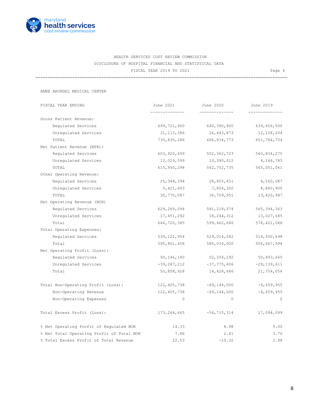

=======================================================================================================

ANNE ARUNDEL MEDICAL CENTER

| FISCAL YEAR ENDING                        | June 2021     | June 2020       | June 2019       |
|-------------------------------------------|---------------|-----------------|-----------------|
|                                           |               |                 |                 |
| Gross Patient Revenue:                    |               |                 |                 |
| Regulated Services                        | 699,721,900   | 640,390,900     | 639,656,500     |
| Unregulated Services                      | 31, 113, 386  | 26,443,873      | 12, 128, 204    |
| TOTAL                                     | 730,835,286   | 666,834,773     | 651,784,704     |
| Net Patient Revenue (NPR):                |               |                 |                 |
| Requlated Services                        | 603,920,699   | 552,362,723     | 560,834,275     |
| Unregulated Services                      | 12,029,599    | 10,390,012      | 4,166,785       |
| TOTAL                                     | 615,950,298   | 562, 752, 735   | 565,001,061     |
| Other Operating Revenue:                  |               |                 |                 |
| Regulated Services                        | 25, 348, 394  | 28,855,651      | 4,560,087       |
| Unregulated Services                      | 5,421,693     | 7,854,300       | 8,860,900       |
| TOTAL                                     | 30,770,087    | 36,709,951      | 13,420,987      |
| Net Operating Revenue (NOR)               |               |                 |                 |
| Regulated Services                        | 629,269,094   | 581, 218, 374   | 565, 394, 363   |
| Unregulated Services                      | 17,451,292    | 18,244,312      | 13,027,685      |
| Total                                     | 646,720,385   | 599,462,686     | 578, 422, 048   |
| Total Operating Expenses:                 |               |                 |                 |
| Requlated Services                        | 539, 122, 954 | 529,014,082     | 514,500,698     |
| Total                                     | 595,861,458   | 585,034,000     | 556,667,994     |
| Net Operating Profit (Loss):              |               |                 |                 |
| Regulated Services                        | 90,146,140    | 52,204,292      | 50,893,665      |
| Unregulated Services                      | $-39,287,212$ | $-37,775,606$   | $-29, 139, 611$ |
| Total                                     | 50,858,928    | 14,428,686      | 21,754,054      |
| Total Non-Operating Profit (Loss):        | 122,405,738   | $-69,144,000$   | $-4,659,955$    |
| Non-Operating Revenue                     | 122,405,738   | $-69, 144, 000$ | $-4,659,955$    |
| Non-Operating Expenses                    | $\Omega$      | $\Omega$        | $\Omega$        |
| Total Excess Profit (Loss):               | 173,264,665   | $-54,715,314$   | 17,094,099      |
| % Net Operating Profit of Regulated NOR   | 14.33         | 8.98            | 9.00            |
| % Net Total Operating Profit of Total NOR | 7.86          | 2.41            | 3.76            |
| % Total Excess Profit of Total Revenue    | 22.53         | $-10.32$        | 2.98            |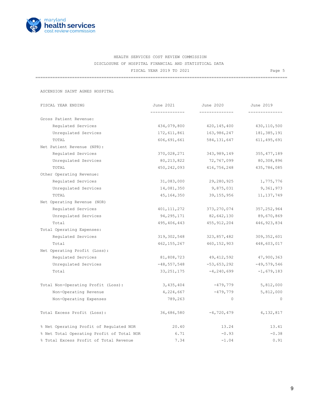

=======================================================================================================

ASCENSION SAINT AGNES HOSPITAL

| FISCAL YEAR ENDING                        | June 2021     | June 2020     | June 2019     |
|-------------------------------------------|---------------|---------------|---------------|
|                                           |               |               |               |
| Gross Patient Revenue:                    |               |               |               |
| Regulated Services                        | 434,079,800   | 420,145,400   | 430, 110, 500 |
| Unregulated Services                      | 172,611,861   | 163,986,247   | 181, 385, 191 |
| TOTAL                                     | 606,691,661   | 584, 131, 647 | 611, 495, 691 |
| Net Patient Revenue (NPR):                |               |               |               |
| Regulated Services                        | 370,028,271   | 343,989,149   | 355, 477, 189 |
| Unregulated Services                      | 80, 213, 822  | 72,767,099    | 80,308,896    |
| TOTAL                                     | 450,242,093   | 416,756,248   | 435,786,085   |
| Other Operating Revenue:                  |               |               |               |
| Regulated Services                        | 31,083,000    | 29,280,925    | 1,775,776     |
| Unregulated Services                      | 14,081,350    | 9,875,031     | 9,361,973     |
| TOTAL                                     | 45,164,350    | 39,155,956    | 11, 137, 749  |
| Net Operating Revenue (NOR)               |               |               |               |
| Regulated Services                        | 401, 111, 272 | 373,270,074   | 357, 252, 964 |
| Unregulated Services                      | 94,295,171    | 82,642,130    | 89,670,869    |
| Total                                     | 495,406,443   | 455, 912, 204 | 446, 923, 834 |
| Total Operating Expenses:                 |               |               |               |
| Regulated Services                        | 319,302,548   | 323,857,482   | 309, 352, 601 |
| Total                                     | 462, 155, 267 | 460,152,903   | 448,603,017   |
| Net Operating Profit (Loss):              |               |               |               |
| Regulated Services                        | 81,808,723    | 49,412,592    | 47,900,363    |
| Unregulated Services                      | $-48,557,548$ | $-53,653,292$ | $-49,579,546$ |
| Total                                     | 33, 251, 175  | $-4,240,699$  | $-1,679,183$  |
| Total Non-Operating Profit (Loss):        | 3,435,404     | -479,779      | 5,812,000     |
| Non-Operating Revenue                     | 4,224,667     | $-479,779$    | 5,812,000     |
| Non-Operating Expenses                    | 789,263       | $\circ$       | $\circ$       |
| Total Excess Profit (Loss):               | 36,686,580    | $-4,720,479$  | 4, 132, 817   |
| % Net Operating Profit of Regulated NOR   | 20.40         | 13.24         | 13.41         |
| % Net Total Operating Profit of Total NOR | 6.71          | $-0.93$       | $-0.38$       |
| % Total Excess Profit of Total Revenue    | 7.34          | $-1.04$       | 0.91          |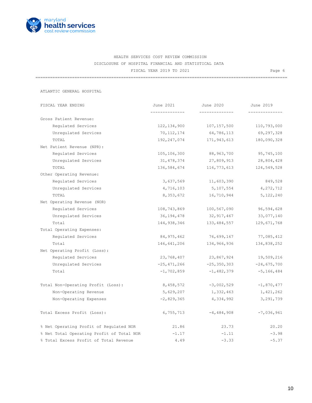

=======================================================================================================

ATLANTIC GENERAL HOSPITAL

| FISCAL YEAR ENDING                        | June 2021      | June 2020                   | June 2019      |
|-------------------------------------------|----------------|-----------------------------|----------------|
|                                           | ______________ | --------------              | -------------- |
| Gross Patient Revenue:                    |                |                             |                |
| Requlated Services                        | 122, 134, 900  | 107, 157, 500               | 110,793,000    |
| Unregulated Services                      | 70, 112, 174   | 64,786,113                  | 69,297,328     |
| TOTAL                                     | 192,247,074    | 171,943,613                 | 180,090,328    |
| Net Patient Revenue (NPR):                |                |                             |                |
| Regulated Services                        | 105,106,300    | 88,963,700                  | 95,745,100     |
| Unregulated Services                      | 31,478,374     | 27,809,913                  | 28,804,428     |
| TOTAL                                     | 136,584,674    | 116,773,613                 | 124,549,528    |
| Other Operating Revenue:                  |                |                             |                |
| Regulated Services                        | 3,637,569      | 11,603,390                  | 849,528        |
| Unregulated Services                      | 4,716,103      | 5,107,554                   | 4,272,712      |
| TOTAL                                     | 8,353,672      | 16,710,944                  | 5, 122, 240    |
| Net Operating Revenue (NOR)               |                |                             |                |
| Regulated Services                        | 108,743,869    | 100,567,090                 | 96,594,628     |
| Unregulated Services                      | 36, 194, 478   | 32, 917, 467                | 33,077,140     |
| Total                                     | 144,938,346    | 133, 484, 557               | 129,671,768    |
| Total Operating Expenses:                 |                |                             |                |
| Regulated Services                        | 84,975,462     | 76,699,167                  | 77,085,412     |
| Total                                     | 146,641,206    | 134,966,936                 | 134,838,252    |
| Net Operating Profit (Loss):              |                |                             |                |
| Regulated Services                        | 23,768,407     | 23,867,924                  | 19,509,216     |
| Unregulated Services                      |                | $-25,471,266$ $-25,350,303$ | $-24,675,700$  |
| Total                                     | $-1,702,859$   | $-1,482,379$                | $-5, 166, 484$ |
| Total Non-Operating Profit (Loss):        | 8,458,572      | $-3,002,529$                | $-1,870,477$   |
| Non-Operating Revenue                     | 5,629,207      | 1,332,463                   | 1,421,262      |
| Non-Operating Expenses                    | $-2,829,365$   | 4,334,992                   | 3, 291, 739    |
| Total Excess Profit (Loss):               | 6,755,713      | $-4,484,908$                | $-7,036,961$   |
| % Net Operating Profit of Regulated NOR   | 21.86          | 23.73                       | 20.20          |
| % Net Total Operating Profit of Total NOR | $-1.17$        | $-1.11$                     | $-3.98$        |
| % Total Excess Profit of Total Revenue    | 4.49           | $-3.33$                     | $-5.37$        |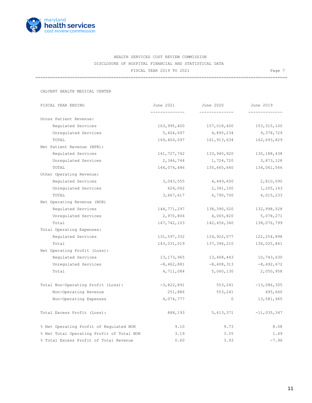

=======================================================================================================

CALVERT HEALTH MEDICAL CENTER

| FISCAL YEAR ENDING                        | June 2021      | June 2020      | June 2019     |
|-------------------------------------------|----------------|----------------|---------------|
|                                           | -------------- | ______________ | ------------  |
| Gross Patient Revenue:                    |                |                |               |
| Requlated Services                        | 163,995,400    | 157,018,400    | 153, 315, 100 |
| Unregulated Services                      | 5,404,697      | 4,895,234      | 9,378,729     |
| TOTAL                                     | 169,400,097    | 161, 913, 634  | 162,693,829   |
| Net Patient Revenue (NPR):                |                |                |               |
| Regulated Services                        | 141,727,742    | 133,940,920    | 130, 188, 438 |
| Unregulated Services                      | 2,346,744      | 1,724,720      | 3,873,128     |
| TOTAL                                     | 144,074,486    | 135,665,640    | 134,061,566   |
| Other Operating Revenue:                  |                |                |               |
| Regulated Services                        | 3,043,555      | 4,449,600      | 2,810,090     |
| Unregulated Services                      | 624,062        | 2,341,100      | 1,205,143     |
| TOTAL                                     | 3,667,617      | 6,790,700      | 4,015,233     |
| Net Operating Revenue (NOR)               |                |                |               |
| Regulated Services                        | 144,771,297    | 138,390,520    | 132,998,528   |
| Unregulated Services                      | 2,970,806      | 4,065,820      | 5,078,271     |
| Total                                     | 147,742,103    | 142,456,340    | 138,076,799   |
| Total Operating Expenses:                 |                |                |               |
| Regulated Services                        | 131,597,332    | 124,922,077    | 122, 254, 898 |
| Total                                     | 143,031,019    | 137,396,210    | 136,025,841   |
| Net Operating Profit (Loss):              |                |                |               |
| Regulated Services                        | 13, 173, 965   | 13,468,443     | 10,743,630    |
| Unregulated Services                      | $-8,462,881$   | $-8,408,313$   | $-8,692,672$  |
| Total                                     | 4,711,084      | 5,060,130      | 2,050,958     |
| Total Non-Operating Profit (Loss):        | $-3,822,891$   | 553,241        | $-13,086,305$ |
| Non-Operating Revenue                     | 251,886        | 553,241        | 495,660       |
| Non-Operating Expenses                    | 4,074,777      | $\circ$        | 13,581,965    |
| Total Excess Profit (Loss):               | 888,193        | 5,613,371      | $-11,035,347$ |
| % Net Operating Profit of Regulated NOR   | 9.10           | 9.73           | 8.08          |
| % Net Total Operating Profit of Total NOR | 3.19           | 3.55           | 1.49          |
| % Total Excess Profit of Total Revenue    | 0.60           | 3.93           | $-7.96$       |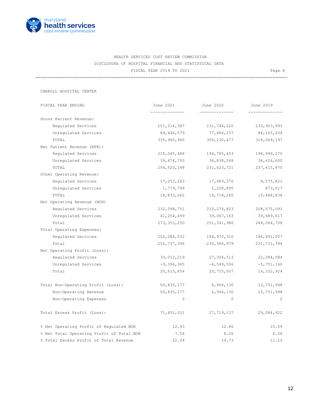

=======================================================================================================

CARROLL HOSPITAL CENTER

| FISCAL YEAR ENDING                        | June 2021    | June 2020     | June 2019     |
|-------------------------------------------|--------------|---------------|---------------|
| Gross Patient Revenue:                    | ------------ |               |               |
| Regulated Services                        | 251,514,387  | 231,744,220   | 233,903,993   |
| Unregulated Services                      | 84,446,579   | 77,486,257    | 84,165,204    |
| TOTAL                                     | 335,960,966  | 309, 230, 477 | 318,069,197   |
| Net Patient Revenue (NPR):                |              |               |               |
| Regulated Services                        | 215,045,488  | 194,785,453   | 198,999,270   |
| Unregulated Services                      | 39, 474, 700 | 36,838,268    | 38,616,600    |
| TOTAL                                     | 254,520,188  | 231,623,721   | 237,615,870   |
| Other Operating Revenue:                  |              |               |               |
| Regulated Services                        | 17,053,263   | 17,489,370    | 9,575,821     |
| Unregulated Services                      | 1,779,799    | 2,228,895     | 873,017       |
| TOTAL                                     | 18,833,062   | 19,718,265    | 10,448,838    |
| Net Operating Revenue (NOR)               |              |               |               |
| Requlated Services                        | 232,098,751  | 212, 274, 823 | 208,575,091   |
| Unregulated Services                      | 41,254,499   | 39,067,163    | 39,489,617    |
| Total                                     | 273,353,250  | 251,341,986   | 248,064,708   |
| Total Operating Expenses:                 |              |               |               |
| Regulated Services                        | 202,086,532  | 184,970,310   | 186,491,007   |
| Total                                     | 252,737,396  | 230,586,979   | 231, 731, 784 |
| Net Operating Profit (Loss):              |              |               |               |
| Regulated Services                        | 30,012,219   | 27,304,513    | 22,084,084    |
| Unregulated Services                      | $-9,396,365$ | $-6,549,506$  | $-5,751,160$  |
| Total                                     | 20,615,854   | 20,755,007    | 16,332,924    |
| Total Non-Operating Profit (Loss):        | 50,835,177   | 6,964,130     | 12,751,998    |
| Non-Operating Revenue                     | 50,835,177   | 6,964,130     | 12,751,998    |
| Non-Operating Expenses                    | $\Omega$     | $\Omega$      | $\Omega$      |
| Total Excess Profit (Loss):               | 71,451,031   | 27,719,137    | 29,084,922    |
| % Net Operating Profit of Regulated NOR   | 12.93        | 12.86         | 10.59         |
| % Net Total Operating Profit of Total NOR | 7.54         | 8.26          | 6.58          |
| % Total Excess Profit of Total Revenue    | 22.04        | 10.73         | 11.15         |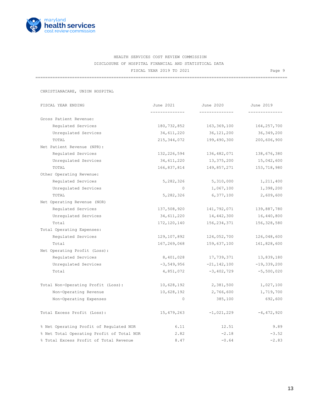

=======================================================================================================

CHRISTIANACARE, UNION HOSPITAL

| FISCAL YEAR ENDING                        | June 2021     | June 2020       | June 2019     |
|-------------------------------------------|---------------|-----------------|---------------|
|                                           |               | --------------  |               |
| Gross Patient Revenue:                    |               |                 |               |
| Requlated Services                        | 180,732,852   | 163,369,100     | 164, 257, 700 |
| Unregulated Services                      | 34,611,220    | 36,121,200      | 36, 349, 200  |
| TOTAL                                     | 215, 344, 072 | 199,490,300     | 200,606,900   |
| Net Patient Revenue (NPR):                |               |                 |               |
| Regulated Services                        | 132,226,594   | 136,482,071     | 138,676,380   |
| Unregulated Services                      | 34,611,220    | 13,375,200      | 15,042,600    |
| TOTAL                                     | 166,837,814   | 149,857,271     | 153,718,980   |
| Other Operating Revenue:                  |               |                 |               |
| Regulated Services                        | 5,282,326     | 5,310,000       | 1,211,400     |
| Unregulated Services                      | $\Omega$      | 1,067,100       | 1,398,200     |
| TOTAL                                     | 5,282,326     | 6,377,100       | 2,609,600     |
| Net Operating Revenue (NOR)               |               |                 |               |
| Regulated Services                        | 137,508,920   | 141,792,071     | 139,887,780   |
| Unregulated Services                      | 34,611,220    | 14,442,300      | 16,440,800    |
| Total                                     | 172,120,140   | 156,234,371     | 156,328,580   |
| Total Operating Expenses:                 |               |                 |               |
| Regulated Services                        | 129,107,892   | 124,052,700     | 126,048,600   |
| Total                                     | 167,269,068   | 159,637,100     | 161,828,600   |
| Net Operating Profit (Loss):              |               |                 |               |
| Regulated Services                        | 8,401,028     | 17,739,371      | 13,839,180    |
| Unregulated Services                      | $-3,549,956$  | $-21, 142, 100$ | $-19,339,200$ |
| Total                                     | 4,851,072     | $-3,402,729$    | $-5,500,020$  |
| Total Non-Operating Profit (Loss):        | 10,628,192    | 2,381,500       | 1,027,100     |
| Non-Operating Revenue                     | 10,628,192    | 2,766,600       | 1,719,700     |
| Non-Operating Expenses                    | $\circ$       | 385,100         | 692,600       |
| Total Excess Profit (Loss):               | 15,479,263    | $-1,021,229$    | $-4,472,920$  |
| % Net Operating Profit of Regulated NOR   | 6.11          | 12.51           | 9.89          |
| % Net Total Operating Profit of Total NOR | 2.82          | $-2.18$         | $-3.52$       |
| % Total Excess Profit of Total Revenue    | 8.47          | $-0.64$         | $-2.83$       |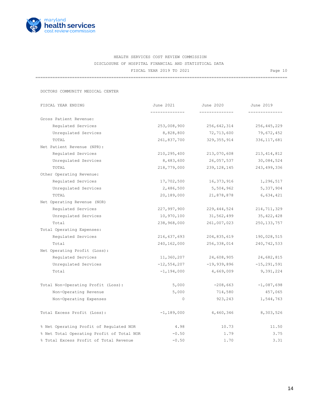

=======================================================================================================

DOCTORS COMMUNITY MEDICAL CENTER

| FISCAL YEAR ENDING                        | June 2021       | June 2020      | June 2019       |
|-------------------------------------------|-----------------|----------------|-----------------|
| Gross Patient Revenue:                    | ______________  | -------------- | _____________   |
| Regulated Services                        | 253,008,900     | 256,642,314    | 256,445,229     |
| Unregulated Services                      | 8,828,800       | 72,713,600     | 79,672,452      |
| TOTAL                                     | 261,837,700     | 329, 355, 914  | 336, 117, 681   |
| Net Patient Revenue (NPR):                |                 |                |                 |
| Regulated Services                        | 210, 295, 400   | 213,070,608    | 213, 414, 812   |
| Unregulated Services                      | 8,483,600       | 26,057,537     | 30,084,524      |
| TOTAL                                     | 218,779,000     | 239, 128, 145  | 243, 499, 336   |
| Other Operating Revenue:                  |                 |                |                 |
| Regulated Services                        | 17,702,500      | 16,373,916     | 1,296,517       |
| Unregulated Services                      | 2,486,500       | 5,504,962      | 5,337,904       |
| TOTAL                                     | 20,189,000      | 21,878,878     | 6,634,421       |
| Net Operating Revenue (NOR)               |                 |                |                 |
| Regulated Services                        | 227,997,900     | 229, 444, 524  | 214,711,329     |
| Unregulated Services                      | 10,970,100      | 31,562,499     | 35, 422, 428    |
| Total                                     | 238,968,000     | 261,007,023    | 250, 133, 757   |
| Total Operating Expenses:                 |                 |                |                 |
| Requlated Services                        | 216,637,693     | 204,835,619    | 190,028,515     |
| Total                                     | 240,162,000     | 256,338,014    | 240,742,533     |
| Net Operating Profit (Loss):              |                 |                |                 |
| Regulated Services                        | 11,360,207      | 24,608,905     | 24,682,815      |
| Unregulated Services                      | $-12, 554, 207$ | $-19,939,896$  | $-15, 291, 591$ |
| Total                                     | $-1, 194, 000$  | 4,669,009      | 9,391,224       |
| Total Non-Operating Profit (Loss):        | 5,000           | $-208,663$     | $-1,087,698$    |
| Non-Operating Revenue                     | 5,000           | 714,580        | 457,065         |
| Non-Operating Expenses                    | $\circ$         | 923,243        | 1,544,763       |
| Total Excess Profit (Loss):               | $-1, 189, 000$  | 4,460,346      | 8,303,526       |
| % Net Operating Profit of Regulated NOR   | 4.98            | 10.73          | 11.50           |
| % Net Total Operating Profit of Total NOR | $-0.50$         | 1.79           | 3.75            |
| % Total Excess Profit of Total Revenue    | $-0.50$         | 1.70           | 3.31            |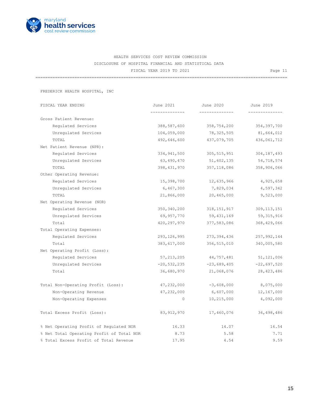

=======================================================================================================

FREDERICK HEALTH HOSPITAL, INC

| FISCAL YEAR ENDING                        | June 2021       | June 2020             | June 2019     |
|-------------------------------------------|-----------------|-----------------------|---------------|
| Gross Patient Revenue:                    |                 | --------------        |               |
| Regulated Services                        | 388,587,600     | 358,754,200           | 354, 397, 700 |
| Unregulated Services                      | 104,059,000     | 78,325,505            | 81,664,012    |
| TOTAL                                     | 492,646,600     | 437,079,705           | 436,061,712   |
| Net Patient Revenue (NPR):                |                 |                       |               |
| Requlated Services                        | 334,941,500     | 305, 515, 951         | 304, 187, 493 |
| Unregulated Services                      | 63,490,470      | 51,602,135            | 54,718,574    |
| TOTAL                                     | 398, 431, 970   | 357, 118, 086         | 358,906,066   |
| Other Operating Revenue:                  |                 |                       |               |
| Regulated Services                        | 15,398,700      | 12,635,966            | 4,925,658     |
| Unregulated Services                      | 6,467,300       | 7,829,034             | 4,597,342     |
| TOTAL                                     | 21,866,000      | 20,465,000            | 9,523,000     |
| Net Operating Revenue (NOR)               |                 |                       |               |
| Regulated Services                        | 350, 340, 200   | 318, 151, 917         | 309, 113, 151 |
| Unregulated Services                      | 69,957,770      | 59,431,169            | 59, 315, 916  |
| Total                                     | 420,297,970     | 377,583,086           | 368,429,066   |
| Total Operating Expenses:                 |                 |                       |               |
| Requlated Services                        | 293, 126, 995   | 273,394,436           | 257,992,144   |
| Total                                     | 383,617,000     | 356,515,010           | 340,005,580   |
| Net Operating Profit (Loss):              |                 |                       |               |
| Regulated Services                        | 57, 213, 205    | 44,757,481            | 51,121,006    |
| Unregulated Services                      | $-20, 532, 235$ | $-23,689,405$         | $-22,697,520$ |
| Total                                     | 36,680,970      | 21,068,076            | 28, 423, 486  |
| Total Non-Operating Profit (Loss):        | 47,232,000      | $-3,608,000$          | 8,075,000     |
| Non-Operating Revenue                     | 47,232,000      | 6,607,000             | 12, 167, 000  |
| Non-Operating Expenses                    |                 | $\circ$<br>10,215,000 | 4,092,000     |
| Total Excess Profit (Loss):               | 83, 912, 970    | 17,460,076            | 36,498,486    |
| % Net Operating Profit of Regulated NOR   | 16.33           | 14.07                 | 16.54         |
| % Net Total Operating Profit of Total NOR | 8.73            | 5.58                  | 7.71          |
| % Total Excess Profit of Total Revenue    | 17.95           | 4.54                  | 9.59          |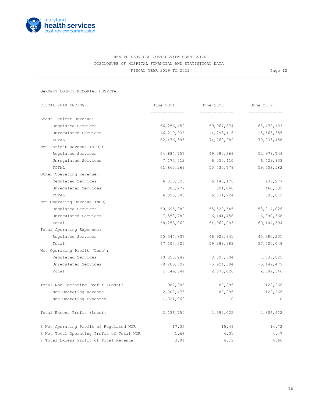

=======================================================================================================

GARRETT COUNTY MEMORIAL HOSPITAL

| FISCAL YEAR ENDING                        | June 2021    | June 2020      | June 2019      |
|-------------------------------------------|--------------|----------------|----------------|
| Gross Patient Revenue:                    |              | -------------- | -------------- |
| Requlated Services                        | 66,256,459   | 59,967,874     | 63, 470, 103   |
| Unregulated Services                      | 16,219,936   | 14,293,115     | 15, 563, 355   |
| TOTAL                                     | 82, 476, 395 | 74,260,989     | 79,033,458     |
| Net Patient Revenue (NPR):                |              |                |                |
| Regulated Services                        | 54,684,757   | 49,380,369     | 52,978,749     |
| Unregulated Services                      | 7,175,512    | 6,050,410      | 6,429,833      |
| TOTAL                                     | 61,860,269   | 55,430,779     | 59,408,582     |
| Other Operating Revenue:                  |              |                |                |
| Regulated Services                        | 6,010,323    | 6,140,176      | 235,277        |
| Unregulated Services                      | 383,277      | 391,048        | 460,535        |
| TOTAL                                     | 6,393,600    | 6,531,224      | 695,812        |
| Net Operating Revenue (NOR)               |              |                |                |
| Regulated Services                        | 60,695,080   | 55, 520, 545   | 53, 214, 026   |
| Unregulated Services                      | 7,558,789    | 6,441,458      | 6,890,368      |
| Total                                     | 68,253,869   | 61,962,003     | 60,104,394     |
| Total Operating Expenses:                 |              |                |                |
| Requlated Services                        | 50,344,837   | 46,922,941     | 45,380,201     |
| Total                                     | 67,104,325   | 59,288,983     | 57,420,048     |
| Net Operating Profit (Loss):              |              |                |                |
| Regulated Services                        | 10,350,242   | 8,597,604      | 7,833,825      |
| Unregulated Services                      | $-9,200,699$ | $-5,924,584$   | $-5, 149, 479$ |
| Total                                     | 1,149,544    | 2,673,020      | 2,684,346      |
| Total Non-Operating Profit (Loss):        | 987,206      | $-80,995$      | 122,266        |
| Non-Operating Revenue                     | 2,008,475    | $-80,995$      | 122,266        |
| Non-Operating Expenses                    | 1,021,269    | $\circ$        | $\circ$        |
| Total Excess Profit (Loss):               | 2,136,750    | 2,592,025      | 2,806,612      |
| % Net Operating Profit of Regulated NOR   | 17.05        | 15.49          | 14.72          |
| % Net Total Operating Profit of Total NOR | 1.68         | 4.31           | 4.47           |
| % Total Excess Profit of Total Revenue    | 3.04         | 4.19           | 4.66           |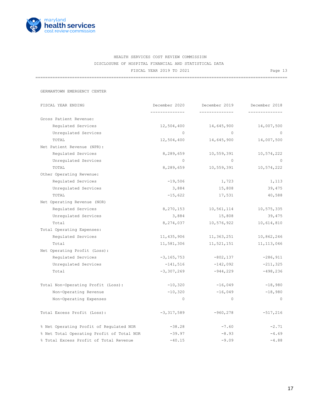

=======================================================================================================

GERMANTOWN EMERGENCY CENTER

| FISCAL YEAR ENDING                        | December 2020  | December 2019 | December 2018  |
|-------------------------------------------|----------------|---------------|----------------|
| Gross Patient Revenue:                    |                |               |                |
|                                           |                |               |                |
| Regulated Services                        | 12,504,400     | 14,645,900    | 14,007,500     |
| Unregulated Services                      | $\circ$        | $\circ$       | $\overline{0}$ |
| TOTAL                                     | 12,504,400     | 14,645,900    | 14,007,500     |
| Net Patient Revenue (NPR):                |                |               |                |
| Regulated Services                        | 8,289,659      | 10,559,391    | 10,574,222     |
| Unregulated Services                      | $\Omega$       | $\circ$       | $\overline{0}$ |
| TOTAL                                     | 8,289,659      | 10,559,391    | 10,574,222     |
| Other Operating Revenue:                  |                |               |                |
| Regulated Services                        | $-19,506$      | 1,723         | 1,113          |
| Unregulated Services                      | 3,884          | 15,808        | 39,475         |
| TOTAL                                     | $-15,622$      | 17,531        | 40,588         |
| Net Operating Revenue (NOR)               |                |               |                |
| Requlated Services                        | 8,270,153      | 10,561,114    | 10,575,335     |
| Unregulated Services                      | 3,884          | 15,808        | 39,475         |
| Total                                     | 8,274,037      | 10,576,922    | 10,614,810     |
| Total Operating Expenses:                 |                |               |                |
| Regulated Services                        | 11,435,906     | 11,363,251    | 10,862,246     |
| Total                                     | 11,581,306     | 11,521,151    | 11, 113, 046   |
| Net Operating Profit (Loss):              |                |               |                |
| Regulated Services                        | $-3, 165, 753$ | $-802,137$    | $-286, 911$    |
| Unregulated Services                      | $-141,516$     | $-142,092$    | $-211,325$     |
| Total                                     | $-3,307,269$   | $-944,229$    | $-498, 236$    |
| Total Non-Operating Profit (Loss):        | $-10,320$      | $-16,049$     | $-18,980$      |
| Non-Operating Revenue                     | $-10,320$      | $-16,049$     | $-18,980$      |
| Non-Operating Expenses                    | $\circ$        | $\circ$       | $\mathbf{0}$   |
| Total Excess Profit (Loss):               | $-3,317,589$   | $-960,278$    | $-517,216$     |
| % Net Operating Profit of Regulated NOR   | $-38.28$       | $-7.60$       | $-2.71$        |
| % Net Total Operating Profit of Total NOR | $-39.97$       | $-8.93$       | $-4.69$        |
| % Total Excess Profit of Total Revenue    | $-40.15$       | $-9.09$       | $-4.88$        |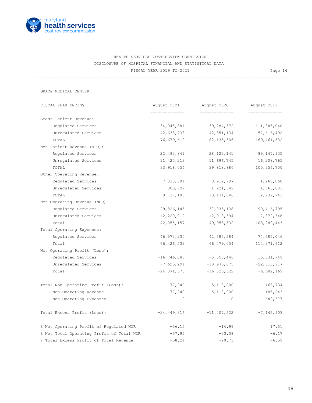

=======================================================================================================

GRACE MEDICAL CENTER

| FISCAL YEAR ENDING                        | August 2021     | August 2020<br>-------------- | August 2019     |
|-------------------------------------------|-----------------|-------------------------------|-----------------|
| Gross Patient Revenue:                    | -----------     |                               |                 |
| Regulated Services                        | 34,045,881      | 39,284,372                    | 111,845,040     |
| Unregulated Services                      | 42,633,738      | 42,851,134                    | 57,616,492      |
| TOTAL                                     | 76,679,619      | 82, 135, 506                  | 169, 461, 532   |
| Net Patient Revenue (NPR):                |                 |                               |                 |
| Requlated Services                        | 22,492,841      | 28, 122, 141                  | 89,147,935      |
| Unregulated Services                      | 11, 425, 213    | 11,696,745                    | 16,208,765      |
| TOTAL                                     | 33,918,054      | 39,818,886                    | 105, 356, 700   |
| Other Operating Revenue:                  |                 |                               |                 |
| Regulated Services                        | 7,333,304       | 8,912,997                     | 1,268,860       |
| Unregulated Services                      | 803,799         | 1,221,649                     | 1,663,883       |
| TOTAL                                     | 8,137,103       | 10,134,646                    | 2,932,743       |
| Net Operating Revenue (NOR)               |                 |                               |                 |
| Regulated Services                        | 29,826,145      | 37,035,138                    | 90, 416, 795    |
| Unregulated Services                      | 12,229,012      | 12,918,394                    | 17,872,648      |
| Total                                     | 42,055,157      | 49,953,532                    | 108,289,443     |
| Total Operating Expenses:                 |                 |                               |                 |
| Regulated Services                        | 46,572,230      | 42,585,584                    | 74,585,046      |
| Total                                     | 66,426,533      | 66,479,054                    | 114, 971, 612   |
| Net Operating Profit (Loss):              |                 |                               |                 |
| Requlated Services                        | $-16, 746, 085$ | $-5,550,446$                  | 15,831,749      |
| Unregulated Services                      | $-7,625,291$    | $-10,975,075$                 | $-22, 513, 917$ |
| Total                                     | $-24, 371, 376$ | $-16, 525, 522$               | $-6,682,169$    |
| Total Non-Operating Profit (Loss):        | $-77,940$       | 5,118,000                     | $-463,734$      |
| Non-Operating Revenue                     | $-77,940$       | 5,118,000                     | 185,943         |
| Non-Operating Expenses                    | $\Omega$        | $\circ$                       | 649,677         |
| Total Excess Profit (Loss):               | $-24, 449, 316$ | $-11, 407, 522$               | $-7, 145, 903$  |
| % Net Operating Profit of Regulated NOR   | $-56.15$        | $-14.99$                      | 17.51           |
| % Net Total Operating Profit of Total NOR | $-57.95$        | $-33.08$                      | $-6.17$         |
| % Total Excess Profit of Total Revenue    | $-58.24$        | $-20.71$                      | $-6.59$         |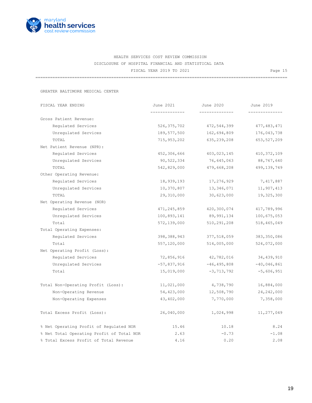

=======================================================================================================

GREATER BALTIMORE MEDICAL CENTER

| FISCAL YEAR ENDING                        | June 2021     | June 2020       | June 2019     |
|-------------------------------------------|---------------|-----------------|---------------|
| Gross Patient Revenue:                    |               |                 |               |
| Requlated Services                        | 526, 375, 702 | 472,544,399     | 477, 483, 471 |
| Unregulated Services                      | 189,577,500   | 162,694,809     | 176,043,738   |
| TOTAL                                     | 715, 953, 202 | 635, 239, 208   | 653,527,209   |
| Net Patient Revenue (NPR):                |               |                 |               |
| Regulated Services                        | 452,306,666   | 403,023,145     | 410, 372, 109 |
| Unregulated Services                      | 90,522,334    | 76,645,063      | 88,767,640    |
| TOTAL                                     | 542,829,000   | 479,668,208     | 499,139,749   |
| Other Operating Revenue:                  |               |                 |               |
| Regulated Services                        | 18,939,193    | 17,276,929      | 7,417,887     |
| Unregulated Services                      | 10,370,807    | 13,346,071      | 11,907,413    |
| TOTAL                                     | 29,310,000    | 30,623,000      | 19,325,300    |
| Net Operating Revenue (NOR)               |               |                 |               |
| Requlated Services                        | 471, 245, 859 | 420,300,074     | 417,789,996   |
| Unregulated Services                      | 100,893,141   | 89,991,134      | 100,675,053   |
| Total                                     | 572,139,000   | 510,291,208     | 518,465,049   |
| Total Operating Expenses:                 |               |                 |               |
| Regulated Services                        | 398,388,943   | 377,518,059     | 383, 350, 086 |
| Total                                     | 557,120,000   | 514,005,000     | 524,072,000   |
| Net Operating Profit (Loss):              |               |                 |               |
| Regulated Services                        | 72,856,916    | 42,782,016      | 34,439,910    |
| Unregulated Services                      | $-57,837,916$ | $-46, 495, 808$ | $-40,046,861$ |
| Total                                     | 15,019,000    | $-3, 713, 792$  | $-5,606,951$  |
| Total Non-Operating Profit (Loss):        | 11,021,000    | 4,738,790       | 16,884,000    |
| Non-Operating Revenue                     | 54,423,000    | 12,508,790      | 24, 242, 000  |
| Non-Operating Expenses                    | 43,402,000    | 7,770,000       | 7,358,000     |
| Total Excess Profit (Loss):               | 26,040,000    | 1,024,998       | 11,277,049    |
| % Net Operating Profit of Regulated NOR   | 15.46         | 10.18           | 8.24          |
| % Net Total Operating Profit of Total NOR | 2.63          | $-0.73$         | $-1.08$       |
| % Total Excess Profit of Total Revenue    | 4.16          | 0.20            | 2.08          |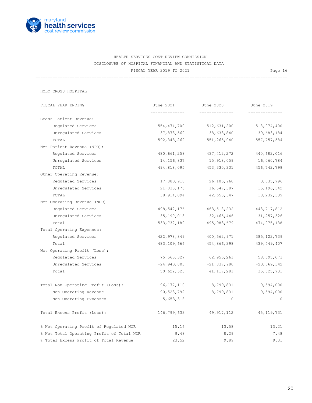

=======================================================================================================

HOLY CROSS HOSPITAL

| FISCAL YEAR ENDING                        | June 2021     | June 2020     | June 2019     |
|-------------------------------------------|---------------|---------------|---------------|
| Gross Patient Revenue:                    |               | ------------  | -----------   |
| Regulated Services                        | 554, 474, 700 | 512,631,200   | 518,074,400   |
| Unregulated Services                      | 37,873,569    | 38,633,840    | 39,683,184    |
| TOTAL                                     | 592,348,269   | 551,265,040   | 557, 757, 584 |
| Net Patient Revenue (NPR):                |               |               |               |
| Requlated Services                        | 480,661,258   | 437, 412, 272 | 440,682,016   |
| Unregulated Services                      | 14,156,837    | 15,918,059    | 16,060,784    |
| TOTAL                                     | 494,818,095   | 453, 330, 331 | 456,742,799   |
| Other Operating Revenue:                  |               |               |               |
| Regulated Services                        | 17,880,918    | 26,105,960    | 3,035,796     |
| Unregulated Services                      | 21,033,176    | 16,547,387    | 15,196,542    |
| TOTAL                                     | 38,914,094    | 42,653,347    | 18,232,339    |
| Net Operating Revenue (NOR)               |               |               |               |
| Regulated Services                        | 498,542,176   | 463,518,232   | 443, 717, 812 |
| Unregulated Services                      | 35,190,013    | 32,465,446    | 31, 257, 326  |
| Total                                     | 533,732,189   | 495,983,679   | 474, 975, 138 |
| Total Operating Expenses:                 |               |               |               |
| Requlated Services                        | 422,978,849   | 400,562,971   | 385, 122, 739 |
| Total                                     | 483,109,666   | 454,866,398   | 439, 449, 407 |
| Net Operating Profit (Loss):              |               |               |               |
| Regulated Services                        | 75,563,327    | 62,955,261    | 58,595,073    |
| Unregulated Services                      | $-24,940,803$ | $-21,837,980$ | $-23,069,342$ |
| Total                                     | 50,622,523    | 41, 117, 281  | 35, 525, 731  |
| Total Non-Operating Profit (Loss):        | 96, 177, 110  | 8,799,831     | 9,594,000     |
| Non-Operating Revenue                     | 90,523,792    | 8,799,831     | 9,594,000     |
| Non-Operating Expenses                    | $-5,653,318$  | $\circ$       | $\circ$       |
| Total Excess Profit (Loss):               | 146,799,633   | 49, 917, 112  | 45, 119, 731  |
| % Net Operating Profit of Regulated NOR   | 15.16         | 13.58         | 13.21         |
| % Net Total Operating Profit of Total NOR | 9.48          | 8.29          | 7.48          |
| % Total Excess Profit of Total Revenue    | 23.52         | 9.89          | 9.31          |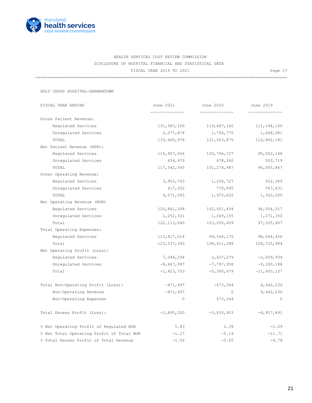

=======================================================================================================

HOLY CROSS HOSPITAL-GERMANTOWN

| FISCAL YEAR ENDING                        | June 2021      | June 2020      | June 2019       |
|-------------------------------------------|----------------|----------------|-----------------|
|                                           | -------------- | ______________ | ------------    |
| Gross Patient Revenue:                    |                |                |                 |
| Requlated Services                        | 131,583,100    | 119,447,100    | 111,194,100     |
| Unregulated Services                      | 2,077,878      | 1,756,775      | 1,668,081       |
| TOTAL                                     | 133,660,978    | 121,203,875    | 112,862,181     |
| Net Patient Revenue (NPR):                |                |                |                 |
| Regulated Services                        | 116,907,566    | 100,796,727    | 95,502,148      |
| Unregulated Services                      | 634,979        | 478,260        | 503,719         |
| TOTAL                                     | 117,542,545    | 101,274,987    | 96,005,867      |
| Other Operating Revenue:                  |                |                |                 |
| Regulated Services                        | 3,953,743      | 1,204,727      | 552,369         |
| Unregulated Services                      | 617,352        | 770,895        | 767,631         |
| TOTAL                                     | 4,571,095      | 1,975,622      | 1,320,000       |
| Net Operating Revenue (NOR)               |                |                |                 |
| Regulated Services                        | 120,861,308    | 102,001,454    | 96,054,517      |
| Unregulated Services                      | 1,252,331      | 1,249,155      | 1,271,350       |
| Total                                     | 122, 113, 640  | 103,250,609    | 97, 325, 867    |
| Total Operating Expenses:                 |                |                |                 |
| Regulated Services                        | 113,817,014    | 99,564,175     | 98,064,456      |
| Total                                     | 123,537,343    | 108,611,288    | 108,725,994     |
| Net Operating Profit (Loss):              |                |                |                 |
| Regulated Services                        | 7,044,294      | 2,437,279      | $-2,009,939$    |
| Unregulated Services                      | $-8,467,997$   | $-7,797,958$   | $-9,390,188$    |
| Total                                     | $-1,423,703$   | $-5,360,679$   | $-11, 400, 127$ |
| Total Non-Operating Profit (Loss):        | $-471,497$     | $-473, 244$    | 6,442,236       |
| Non-Operating Revenue                     | $-471, 497$    | $\Omega$       | 6,442,236       |
| Non-Operating Expenses                    | $\circ$        | 473,244        | $\Omega$        |
| Total Excess Profit (Loss):               | $-1,895,200$   | $-5,833,923$   | $-4,957,891$    |
| % Net Operating Profit of Regulated NOR   | 5.83           | 2.39           | $-2.09$         |
| % Net Total Operating Profit of Total NOR | $-1.17$        | $-5.19$        | $-11.71$        |
| % Total Excess Profit of Total Revenue    | $-1.56$        | $-5.65$        | $-4.78$         |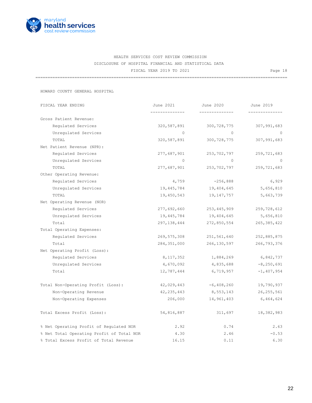

=======================================================================================================

HOWARD COUNTY GENERAL HOSPITAL

| FISCAL YEAR ENDING                        | June 2021     | June 2020      | June 2019      |
|-------------------------------------------|---------------|----------------|----------------|
|                                           | ------------- | -------------- |                |
| Gross Patient Revenue:                    |               |                |                |
| Requlated Services                        | 320,587,891   | 300,728,775    | 307,991,683    |
| Unregulated Services                      | $\Omega$      | $\Omega$       | $\bigcirc$     |
| TOTAL                                     | 320,587,891   | 300,728,775    | 307,991,683    |
| Net Patient Revenue (NPR):                |               |                |                |
| Regulated Services                        | 277,687,901   | 253,702,797    | 259,721,683    |
| Unregulated Services                      | $\Omega$      | $\Omega$       | $\Omega$       |
| TOTAL                                     | 277,687,901   | 253,702,797    | 259,721,683    |
| Other Operating Revenue:                  |               |                |                |
| Regulated Services                        | 4,759         | $-256,888$     | 6,929          |
| Unregulated Services                      | 19,445,784    | 19,404,645     | 5,656,810      |
| TOTAL                                     | 19,450,543    | 19,147,757     | 5,663,739      |
| Net Operating Revenue (NOR)               |               |                |                |
| Regulated Services                        | 277,692,660   | 253,445,909    | 259,728,612    |
| Unregulated Services                      | 19,445,784    | 19,404,645     | 5,656,810      |
| Total                                     | 297,138,444   | 272,850,554    | 265, 385, 422  |
| Total Operating Expenses:                 |               |                |                |
| Regulated Services                        | 269,575,308   | 251,561,640    | 252,885,875    |
| Total                                     | 284, 351, 000 | 266,130,597    | 266,793,376    |
| Net Operating Profit (Loss):              |               |                |                |
| Regulated Services                        | 8,117,352     | 1,884,269      | 6,842,737      |
| Unregulated Services                      | 4,670,092     | 4,835,688      | $-8, 250, 691$ |
| Total                                     | 12,787,444    | 6,719,957      | $-1,407,954$   |
| Total Non-Operating Profit (Loss):        | 42,029,443    | $-6,408,260$   | 19,790,937     |
| Non-Operating Revenue                     | 42, 235, 443  | 8,553,143      | 26, 255, 561   |
| Non-Operating Expenses                    | 206,000       | 14,961,403     | 6,464,624      |
| Total Excess Profit (Loss):               | 54,816,887    | 311,697        | 18,382,983     |
| % Net Operating Profit of Regulated NOR   | 2.92          | 0.74           | 2.63           |
| % Net Total Operating Profit of Total NOR | 4.30          | 2.46           | $-0.53$        |
| % Total Excess Profit of Total Revenue    | 16.15         | 0.11           | 6.30           |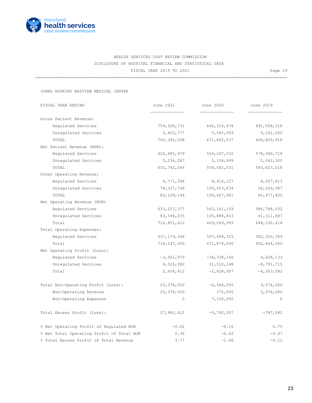

=======================================================================================================

JOHNS HOPKINS BAYVIEW MEDICAL CENTER

| FISCAL YEAR ENDING                        | June 2021     | June 2020       | June 2019      |
|-------------------------------------------|---------------|-----------------|----------------|
| Gross Patient Revenue:                    |               | --------------  |                |
| Regulated Services                        | 754,928,731   | 666, 316, 478   | 691,568,318    |
| Unregulated Services                      | 5,463,777     | 5,545,559       | 5,241,600      |
| TOTAL                                     | 760,392,508   | 671,862,037     | 696,809,918    |
| Net Patient Revenue (NPR):                |               |                 |                |
| Requlated Services                        | 626,485,979   | 554, 247, 032   | 578,580,718    |
| Unregulated Services                      | 5,256,287     | 5,334,999       | 5,042,300      |
| TOTAL                                     | 631,742,266   | 559,582,031     | 583,623,018    |
| Other Operating Revenue:                  |               |                 |                |
| Regulated Services                        | 6,771,398     | 8,914,127       | 8,207,813      |
| Unregulated Services                      | 78, 337, 748  | 100,553,834     | 56,269,587     |
| TOTAL                                     | 85,109,146    | 109,467,961     | 64, 477, 400   |
| Net Operating Revenue (NOR)               |               |                 |                |
| Regulated Services                        | 633, 257, 377 | 563, 161, 159   | 586,788,532    |
| Unregulated Services                      | 83,594,035    | 105,888,833     | 61,311,887     |
| Total                                     | 716,851,412   | 669,049,993     | 648,100,418    |
| Total Operating Expenses:                 |               |                 |                |
| Regulated Services                        | 637,179,346   | 597,499,315     | 582,360,399    |
| Total                                     | 714,247,000   | 671,878,000     | 652,464,000    |
| Net Operating Profit (Loss):              |               |                 |                |
| Regulated Services                        | $-3,921,970$  | $-34, 338, 156$ | 4,428,133      |
| Unregulated Services                      | 6,526,382     | 31,510,148      | $-8,791,715$   |
| Total                                     | 2,604,412     | $-2,828,007$    | $-4, 363, 582$ |
| Total Non-Operating Profit (Loss):        | 25,378,000    | $-6,964,000$    | 3,576,000      |
| Non-Operating Revenue                     | 25,378,000    | 372,000         | 3,576,000      |
| Non-Operating Expenses                    | $\circ$       | 7,336,000       | $\circ$        |
| Total Excess Profit (Loss):               | 27,982,412    | $-9,792,007$    | $-787,582$     |
| % Net Operating Profit of Regulated NOR   | $-0.62$       | $-6.10$         | 0.75           |
| % Net Total Operating Profit of Total NOR | 0.36          | $-0.42$         | $-0.67$        |
| % Total Excess Profit of Total Revenue    | 3.77          | $-1.46$         | $-0.12$        |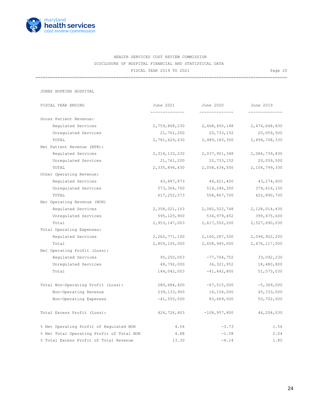

=======================================================================================================

JOHNS HOPKINS HOSPITAL

| FISCAL YEAR ENDING                        | June 2021        | June 2020       | June 2019     |
|-------------------------------------------|------------------|-----------------|---------------|
| Gross Patient Revenue:                    |                  |                 |               |
| Requlated Services                        | 2,759,868,230    | 2,468,450,148   | 2,474,648,830 |
| Unregulated Services                      | 21,761,200       | 20,733,152      | 20,059,500    |
| TOTAL                                     | 2,781,629,430    | 2,489,183,300   | 2,494,708,330 |
| Net Patient Revenue (NPR):                |                  |                 |               |
| Regulated Services                        | 2, 314, 133, 230 | 2,037,901,348   | 2,084,739,830 |
| Unregulated Services                      | 21,761,200       | 20,733,152      | 20,059,500    |
| TOTAL                                     | 2,335,894,430    | 2,058,634,500   | 2,104,799,330 |
| Other Operating Revenue:                  |                  |                 |               |
| Regulated Services                        | 43,887,873       | 44,621,400      | 43,274,600    |
| Unregulated Services                      | 573,364,700      | 514,246,300     | 379,616,100   |
| TOTAL                                     | 617, 252, 573    | 558,867,700     | 422,890,700   |
| Net Operating Revenue (NOR)               |                  |                 |               |
| Regulated Services                        | 2,358,021,103    | 2,082,522,748   | 2,128,014,430 |
| Unregulated Services                      | 595,125,900      | 534,979,452     | 399,675,600   |
| Total                                     | 2,953,147,003    | 2,617,502,200   | 2,527,690,030 |
| Total Operating Expenses:                 |                  |                 |               |
| Regulated Services                        | 2, 262, 771, 100 | 2,160,287,500   | 2,094,922,200 |
| Total                                     | 2,809,105,000    | 2,658,945,000   | 2,476,117,000 |
| Net Operating Profit (Loss):              |                  |                 |               |
| Regulated Services                        | 95,250,003       | $-77,764,752$   | 33,092,230    |
| Unregulated Services                      | 48,792,000       | 36,321,952      | 18,480,800    |
| Total                                     | 144,042,003      | $-41, 442, 800$ | 51, 573, 030  |
| Total Non-Operating Profit (Loss):        | 280,684,400      | $-67,515,000$   | $-5,369,000$  |
| Non-Operating Revenue                     | 239,133,900      | 16,154,000      | 45, 333, 000  |
| Non-Operating Expenses                    | $-41,550,500$    | 83,669,000      | 50,702,000    |
| Total Excess Profit (Loss):               | 424,726,403      | $-108,957,800$  | 46,204,030    |
| % Net Operating Profit of Regulated NOR   | 4.04             | $-3.73$         | 1.56          |
| % Net Total Operating Profit of Total NOR | 4.88             | $-1.58$         | 2.04          |
| % Total Excess Profit of Total Revenue    | 13.30            | $-4.14$         | 1.80          |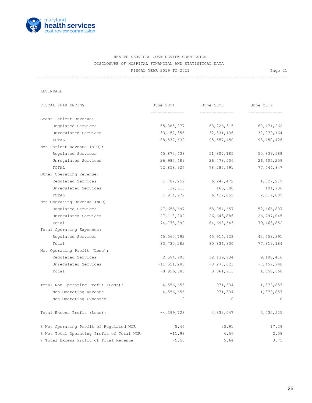

=======================================================================================================

#### LEVINDALE

| FISCAL YEAR ENDING                        | June 2021       | June 2020      | June 2019    |
|-------------------------------------------|-----------------|----------------|--------------|
|                                           |                 |                | ------------ |
| Gross Patient Revenue:                    |                 |                |              |
| Requlated Services                        | 55, 385, 277    | 63, 226, 315   | 60, 471, 262 |
| Unregulated Services                      | 33, 152, 355    | 32, 331, 135   | 32,979,164   |
| TOTAL                                     | 88,537,632      | 95,557,450     | 93, 450, 426 |
| Net Patient Revenue (NPR):                |                 |                |              |
| Regulated Services                        | 45,873,438      | 51,807,185     | 50,839,588   |
| Unregulated Services                      | 26,985,489      | 26,478,506     | 26,605,259   |
| TOTAL                                     | 72,858,927      | 78,285,691     | 77,444,847   |
| Other Operating Revenue:                  |                 |                |              |
| Regulated Services                        | 1,782,259       | 6,247,472      | 1,827,219    |
| Unregulated Services                      | 132,713         | 165,380        | 191,786      |
| TOTAL                                     | 1,914,972       | 6,412,852      | 2,019,005    |
| Net Operating Revenue (NOR)               |                 |                |              |
| Regulated Services                        | 47,655,697      | 58,054,657     | 52,666,807   |
| Unregulated Services                      | 27, 118, 202    | 26,643,886     | 26,797,045   |
| Total                                     | 74,773,899      | 84,698,543     | 79,463,852   |
| Total Operating Expenses:                 |                 |                |              |
| Regulated Services                        | 45,060,792      | 45, 914, 923   | 43,558,391   |
| Total                                     | 83,730,282      | 80,836,830     | 77,813,184   |
| Net Operating Profit (Loss):              |                 |                |              |
| Regulated Services                        | 2,594,905       | 12, 139, 734   | 9,108,416    |
| Unregulated Services                      | $-11, 551, 288$ | $-8, 278, 021$ | $-7,457,748$ |
| Total                                     | $-8,956,383$    | 3,861,713      | 1,650,668    |
| Total Non-Operating Profit (Loss):        | 4,556,655       | 971,334        | 1,379,857    |
| Non-Operating Revenue                     | 4,556,655       | 971,334        | 1,379,857    |
| Non-Operating Expenses                    | $\circ$         | $\circ$        | $\circ$      |
| Total Excess Profit (Loss):               | $-4,399,728$    | 4,833,047      | 3,030,525    |
| % Net Operating Profit of Regulated NOR   | 5.45            | 20.91          | 17.29        |
| % Net Total Operating Profit of Total NOR | $-11.98$        | 4.56           | 2.08         |
| % Total Excess Profit of Total Revenue    | $-5.55$         | 5.64           | 3.75         |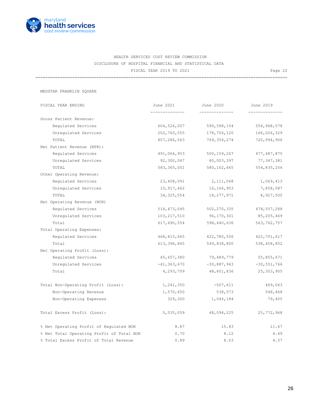

=======================================================================================================

MEDSTAR FRANKLIN SQUARE

| FISCAL YEAR ENDING        |                                           | June 2021       | June 2020      | June 2019     |
|---------------------------|-------------------------------------------|-----------------|----------------|---------------|
| Gross Patient Revenue:    |                                           |                 | -------------- |               |
|                           | Regulated Services                        | 604,526,007     | 590,598,154    | 554,968,578   |
|                           | Unregulated Services                      | 202,760,555     | 178,756,120    | 166,026,329   |
| TOTAL                     |                                           | 807,286,563     | 769,354,274    | 720,994,906   |
|                           | Net Patient Revenue (NPR):                |                 |                |               |
|                           | Requlated Services                        | 491,064,953     | 500,159,267    | 477, 487, 875 |
|                           | Unregulated Services                      | 92,300,047      | 80,003,397     | 77,347,381    |
| TOTAL                     |                                           | 583, 365, 001   | 580, 162, 665  | 554,835,256   |
| Other Operating Revenue:  |                                           |                 |                |               |
|                           | Regulated Services                        | 23,408,091      | 2,111,068      | 1,069,413     |
|                           | Unregulated Services                      | 10,917,462      | 16,166,903     | 7,858,087     |
| TOTAL                     |                                           | 34, 325, 554    | 18,277,971     | 8,927,500     |
|                           | Net Operating Revenue (NOR)               |                 |                |               |
|                           | Regulated Services                        | 514,473,045     | 502, 270, 335  | 478,557,288   |
|                           | Unregulated Services                      | 103,217,510     | 96,170,301     | 85,205,469    |
| Total                     |                                           | 617,690,554     | 598,440,636    | 563, 762, 757 |
| Total Operating Expenses: |                                           |                 |                |               |
|                           | Requlated Services                        | 468,815,665     | 422,780,556    | 422,701,617   |
| Total                     |                                           | 613,396,845     | 549,838,800    | 538,458,852   |
|                           | Net Operating Profit (Loss):              |                 |                |               |
|                           | Regulated Services                        | 45,657,380      | 79,489,779     | 55,855,671    |
|                           | Unregulated Services                      | $-41, 363, 670$ | $-30,887,943$  | $-30,551,766$ |
| Total                     |                                           | 4,293,709       | 48,601,836     | 25,303,905    |
|                           | Total Non-Operating Profit (Loss):        | 1,241,350       | $-507,611$     | 469,063       |
|                           | Non-Operating Revenue                     | 1,570,650       | 538,573        | 548,468       |
|                           | Non-Operating Expenses                    | 329,300         | 1,046,184      | 79,405        |
|                           | Total Excess Profit (Loss):               | 5,535,059       | 48,094,225     | 25,772,968    |
|                           | % Net Operating Profit of Regulated NOR   | 8.87            | 15.83          | 11.67         |
|                           | % Net Total Operating Profit of Total NOR | 0.70            | 8.12           | 4.49          |
|                           | % Total Excess Profit of Total Revenue    | 0.89            | 8.03           | 4.57          |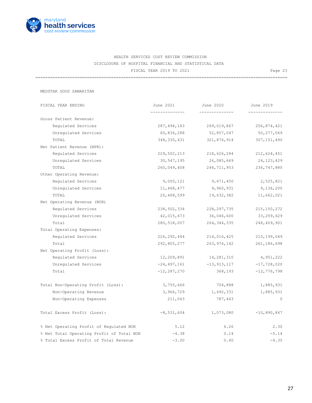

=======================================================================================================

MEDSTAR GOOD SAMARITAN

| FISCAL YEAR ENDING                        | June 2021<br>-------------- | June 2020<br>-------------- | June 2019<br>------------ |
|-------------------------------------------|-----------------------------|-----------------------------|---------------------------|
| Gross Patient Revenue:                    |                             |                             |                           |
| Regulated Services                        | 287, 494, 143               | 269,019,867                 | 256,874,421               |
| Unregulated Services                      | 60,836,288                  | 52,857,047                  | 50,277,069                |
| TOTAL                                     | 348,330,431                 | 321,876,914                 | 307, 151, 490             |
| Net Patient Revenue (NPR):                |                             |                             |                           |
| Requlated Services                        | 229,502,213                 | 218,626,284                 | 212,624,451               |
| Unregulated Services                      | 30,547,195                  | 26,085,669                  | 24, 123, 429              |
| TOTAL                                     | 260,049,408                 | 244,711,953                 | 236,747,880               |
| Other Operating Revenue:                  |                             |                             |                           |
| Regulated Services                        | 9,000,121                   | 9,671,450                   | 2,525,821                 |
| Unregulated Services                      | 11,468,477                  | 9,960,931                   | 9,136,200                 |
| TOTAL                                     | 20,468,599                  | 19,632,382                  | 11,662,021                |
| Net Operating Revenue (NOR)               |                             |                             |                           |
| Regulated Services                        | 238,502,334                 | 228, 297, 735               | 215, 150, 272             |
| Unregulated Services                      | 42,015,673                  | 36,046,600                  | 33,259,629                |
| Total                                     | 280,518,007                 | 264, 344, 335               | 248,409,901               |
| Total Operating Expenses:                 |                             |                             |                           |
| Requlated Services                        | 226,292,444                 | 214,016,425                 | 210,199,049               |
| Total                                     | 292,805,277                 | 263,976,142                 | 261, 186, 698             |
| Net Operating Profit (Loss):              |                             |                             |                           |
| Regulated Services                        | 12,209,891                  | 14,281,310                  | 4,951,222                 |
| Unregulated Services                      | $-24, 497, 161$             | $-13,913,117$               | $-17,728,020$             |
| Total                                     | $-12, 287, 270$             | 368,193                     | $-12,776,798$             |
| Total Non-Operating Profit (Loss):        | 3,755,666                   | 704,888                     | 1,885,931                 |
| Non-Operating Revenue                     | 3,966,729                   | 1,492,331                   | 1,885,931                 |
| Non-Operating Expenses                    | 211,063                     | 787,443                     | $\circ$                   |
| Total Excess Profit (Loss):               | $-8,531,604$                | 1,073,080                   | $-10,890,867$             |
| % Net Operating Profit of Regulated NOR   | 5.12                        | 6.26                        | 2.30                      |
| % Net Total Operating Profit of Total NOR | $-4.38$                     | 0.14                        | $-5.14$                   |
| % Total Excess Profit of Total Revenue    | $-3.00$                     | 0.40                        | $-4.35$                   |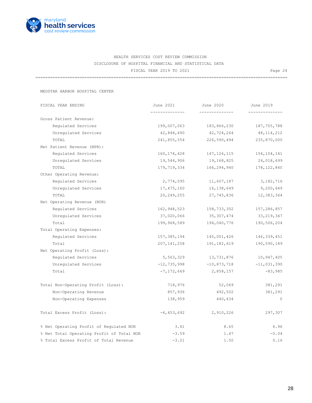

=======================================================================================================

MEDSTAR HARBOR HOSPITAL CENTER

| FISCAL YEAR ENDING                        | June 2021      | June 2020      | June 2019      |
|-------------------------------------------|----------------|----------------|----------------|
|                                           | -------------- | -------------- | -------------- |
| Gross Patient Revenue:                    |                |                |                |
| Requlated Services                        | 199,007,063    | 183,866,230    | 187, 755, 788  |
| Unregulated Services                      | 42,848,490     | 42,724,264     | 48, 114, 212   |
| TOTAL                                     | 241,855,554    | 226,590,494    | 235,870,000    |
| Net Patient Revenue (NPR):                |                |                |                |
| Regulated Services                        | 160, 174, 428  | 147, 126, 115  | 154, 104, 141  |
| Unregulated Services                      | 19,544,906     | 19,168,825     | 24,018,699     |
| TOTAL                                     | 179,719,334    | 166,294,940    | 178, 122, 840  |
| Other Operating Revenue:                  |                |                |                |
| Regulated Services                        | 2,774,095      | 11,607,187     | 3, 182, 716    |
| Unregulated Services                      | 17, 475, 160   | 16,138,649     | 9,200,649      |
| TOTAL                                     | 20, 249, 255   | 27,745,836     | 12,383,364     |
| Net Operating Revenue (NOR)               |                |                |                |
| Regulated Services                        | 162,948,523    | 158,733,302    | 157,286,857    |
| Unregulated Services                      | 37,020,066     | 35,307,474     | 33, 219, 347   |
| Total                                     | 199,968,589    | 194,040,776    | 190,506,204    |
| Total Operating Expenses:                 |                |                |                |
| Regulated Services                        | 157,385,194    | 145,001,426    | 146, 339, 451  |
| Total                                     | 207, 141, 258  | 191, 182, 619  | 190,590,189    |
| Net Operating Profit (Loss):              |                |                |                |
| Requlated Services                        | 5,563,329      | 13,731,876     | 10,947,405     |
| Unregulated Services                      | $-12,735,998$  | $-10,873,718$  | $-11,031,390$  |
| Total                                     | $-7, 172, 669$ | 2,858,157      | $-83,985$      |
| Total Non-Operating Profit (Loss):        | 718,976        | 52,069         | 381,291        |
| Non-Operating Revenue                     | 857,936        | 492,502        | 381,291        |
| Non-Operating Expenses                    | 138,959        | 440,434        | $\circ$        |
| Total Excess Profit (Loss):               | $-6,453,692$   | 2,910,226      | 297,307        |
| % Net Operating Profit of Regulated NOR   | 3.41           | 8.65           | 6.96           |
| % Net Total Operating Profit of Total NOR | $-3.59$        | 1.47           | $-0.04$        |
| % Total Excess Profit of Total Revenue    | $-3.21$        | 1.50           | 0.16           |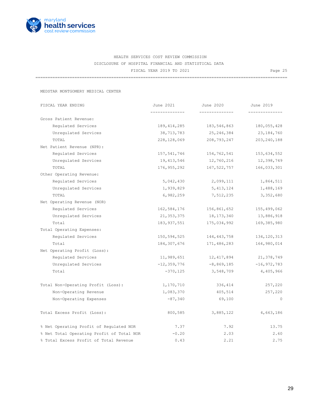

=======================================================================================================

MEDSTAR MONTGOMERY MEDICAL CENTER

| FISCAL YEAR ENDING                        | June 2021       | June 2020      | June 2019                  |
|-------------------------------------------|-----------------|----------------|----------------------------|
|                                           |                 | -------------- | -----------                |
| Gross Patient Revenue:                    |                 |                |                            |
| Requlated Services                        | 189, 414, 285   | 183,546,863    | 180,055,428                |
| Unregulated Services                      | 38,713,783      | 25, 246, 384   | 23,184,760                 |
| TOTAL                                     | 228,128,069     | 208,793,247    | 203, 240, 188              |
| Net Patient Revenue (NPR):                |                 |                |                            |
| Regulated Services                        | 157,541,746     | 154,762,541    | 153,634,552                |
| Unregulated Services                      | 19,413,546      | 12,760,216     | 12,398,749                 |
| TOTAL                                     | 176,955,292     | 167,522,757    | 166,033,301                |
| Other Operating Revenue:                  |                 |                |                            |
| Regulated Services                        | 5,042,430       | 2,099,111      | 1,864,511                  |
| Unregulated Services                      | 1,939,829       | 5, 413, 124    | 1,488,169                  |
| TOTAL                                     | 6,982,259       | 7,512,235      | 3,352,680                  |
| Net Operating Revenue (NOR)               |                 |                |                            |
| Regulated Services                        | 162,584,176     | 156,861,652    | 155,499,062                |
| Unregulated Services                      | 21, 353, 375    | 18,173,340     | 13,886,918                 |
| Total                                     | 183, 937, 551   | 175,034,992    | 169,385,980                |
| Total Operating Expenses:                 |                 |                |                            |
| Requlated Services                        | 150,594,525     | 144,443,758    | 134, 120, 313              |
| Total                                     | 184,307,676     | 171,486,283    | 164,980,014                |
| Net Operating Profit (Loss):              |                 |                |                            |
| Regulated Services                        | 11,989,651      | 12,417,894     | 21,378,749                 |
| Unregulated Services                      | $-12, 359, 776$ |                | $-8,869,185$ $-16,972,783$ |
| Total                                     | $-370,125$      | 3,548,709      | 4,405,966                  |
| Total Non-Operating Profit (Loss):        | 1,170,710       | 336,414        | 257,220                    |
| Non-Operating Revenue                     | 1,083,370       | 405,514        | 257,220                    |
| Non-Operating Expenses                    | $-87,340$       | 69,100         | $\circ$                    |
| Total Excess Profit (Loss):               | 800,585         | 3,885,122      | 4,663,186                  |
| % Net Operating Profit of Regulated NOR   | 7.37            | 7.92           | 13.75                      |
| % Net Total Operating Profit of Total NOR | $-0.20$         | 2.03           | 2.60                       |
| % Total Excess Profit of Total Revenue    | 0.43            | 2.21           | 2.75                       |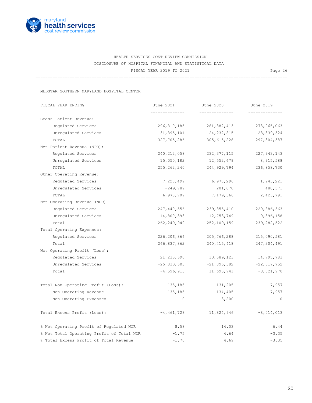

=======================================================================================================

MEDSTAR SOUTHERN MARYLAND HOSPITAL CENTER

| FISCAL YEAR ENDING                        | June 2021     | June 2020     | June 2019      |
|-------------------------------------------|---------------|---------------|----------------|
|                                           |               |               | ------------   |
| Gross Patient Revenue:                    |               |               |                |
| Requlated Services                        | 296,310,185   | 281,382,413   | 273,965,063    |
| Unregulated Services                      | 31, 395, 101  | 24, 232, 815  | 23, 339, 324   |
| TOTAL                                     | 327,705,286   | 305,615,228   | 297,304,387    |
| Net Patient Revenue (NPR):                |               |               |                |
| Regulated Services                        | 240, 212, 058 | 232, 377, 115 | 227, 943, 143  |
| Unregulated Services                      | 15,050,182    | 12,552,679    | 8,915,588      |
| TOTAL                                     | 255, 262, 240 | 244,929,794   | 236,858,730    |
| Other Operating Revenue:                  |               |               |                |
| Regulated Services                        | 7,228,499     | 6,978,296     | 1,943,221      |
| Unregulated Services                      | -249,789      | 201,070       | 480,571        |
| TOTAL                                     | 6,978,709     | 7,179,366     | 2,423,791      |
| Net Operating Revenue (NOR)               |               |               |                |
| Regulated Services                        | 247,440,556   | 239,355,410   | 229,886,363    |
| Unregulated Services                      | 14,800,393    | 12,753,749    | 9,396,158      |
| Total                                     | 262,240,949   | 252,109,159   | 239, 282, 522  |
| Total Operating Expenses:                 |               |               |                |
| Regulated Services                        | 226,206,866   | 205,766,288   | 215,090,581    |
| Total                                     | 266,837,862   | 240,415,418   | 247,304,491    |
| Net Operating Profit (Loss):              |               |               |                |
| Requlated Services                        | 21,233,690    | 33,589,123    | 14,795,783     |
| Unregulated Services                      | $-25,830,603$ | $-21,895,382$ | $-22,817,752$  |
| Total                                     | $-4,596,913$  | 11,693,741    | $-8,021,970$   |
| Total Non-Operating Profit (Loss):        | 135,185       | 131,205       | 7,957          |
| Non-Operating Revenue                     | 135,185       | 134,405       | 7,957          |
| Non-Operating Expenses                    | $\circ$       | 3,200         | $\overline{0}$ |
| Total Excess Profit (Loss):               | $-4,461,728$  | 11,824,946    | $-8,014,013$   |
| % Net Operating Profit of Regulated NOR   | 8.58          | 14.03         | 6.44           |
| % Net Total Operating Profit of Total NOR | $-1.75$       | 4.64          | $-3.35$        |
| % Total Excess Profit of Total Revenue    | $-1.70$       | 4.69          | $-3.35$        |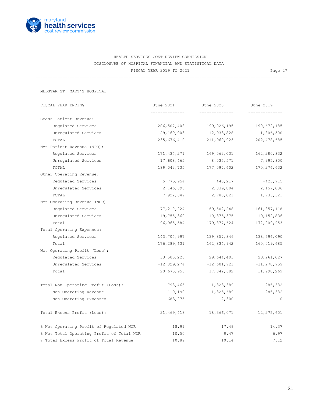

=======================================================================================================

MEDSTAR ST. MARY'S HOSPITAL

| FISCAL YEAR ENDING                        | June 2021     | June 2020      | June 2019       |
|-------------------------------------------|---------------|----------------|-----------------|
| Gross Patient Revenue:                    |               |                |                 |
| Regulated Services                        | 206, 507, 408 | 199,026,195    | 190,672,185     |
| Unregulated Services                      | 29,169,003    | 12,933,828     | 11,806,500      |
| TOTAL                                     | 235,676,410   | 211,960,023    | 202, 478, 685   |
| Net Patient Revenue (NPR):                |               |                |                 |
| Regulated Services                        | 171, 434, 271 | 169,062,031    | 162,280,832     |
| Unregulated Services                      | 17,608,465    | 8,035,571      | 7,995,800       |
| TOTAL                                     | 189,042,735   | 177,097,602    | 170, 276, 632   |
| Other Operating Revenue:                  |               |                |                 |
| Regulated Services                        | 5,775,954     | 440,217        | $-423,715$      |
| Unregulated Services                      | 2,146,895     | 2,339,804      | 2,157,036       |
| TOTAL                                     | 7,922,849     | 2,780,021      | 1,733,321       |
| Net Operating Revenue (NOR)               |               |                |                 |
| Regulated Services                        | 177, 210, 224 | 169,502,248    | 161,857,118     |
| Unregulated Services                      | 19,755,360    | 10,375,375     | 10,152,836      |
| Total                                     | 196,965,584   | 179,877,624    | 172,009,953     |
| Total Operating Expenses:                 |               |                |                 |
| Regulated Services                        | 143,704,997   | 139,857,846    | 138,596,090     |
| Total                                     | 176,289,631   | 162,834,942    | 160,019,685     |
| Net Operating Profit (Loss):              |               |                |                 |
| Regulated Services                        | 33,505,228    | 29,644,403     | 23, 261, 027    |
| Unregulated Services                      | $-12,829,274$ | $-12$ ,601,721 | $-11, 270, 759$ |
| Total                                     | 20,675,953    | 17,042,682     | 11,990,269      |
| Total Non-Operating Profit (Loss):        | 793,465       | 1,323,389      | 285,332         |
| Non-Operating Revenue                     | 110,190       | 1,325,689      | 285,332         |
| Non-Operating Expenses                    | $-683, 275$   | 2,300          | $\Omega$        |
| Total Excess Profit (Loss):               | 21,469,418    | 18,366,071     | 12,275,601      |
| % Net Operating Profit of Regulated NOR   | 18.91         | 17.49          | 14.37           |
| % Net Total Operating Profit of Total NOR | 10.50         | 9.47           | 6.97            |
| % Total Excess Profit of Total Revenue    | 10.89         | 10.14          | 7.12            |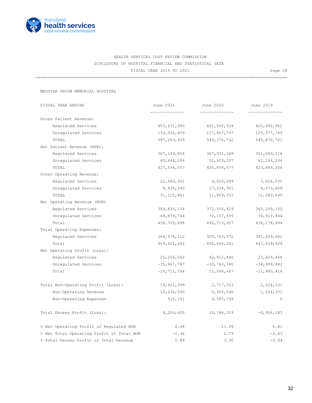

=======================================================================================================

MEDSTAR UNION MEMORIAL HOSPITAL

| FISCAL YEAR ENDING                        | June 2021       | June 2020      | June 2019     |
|-------------------------------------------|-----------------|----------------|---------------|
|                                           |                 | -------------- |               |
| Gross Patient Revenue:                    |                 |                |               |
| Requlated Services                        | 453,671,280     | 431,562,934    | 420, 492, 952 |
| Unregulated Services                      | 133,532,659     | 117,807,797    | 125, 377, 749 |
| TOTAL                                     | 587,203,939     | 549,370,732    | 545,870,701   |
| Net Patient Revenue (NPR):                |                 |                |               |
| Regulated Services                        | 367,149,854     | 367,931,369    | 361, 643, 118 |
| Unregulated Services                      | 60,444,204      | 52,923,207     | 62,246,236    |
| TOTAL                                     | 427,594,057     | 420,854,577    | 423,889,354   |
| Other Operating Revenue:                  |                 |                |               |
| Regulated Services                        | 22,680,301      | 4,625,049      | 3,616,032     |
| Unregulated Services                      | 8,435,540       | 17,234,301     | 8,673,608     |
| TOTAL                                     | 31, 115, 841    | 21,859,351     | 12,289,640    |
| Net Operating Revenue (NOR)               |                 |                |               |
| Regulated Services                        | 389,830,154     | 372,556,419    | 365, 259, 150 |
| Unregulated Services                      | 68,879,744      | 70,157,509     | 70,919,844    |
| Total                                     | 458,709,898     | 442,713,927    | 436, 178, 994 |
| Total Operating Expenses:                 |                 |                |               |
| Regulated Services                        | 364,574,112     | 329,743,972    | 341,829,682   |
| Total                                     | 469, 421, 642   | 430,645,261    | 447,659,408   |
| Net Operating Profit (Loss):              |                 |                |               |
| Regulated Services                        | 25,256,042      | 42,812,446     | 23,429,468    |
| Unregulated Services                      | $-35,967,787$   | $-30,743,780$  | $-34,909,882$ |
| Total                                     | $-10, 711, 744$ | 12,068,667     | $-11,480,414$ |
| Total Non-Operating Profit (Loss):        | 14,921,399      | 2,717,353      | 2,524,331     |
| Non-Operating Revenue                     | 15,236,590      | 5,302,546      | 2,524,331     |
| Non-Operating Expenses                    | 315,191         | 2,585,194      | $\circ$       |
| Total Excess Profit (Loss):               | 4,209,655       | 14,786,019     | $-8,956,083$  |
| % Net Operating Profit of Regulated NOR   | 6.48            | 11.49          | 6.41          |
| % Net Total Operating Profit of Total NOR | $-2.34$         | 2.73           | $-2.63$       |
| % Total Excess Profit of Total Revenue    | 0.89            | 3.30           | $-2.04$       |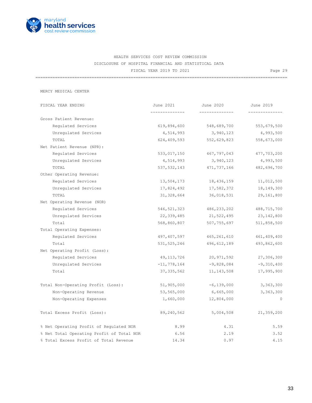

=======================================================================================================

MERCY MEDICAL CENTER

| FISCAL YEAR ENDING                        | June 2021     | June 2020      | June 2019    |
|-------------------------------------------|---------------|----------------|--------------|
|                                           |               |                |              |
| Gross Patient Revenue:                    |               |                |              |
| Requlated Services                        | 619,894,600   | 548,689,700    | 553,679,500  |
| Unregulated Services                      | 4,514,993     | 3,940,123      | 4,993,500    |
| TOTAL                                     | 624,409,593   | 552,629,823    | 558,673,000  |
| Net Patient Revenue (NPR):                |               |                |              |
| Regulated Services                        | 533,017,150   | 467,797,043    | 477,703,200  |
| Unregulated Services                      | 4,514,993     | 3,940,123      | 4,993,500    |
| TOTAL                                     | 537,532,143   | 471,737,166    | 482,696,700  |
| Other Operating Revenue:                  |               |                |              |
| Regulated Services                        | 13,504,173    | 18,436,159     | 11,012,500   |
| Unregulated Services                      | 17,824,492    | 17,582,372     | 18, 149, 300 |
| TOTAL                                     | 31,328,664    | 36,018,531     | 29,161,800   |
| Net Operating Revenue (NOR)               |               |                |              |
| Regulated Services                        | 546, 521, 323 | 486, 233, 202  | 488,715,700  |
| Unregulated Services                      | 22,339,485    | 21,522,495     | 23,142,800   |
| Total                                     | 568,860,807   | 507,755,697    | 511,858,500  |
| Total Operating Expenses:                 |               |                |              |
| Regulated Services                        | 497,407,597   | 465,261,610    | 461,409,400  |
| Total                                     | 531, 525, 246 | 496,612,189    | 493,862,600  |
| Net Operating Profit (Loss):              |               |                |              |
| Regulated Services                        | 49,113,726    | 20,971,592     | 27,306,300   |
| Unregulated Services                      | $-11,778,164$ | $-9,828,084$   | $-9,310,400$ |
| Total                                     | 37, 335, 562  | 11, 143, 508   | 17,995,900   |
| Total Non-Operating Profit (Loss):        | 51,905,000    | $-6, 139, 000$ | 3,363,300    |
| Non-Operating Revenue                     | 53,565,000    | 6,665,000      | 3,363,300    |
| Non-Operating Expenses                    | 1,660,000     | 12,804,000     | $\circ$      |
| Total Excess Profit (Loss):               | 89,240,562    | 5,004,508      | 21,359,200   |
| % Net Operating Profit of Regulated NOR   | 8.99          | 4.31           | 5.59         |
| % Net Total Operating Profit of Total NOR | 6.56          | 2.19           | 3.52         |
| % Total Excess Profit of Total Revenue    | 14.34         | 0.97           | 4.15         |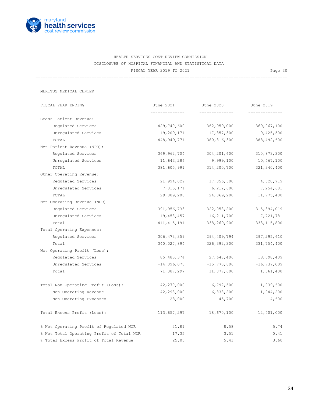

=======================================================================================================

MERITUS MEDICAL CENTER

| FISCAL YEAR ENDING                        | June 2021     | June 2020                   | June 2019       |
|-------------------------------------------|---------------|-----------------------------|-----------------|
| Gross Patient Revenue:                    |               |                             |                 |
| Requlated Services                        | 429,740,600   | 362,959,000                 | 369,067,100     |
| Unregulated Services                      | 19,209,171    | 17,357,300                  | 19,425,500      |
| TOTAL                                     | 448,949,771   | 380, 316, 300               | 388,492,600     |
| Net Patient Revenue (NPR):                |               |                             |                 |
| Regulated Services                        | 369,962,704   | 304,201,600                 | 310,873,300     |
| Unregulated Services                      | 11,643,286    | 9,999,100                   | 10,467,100      |
| TOTAL                                     | 381,605,991   | 314,200,700                 | 321, 340, 400   |
| Other Operating Revenue:                  |               |                             |                 |
| Regulated Services                        | 21,994,029    | 17,856,600                  | 4,520,719       |
| Unregulated Services                      | 7,815,171     | 6,212,600                   | 7,254,681       |
| TOTAL                                     | 29,809,200    | 24,069,200                  | 11,775,400      |
| Net Operating Revenue (NOR)               |               |                             |                 |
| Regulated Services                        |               | 391,956,733 322,058,200     | 315,394,019     |
| Unregulated Services                      | 19,458,457    | 16,211,700                  | 17,721,781      |
| Total                                     | 411, 415, 191 | 338,269,900                 | 333, 115, 800   |
| Total Operating Expenses:                 |               |                             |                 |
| Requlated Services                        | 306,473,359   | 294,409,794                 | 297, 295, 610   |
| Total                                     | 340,027,894   | 326,392,300                 | 331,754,400     |
| Net Operating Profit (Loss):              |               |                             |                 |
| Regulated Services                        | 85,483,374    | 27,648,406                  | 18,098,409      |
| Unregulated Services                      |               | $-14,096,078$ $-15,770,806$ | $-16, 737, 009$ |
| Total                                     | 71,387,297    | 11,877,600                  | 1,361,400       |
| Total Non-Operating Profit (Loss):        | 42,270,000    | 6,792,500                   | 11,039,600      |
| Non-Operating Revenue                     | 42,298,000    | 6,838,200                   | 11,044,200      |
| Non-Operating Expenses                    | 28,000        | 45,700                      | 4,600           |
| Total Excess Profit (Loss):               | 113,657,297   | 18,670,100                  | 12,401,000      |
| % Net Operating Profit of Regulated NOR   | 21.81         | 8.58                        | 5.74            |
| % Net Total Operating Profit of Total NOR | 17.35         | 3.51                        | 0.41            |
| % Total Excess Profit of Total Revenue    | 25.05         | 5.41                        | 3.60            |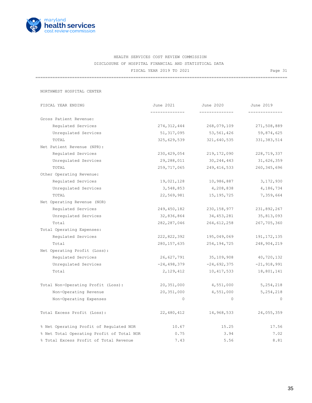

=======================================================================================================

NORTHWEST HOSPITAL CENTER

| FISCAL YEAR ENDING                        | June 2021     | June 2020      | June 2019     |
|-------------------------------------------|---------------|----------------|---------------|
|                                           |               | -------------- |               |
| Gross Patient Revenue:                    |               |                |               |
| Regulated Services                        | 274,312,444   | 268,079,109    | 271,508,889   |
| Unregulated Services                      | 51, 317, 095  | 53,561,426     | 59,874,625    |
| TOTAL                                     | 325,629,539   | 321,640,535    | 331, 383, 514 |
| Net Patient Revenue (NPR):                |               |                |               |
| Requlated Services                        | 230,429,054   | 219,172,090    | 228, 719, 337 |
| Unregulated Services                      | 29,288,011    | 30,244,443     | 31,626,359    |
| TOTAL                                     | 259,717,065   | 249, 416, 533  | 260, 345, 696 |
| Other Operating Revenue:                  |               |                |               |
| Regulated Services                        | 19,021,128    | 10,986,887     | 3,172,930     |
| Unregulated Services                      | 3,548,853     | 4,208,838      | 4,186,734     |
| TOTAL                                     | 22,569,981    | 15, 195, 725   | 7,359,664     |
| Net Operating Revenue (NOR)               |               |                |               |
| Regulated Services                        | 249,450,182   | 230, 158, 977  | 231,892,267   |
| Unregulated Services                      | 32,836,864    | 34,453,281     | 35,813,093    |
| Total                                     | 282, 287, 046 | 264,612,258    | 267,705,360   |
| Total Operating Expenses:                 |               |                |               |
| Regulated Services                        | 222,822,392   | 195,049,069    | 191, 172, 135 |
| Total                                     | 280, 157, 635 | 254,194,725    | 248,904,219   |
| Net Operating Profit (Loss):              |               |                |               |
| Regulated Services                        | 26,627,791    | 35,109,908     | 40,720,132    |
| Unregulated Services                      | $-24,498,379$ | $-24,692,375$  | $-21,918,991$ |
| Total                                     | 2,129,412     | 10, 417, 533   | 18,801,141    |
| Total Non-Operating Profit (Loss):        | 20,351,000    | 4,551,000      | 5,254,218     |
| Non-Operating Revenue                     | 20,351,000    | 4,551,000      | 5, 254, 218   |
| Non-Operating Expenses                    | $\circ$       | $\circ$        | $\mathbf{0}$  |
| Total Excess Profit (Loss):               | 22,480,412    | 14,968,533     | 24,055,359    |
| % Net Operating Profit of Regulated NOR   | 10.67         | 15.25          | 17.56         |
| % Net Total Operating Profit of Total NOR | 0.75          | 3.94           | 7.02          |
| % Total Excess Profit of Total Revenue    | 7.43          | 5.56           | 8.81          |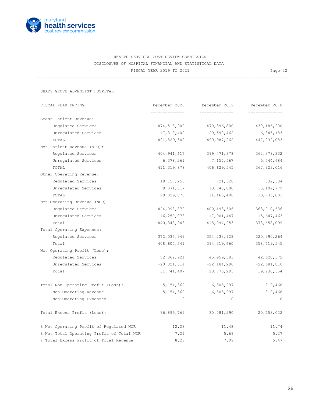

=======================================================================================================

SHADY GROVE ADVENTIST HOSPITAL

| FISCAL YEAR ENDING                        | December 2020   | December 2019 | December 2018 |
|-------------------------------------------|-----------------|---------------|---------------|
| Gross Patient Revenue:                    | ------------    | ------------  |               |
| Regulated Services                        | 474,518,900     | 470,396,800   | 430,186,900   |
| Unregulated Services                      | 17,310,402      | 20,590,462    | 16,845,183    |
| TOTAL                                     | 491,829,302     | 490,987,262   | 447,032,083   |
| Net Patient Revenue (NPR):                |                 |               |               |
| Requlated Services                        | 404, 941, 617   | 399, 471, 978 | 362, 378, 332 |
| Unregulated Services                      | 6,378,261       | 7,157,567     | 5,544,684     |
| TOTAL                                     | 411, 319, 878   | 406,629,545   | 367, 923, 016 |
| Other Operating Revenue:                  |                 |               |               |
| Regulated Services                        | 19,157,253      | 721,528       | 632,304       |
| Unregulated Services                      | 9,871,817       | 10,743,880    | 10,102,779    |
| TOTAL                                     | 29,029,070      | 11,465,408    | 10,735,083    |
| Net Operating Revenue (NOR)               |                 |               |               |
| Regulated Services                        | 424,098,870     | 400,193,506   | 363,010,636   |
| Unregulated Services                      | 16,250,078      | 17,901,447    | 15,647,463    |
| Total                                     | 440,348,948     | 418,094,953   | 378,658,099   |
| Total Operating Expenses:                 |                 |               |               |
| Requlated Services                        | 372,035,949     | 354, 233, 923 | 320, 390, 264 |
| Total                                     | 408,607,541     | 394, 319, 660 | 358,719,545   |
| Net Operating Profit (Loss):              |                 |               |               |
| Regulated Services                        | 52,062,921      | 45,959,583    | 42,620,372    |
| Unregulated Services                      | $-20, 321, 514$ | $-22,184,290$ | $-22,681,818$ |
| Total                                     | 31,741,407      | 23, 775, 293  | 19,938,554    |
| Total Non-Operating Profit (Loss):        | 5,154,362       | 6,305,997     | 819,468       |
| Non-Operating Revenue                     | 5, 154, 362     | 6,305,997     | 819,468       |
| Non-Operating Expenses                    | $\circ$         | $\circ$       | $\Omega$      |
| Total Excess Profit (Loss):               | 36,895,769      | 30,081,290    | 20,758,022    |
| % Net Operating Profit of Regulated NOR   | 12.28           | 11.48         | 11.74         |
| % Net Total Operating Profit of Total NOR | 7.21            | 5.69          | 5.27          |
| % Total Excess Profit of Total Revenue    | 8.28            | 7.09          | 5.47          |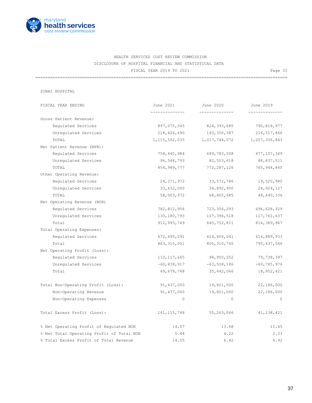

=======================================================================================================

| FISCAL YEAR ENDING                        | June 2021        | June 2020     | June 2019       |
|-------------------------------------------|------------------|---------------|-----------------|
|                                           |                  |               |                 |
| Gross Patient Revenue:                    |                  |               |                 |
| Regulated Services                        | 897,075,345      | 824, 393, 685 | 790,818,977     |
| Unregulated Services                      | 218,426,690      | 193,350,387   | 216, 517, 866   |
| TOTAL                                     | 1, 115, 502, 035 | 1,017,744,072 | 1,007,336,843   |
| Net Patient Revenue (NPR):                |                  |               |                 |
| Requlated Services                        | 758,440,984      | 689,783,508   | 677,107,349     |
| Unregulated Services                      | 96,548,793       | 82,503,618    | 88,837,511      |
| TOTAL                                     | 854, 989, 777    | 772, 287, 126 | 765,944,860     |
| Other Operating Revenue:                  |                  |               |                 |
| Regulated Services                        | 24, 371, 972     | 33, 572, 786  | 19,520,980      |
| Unregulated Services                      | 33,632,000       | 34,892,900    | 28, 924, 127    |
| TOTAL                                     | 58,003,972       | 68,465,685    | 48, 445, 106    |
| Net Operating Revenue (NOR)               |                  |               |                 |
| Regulated Services                        | 782,812,956      | 723, 356, 293 | 696,628,329     |
| Unregulated Services                      | 130,180,793      | 117,396,518   | 117,761,637     |
| Total                                     | 912,993,749      | 840,752,811   | 814,389,967     |
| Total Operating Expenses:                 |                  |               |                 |
| Requlated Services                        | 672,695,291      | 624,406,041   | 616,889,933     |
| Total                                     | 863, 315, 001    | 805, 310, 745 | 795, 437, 546   |
| Net Operating Profit (Loss):              |                  |               |                 |
| Regulated Services                        | 110, 117, 665    | 98,950,252    | 79,738,397      |
| Unregulated Services                      | $-60,438,917$    | $-63,508,186$ | $-60, 785, 976$ |
| Total                                     | 49,678,748       | 35,442,066    | 18,952,421      |
| Total Non-Operating Profit (Loss):        | 91,437,000       | 19,821,000    | 22,186,000      |
| Non-Operating Revenue                     | 91,437,000       | 19,821,000    | 22,186,000      |
| Non-Operating Expenses                    | $\mathbf{0}$     | $\circ$       | $\Omega$        |
| Total Excess Profit (Loss):               | 141, 115, 748    | 55,263,066    | 41, 138, 421    |
| % Net Operating Profit of Regulated NOR   | 14.07            | 13.68         | 11.45           |
| % Net Total Operating Profit of Total NOR | 5.44             | 4.22          | 2.33            |
| % Total Excess Profit of Total Revenue    | 14.05            | 6.42          | 4.92            |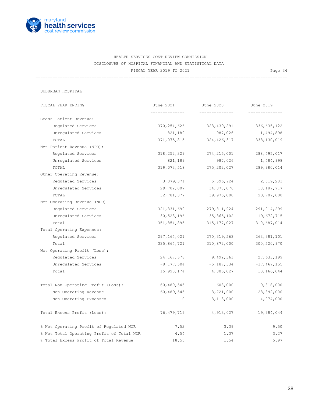

=======================================================================================================

| FISCAL YEAR ENDING                        | June 2021      | June 2020      | June 2019       |
|-------------------------------------------|----------------|----------------|-----------------|
| Gross Patient Revenue:                    |                | -------------- |                 |
| Requlated Services                        | 370,254,626    | 323,439,291    | 336, 635, 122   |
| Unregulated Services                      | 821,189        | 987,026        | 1,494,898       |
| TOTAL                                     | 371,075,815    | 324, 426, 317  | 338,130,019     |
| Net Patient Revenue (NPR):                |                |                |                 |
| Regulated Services                        | 318,252,329    | 274, 215, 001  | 288, 495, 017   |
| Unregulated Services                      | 821,189        | 987,026        | 1,484,998       |
| TOTAL                                     | 319,073,518    | 275, 202, 027  | 289,980,014     |
| Other Operating Revenue:                  |                |                |                 |
| Regulated Services                        | 3,079,371      | 5,596,924      | 2,519,283       |
| Unregulated Services                      | 29,702,007     | 34,378,076     | 18, 187, 717    |
| TOTAL                                     | 32,781,377     | 39,975,000     | 20,707,000      |
| Net Operating Revenue (NOR)               |                |                |                 |
| Regulated Services                        | 321, 331, 699  | 279,811,924    | 291,014,299     |
| Unregulated Services                      | 30,523,196     | 35,365,102     | 19,672,715      |
| Total                                     | 351,854,895    | 315,177,027    | 310,687,014     |
| Total Operating Expenses:                 |                |                |                 |
| Regulated Services                        | 297,164,021    | 270, 319, 563  | 263, 381, 101   |
| Total                                     | 335,864,721    | 310,872,000    | 300,520,970     |
| Net Operating Profit (Loss):              |                |                |                 |
| Regulated Services                        | 24,167,678     | 9,492,361      | 27,633,199      |
| Unregulated Services                      | $-8, 177, 504$ | $-5,187,334$   | $-17, 467, 155$ |
| Total                                     | 15,990,174     | 4,305,027      | 10,166,044      |
| Total Non-Operating Profit (Loss):        | 60,489,545     | 608,000        | 9,818,000       |
| Non-Operating Revenue                     | 60,489,545     | 3,721,000      | 23,892,000      |
| Non-Operating Expenses                    | $\circ$        | 3,113,000      | 14,074,000      |
| Total Excess Profit (Loss):               | 76, 479, 719   | 4,913,027      | 19,984,044      |
| % Net Operating Profit of Regulated NOR   | 7.52           | 3.39           | 9.50            |
| % Net Total Operating Profit of Total NOR | 4.54           | 1.37           | 3.27            |
| % Total Excess Profit of Total Revenue    | 18.55          | 1.54           | 5.97            |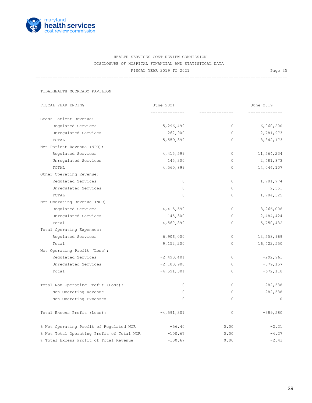

=======================================================================================================

TIDALHEALTH MCCREADY PAVILION

| FISCAL YEAR ENDING                        | June 2021    |          | June 2019    |
|-------------------------------------------|--------------|----------|--------------|
| Gross Patient Revenue:                    | ------------ |          | -----------  |
| Regulated Services                        | 5,296,499    | $\circ$  | 16,060,200   |
| Unregulated Services                      | 262,900      | $\circ$  | 2,781,973    |
| TOTAL                                     | 5,559,399    | $\circ$  | 18,842,173   |
| Net Patient Revenue (NPR):                |              |          |              |
| Regulated Services                        | 4, 415, 599  | $\circ$  | 11,564,234   |
| Unregulated Services                      | 145,300      | $\circ$  | 2,481,873    |
| TOTAL                                     | 4,560,899    | $\circ$  | 14,046,107   |
| Other Operating Revenue:                  |              |          |              |
| Regulated Services                        | $\circ$      | $\circ$  | 1,701,774    |
| Unregulated Services                      | $\Omega$     | $\circ$  | 2,551        |
| TOTAL                                     | $\circ$      | $\circ$  | 1,704,325    |
| Net Operating Revenue (NOR)               |              |          |              |
| Regulated Services                        | 4, 415, 599  | $\circ$  | 13,266,008   |
| Unregulated Services                      | 145,300      | $\Omega$ | 2,484,424    |
| Total                                     | 4,560,899    | 0        | 15,750,432   |
| Total Operating Expenses:                 |              |          |              |
| Regulated Services                        | 6,906,000    | $\circ$  | 13,558,969   |
| Total                                     | 9,152,200    | $\circ$  | 16, 422, 550 |
| Net Operating Profit (Loss):              |              |          |              |
| Regulated Services                        | $-2,490,401$ | $\circ$  | $-292,961$   |
| Unregulated Services                      | $-2,100,900$ | $\circ$  | $-379,157$   |
| Total                                     | $-4,591,301$ | $\circ$  | $-672, 118$  |
| Total Non-Operating Profit (Loss):        | $\circ$      | $\circ$  | 282,538      |
| Non-Operating Revenue                     | $\circ$      | $\Omega$ | 282,538      |
| Non-Operating Expenses                    | $\mathbf 0$  | $\circ$  | $\circ$      |
| Total Excess Profit (Loss):               | $-4,591,301$ | $\circ$  | $-389,580$   |
| % Net Operating Profit of Regulated NOR   | $-56.40$     | 0.00     | $-2.21$      |
| % Net Total Operating Profit of Total NOR | $-100.67$    | 0.00     | $-4.27$      |
| % Total Excess Profit of Total Revenue    | $-100.67$    | 0.00     | $-2.43$      |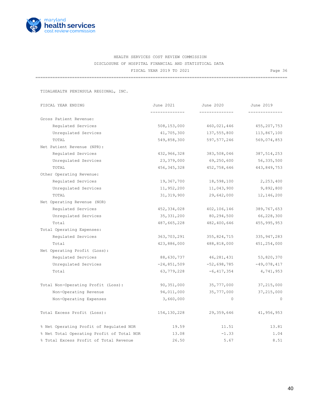

=======================================================================================================

TIDALHEALTH PENINSULA REGIONAL, INC.

| FISCAL YEAR ENDING                        | June 2021     | June 2020    | June 2019     |
|-------------------------------------------|---------------|--------------|---------------|
|                                           |               |              |               |
| Gross Patient Revenue:                    |               |              |               |
| Regulated Services                        | 508, 153, 000 | 460,021,446  | 455, 207, 753 |
| Unregulated Services                      | 41,705,300    | 137,555,800  | 113,867,100   |
| TOTAL                                     | 549,858,300   | 597,577,246  | 569,074,853   |
| Net Patient Revenue (NPR):                |               |              |               |
| Regulated Services                        | 432,966,328   | 383,508,046  | 387, 514, 253 |
| Unregulated Services                      | 23,379,000    | 69,250,600   | 56,335,500    |
| TOTAL                                     | 456, 345, 328 | 452,758,646  | 443,849,753   |
| Other Operating Revenue:                  |               |              |               |
| Regulated Services                        | 19,367,700    | 18,598,100   | 2,253,400     |
| Unregulated Services                      | 11,952,200    | 11,043,900   | 9,892,800     |
| TOTAL                                     | 31, 319, 900  | 29,642,000   | 12, 146, 200  |
| Net Operating Revenue (NOR)               |               |              |               |
| Regulated Services                        | 452,334,028   | 402,106,146  | 389,767,653   |
| Unregulated Services                      | 35, 331, 200  | 80,294,500   | 66,228,300    |
| Total                                     | 487,665,228   | 482,400,646  | 455, 995, 953 |
| Total Operating Expenses:                 |               |              |               |
| Regulated Services                        | 363,703,291   | 355,824,715  | 335, 947, 283 |
| Total                                     | 423,886,000   | 488,818,000  | 451,254,000   |
| Net Operating Profit (Loss):              |               |              |               |
| Regulated Services                        | 88,630,737    | 46,281,431   | 53,820,370    |
| Unregulated Services                      | $-24,851,509$ | -52,698,785  | $-49,078,417$ |
| Total                                     | 63,779,228    | $-6,417,354$ | 4,741,953     |
| Total Non-Operating Profit (Loss):        | 90,351,000    | 35,777,000   | 37,215,000    |
| Non-Operating Revenue                     | 94,011,000    | 35,777,000   | 37,215,000    |
| Non-Operating Expenses                    | 3,660,000     | $\circ$      | $\Omega$      |
| Total Excess Profit (Loss):               | 154, 130, 228 | 29,359,646   | 41,956,953    |
| % Net Operating Profit of Regulated NOR   | 19.59         | 11.51        | 13.81         |
| % Net Total Operating Profit of Total NOR | 13.08         | $-1.33$      | 1.04          |
| % Total Excess Profit of Total Revenue    | 26.50         | 5.67         | 8.51          |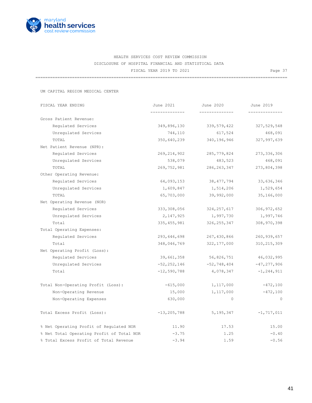

=======================================================================================================

UM CAPITAL REGION MEDICAL CENTER

| FISCAL YEAR ENDING                        | June 2021       | June 2020     | June 2019      |
|-------------------------------------------|-----------------|---------------|----------------|
| Gross Patient Revenue:                    |                 |               |                |
| Regulated Services                        | 349,896,130     | 339,579,422   | 327,529,548    |
| Unregulated Services                      | 744,110         | 617,524       | 468,091        |
| TOTAL                                     | 350,640,239     | 340,196,946   | 327,997,639    |
| Net Patient Revenue (NPR):                |                 |               |                |
| Regulated Services                        | 269, 214, 902   | 285,779,824   | 273, 336, 306  |
| Unregulated Services                      | 538,079         | 483,523       | 468,091        |
| TOTAL                                     | 269,752,981     | 286, 263, 347 | 273,804,398    |
| Other Operating Revenue:                  |                 |               |                |
| Regulated Services                        | 64,093,153      | 38,477,794    | 33,636,346     |
| Unregulated Services                      | 1,609,847       | 1,514,206     | 1,529,654      |
| TOTAL                                     | 65,703,000      | 39,992,000    | 35,166,000     |
| Net Operating Revenue (NOR)               |                 |               |                |
| Regulated Services                        | 333,308,056     | 324, 257, 617 | 306, 972, 652  |
| Unregulated Services                      | 2,147,925       | 1,997,730     | 1,997,746      |
| Total                                     | 335, 455, 981   | 326, 255, 347 | 308,970,398    |
| Total Operating Expenses:                 |                 |               |                |
| Requlated Services                        | 293,646,698     | 267,430,866   | 260,939,657    |
| Total                                     | 348,046,769     | 322, 177, 000 | 310, 215, 309  |
| Net Operating Profit (Loss):              |                 |               |                |
| Regulated Services                        | 39,661,358      | 56,826,751    | 46,032,995     |
| Unregulated Services                      | $-52, 252, 146$ | $-52,748,404$ | $-47,277,906$  |
| Total                                     | $-12,590,788$   | 4,078,347     | $-1, 244, 911$ |
| Total Non-Operating Profit (Loss):        | $-615,000$      | 1,117,000     | $-472,100$     |
| Non-Operating Revenue                     | 15,000          | 1,117,000     | $-472,100$     |
| Non-Operating Expenses                    | 630,000         | $\circ$       | $\Omega$       |
| Total Excess Profit (Loss):               | $-13, 205, 788$ | 5, 195, 347   | $-1, 717, 011$ |
| % Net Operating Profit of Regulated NOR   | 11.90           | 17.53         | 15.00          |
| % Net Total Operating Profit of Total NOR | $-3.75$         | 1.25          | $-0.40$        |
| % Total Excess Profit of Total Revenue    | $-3.94$         | 1.59          | $-0.56$        |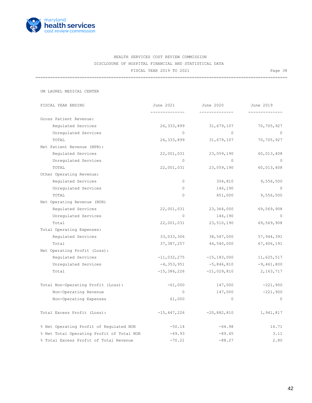

=======================================================================================================

UM LAUREL MEDICAL CENTER

| FISCAL YEAR ENDING                        | June 2021      | June 2020       | June 2019      |
|-------------------------------------------|----------------|-----------------|----------------|
| Gross Patient Revenue:                    | ______________ | --------------  | -------------- |
| Requlated Services                        | 26,333,899     | 31,679,107      | 70,705,927     |
| Unregulated Services                      | $\Omega$       | $\Omega$        | $\bigcirc$     |
| TOTAL                                     | 26, 333, 899   | 31,679,107      | 70,705,927     |
| Net Patient Revenue (NPR):                |                |                 |                |
| Regulated Services                        | 22,001,031     | 23,059,190      | 60,013,408     |
| Unregulated Services                      | $\Omega$       | $\Omega$        | $\circ$        |
| TOTAL                                     | 22,001,031     | 23,059,190      | 60,013,408     |
| Other Operating Revenue:                  |                |                 |                |
| Regulated Services                        | $\circ$        | 304,810         | 9,556,500      |
| Unregulated Services                      | $\circ$        | 146,190         | $\circ$        |
| TOTAL                                     | $\mathbf{0}$   | 451,000         | 9,556,500      |
| Net Operating Revenue (NOR)               |                |                 |                |
| Regulated Services                        | 22,001,031     | 23,364,000      | 69,569,908     |
| Unregulated Services                      | $\circ$        | 146,190         | $\bigcap$      |
| Total                                     | 22,001,031     | 23,510,190      | 69,569,908     |
| Total Operating Expenses:                 |                |                 |                |
| Requlated Services                        | 33,033,306     | 38,547,000      | 57, 944, 391   |
| Total                                     | 37, 387, 257   | 44,540,000      | 67,406,191     |
| Net Operating Profit (Loss):              |                |                 |                |
| Regulated Services                        | $-11,032,275$  | $-15, 183, 000$ | 11,625,517     |
| Unregulated Services                      | $-4, 353, 951$ | $-5,846,810$    | $-9,461,800$   |
| Total                                     | $-15,386,226$  | $-21,029,810$   | 2, 163, 717    |
| Total Non-Operating Profit (Loss):        | $-61,000$      | 147,000         | $-221,900$     |
| Non-Operating Revenue                     | $\circ$        | 147,000         | $-221,900$     |
| Non-Operating Expenses                    | 61,000         | $\circ$         | $\circ$        |
| Total Excess Profit (Loss):               | $-15,447,226$  | $-20,882,810$   | 1,941,817      |
| % Net Operating Profit of Regulated NOR   | $-50.14$       | $-64.98$        | 16.71          |
| % Net Total Operating Profit of Total NOR | $-69.93$       | $-89.45$        | 3.11           |
| % Total Excess Profit of Total Revenue    | $-70.21$       | $-88.27$        | 2.80           |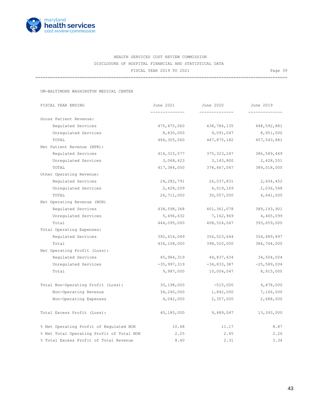

=======================================================================================================

UM-BALTIMORE WASHINGTON MEDICAL CENTER

| FISCAL YEAR ENDING                        | June 2021     | June 2020     | June 2019     |
|-------------------------------------------|---------------|---------------|---------------|
|                                           |               |               |               |
| Gross Patient Revenue:                    |               |               |               |
| Requlated Services                        | 475,475,060   | 438,784,135   | 448,592,881   |
| Unregulated Services                      | 8,830,000     | 9,091,047     | 8,951,000     |
| TOTAL                                     | 484,305,060   | 447,875,182   | 457, 543, 881 |
| Net Patient Revenue (NPR):                |               |               |               |
| Regulated Services                        | 414, 315, 577 | 375, 323, 247 | 386,589,449   |
| Unregulated Services                      | 3,068,423     | 3,143,800     | 2,428,551     |
| TOTAL                                     | 417,384,000   | 378,467,047   | 389,018,000   |
| Other Operating Revenue:                  |               |               |               |
| Regulated Services                        | 24,282,791    | 26,037,831    | 2,604,452     |
| Unregulated Services                      | 2,428,209     | 4,019,169     | 2,036,548     |
| TOTAL                                     | 26,711,000    | 30,057,000    | 4,641,000     |
| Net Operating Revenue (NOR)               |               |               |               |
| Regulated Services                        | 438,598,368   | 401,361,078   | 389, 193, 901 |
| Unregulated Services                      | 5,496,632     | 7,162,969     | 4,465,099     |
| Total                                     | 444,095,000   | 408,524,047   | 393,659,000   |
| Total Operating Expenses:                 |               |               |               |
| Regulated Services                        | 392,614,049   | 356,523,644   | 354,689,897   |
| Total                                     | 434,108,000   | 398,520,000   | 384,744,000   |
| Net Operating Profit (Loss):              |               |               |               |
| Requlated Services                        | 45,984,319    | 44,837,434    | 34,504,004    |
| Unregulated Services                      | $-35,997,319$ | $-34,833,387$ | $-25,589,004$ |
| Total                                     | 9,987,000     | 10,004,047    | 8,915,000     |
| Total Non-Operating Profit (Loss):        | 30, 198, 000  | $-515,000$    | 4,478,000     |
| Non-Operating Revenue                     | 34,240,000    | 1,842,000     | 7,166,000     |
| Non-Operating Expenses                    | 4,042,000     | 2,357,000     | 2,688,000     |
| Total Excess Profit (Loss):               | 40,185,000    | 9,489,047     | 13,393,000    |
| % Net Operating Profit of Regulated NOR   | 10.48         | 11.17         | 8.87          |
| % Net Total Operating Profit of Total NOR | 2.25          | 2.45          | 2.26          |
| % Total Excess Profit of Total Revenue    | 8.40          | 2.31          | 3.34          |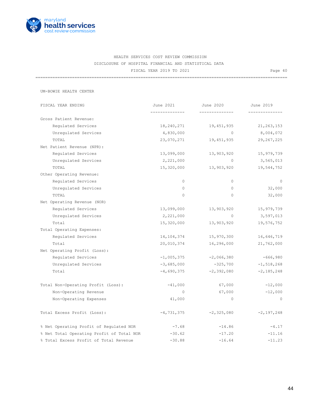

=======================================================================================================

UM-BOWIE HEALTH CENTER

| FISCAL YEAR ENDING                        | June 2021    | June 2020      | June 2019      |
|-------------------------------------------|--------------|----------------|----------------|
| Gross Patient Revenue:                    | ------------ | -------------- |                |
|                                           |              |                |                |
| Requlated Services                        | 18,240,271   | 19,451,935     | 21, 263, 153   |
| Unregulated Services                      | 4,830,000    | $\Omega$       | 8,004,072      |
| TOTAL                                     | 23,070,271   | 19,451,935     | 29, 267, 225   |
| Net Patient Revenue (NPR):                |              |                |                |
| Regulated Services                        | 13,099,000   | 13,903,920     | 15,979,739     |
| Unregulated Services                      | 2,221,000    | $\circ$        | 3,565,013      |
| TOTAL                                     | 15,320,000   | 13,903,920     | 19,544,752     |
| Other Operating Revenue:                  |              |                |                |
| Regulated Services                        | $\circ$      | $\circ$        | $\circ$        |
| Unregulated Services                      | $\circ$      | $\circ$        | 32,000         |
| TOTAL                                     | $\circ$      | $\circ$        | 32,000         |
| Net Operating Revenue (NOR)               |              |                |                |
| Regulated Services                        | 13,099,000   | 13,903,920     | 15,979,739     |
| Unregulated Services                      | 2,221,000    | $\circ$        | 3,597,013      |
| Total                                     | 15,320,000   | 13,903,920     | 19,576,752     |
| Total Operating Expenses:                 |              |                |                |
| Regulated Services                        | 14, 104, 374 | 15,970,300     | 16,646,719     |
| Total                                     | 20,010,374   | 16,296,000     | 21,762,000     |
| Net Operating Profit (Loss):              |              |                |                |
| Regulated Services                        | $-1,005,375$ | $-2,066,380$   | $-666,980$     |
| Unregulated Services                      | $-3,685,000$ | $-325,700$     | $-1, 518, 268$ |
| Total                                     | $-4,690,375$ | $-2,392,080$   | $-2, 185, 248$ |
| Total Non-Operating Profit (Loss):        | $-41,000$    | 67,000         | $-12,000$      |
| Non-Operating Revenue                     | $\circ$      | 67,000         | $-12,000$      |
|                                           |              | $\circ$        | $\circ$        |
| Non-Operating Expenses                    | 41,000       |                |                |
| Total Excess Profit (Loss):               | $-4,731,375$ | $-2, 325, 080$ | $-2, 197, 248$ |
| % Net Operating Profit of Regulated NOR   | $-7.68$      | $-14.86$       | $-4.17$        |
| % Net Total Operating Profit of Total NOR | $-30.62$     | $-17.20$       | $-11.16$       |
| % Total Excess Profit of Total Revenue    | $-30.88$     | $-16.64$       | $-11.23$       |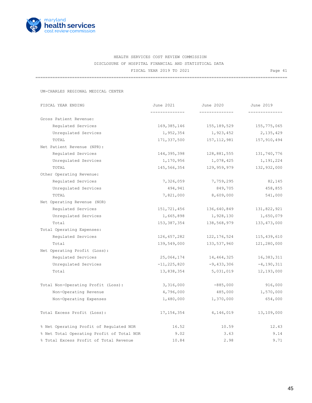

=======================================================================================================

UM-CHARLES REGIONAL MEDICAL CENTER

| FISCAL YEAR ENDING                        | June 2021       | June 2020      | June 2019      |
|-------------------------------------------|-----------------|----------------|----------------|
|                                           |                 | -------------- |                |
| Gross Patient Revenue:                    |                 |                |                |
| Requlated Services                        | 169,385,146     | 155,189,529    | 155,775,065    |
| Unregulated Services                      | 1,952,354       | 1,923,452      | 2,135,429      |
| TOTAL                                     | 171,337,500     | 157, 112, 981  | 157,910,494    |
| Net Patient Revenue (NPR):                |                 |                |                |
| Regulated Services                        | 144,395,398     | 128,881,555    | 131,740,776    |
| Unregulated Services                      | 1,170,956       | 1,078,425      | 1,191,224      |
| TOTAL                                     | 145,566,354     | 129,959,979    | 132,932,000    |
| Other Operating Revenue:                  |                 |                |                |
| Regulated Services                        | 7,326,059       | 7,759,295      | 82,145         |
| Unregulated Services                      | 494,941         | 849,705        | 458,855        |
| TOTAL                                     | 7,821,000       | 8,609,000      | 541,000        |
| Net Operating Revenue (NOR)               |                 |                |                |
| Regulated Services                        | 151,721,456     | 136,640,849    | 131,822,921    |
| Unregulated Services                      | 1,665,898       | 1,928,130      | 1,650,079      |
| Total                                     | 153, 387, 354   | 138,568,979    | 133, 473, 000  |
| Total Operating Expenses:                 |                 |                |                |
| Regulated Services                        | 126,657,282     | 122, 176, 524  | 115,439,610    |
| Total                                     | 139,549,000     | 133,537,960    | 121,280,000    |
| Net Operating Profit (Loss):              |                 |                |                |
| Requlated Services                        | 25,064,174      | 14,464,325     | 16,383,311     |
| Unregulated Services                      | $-11, 225, 820$ | $-9,433,306$   | $-4, 190, 311$ |
| Total                                     | 13,838,354      | 5,031,019      | 12,193,000     |
| Total Non-Operating Profit (Loss):        | 3,316,000       | $-885,000$     | 916,000        |
| Non-Operating Revenue                     | 4,796,000       | 485,000        | 1,570,000      |
| Non-Operating Expenses                    | 1,480,000       | 1,370,000      | 654,000        |
| Total Excess Profit (Loss):               | 17, 154, 354    | 4,146,019      | 13,109,000     |
| % Net Operating Profit of Regulated NOR   | 16.52           | 10.59          | 12.43          |
| % Net Total Operating Profit of Total NOR | 9.02            | 3.63           | 9.14           |
| % Total Excess Profit of Total Revenue    | 10.84           | 2.98           | 9.71           |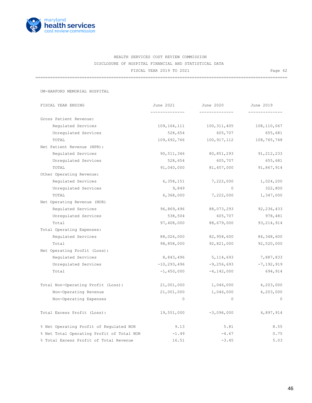

=======================================================================================================

UM-HARFORD MEMORIAL HOSPITAL

| FISCAL YEAR ENDING                        | June 2021       | June 2020      | June 2019    |
|-------------------------------------------|-----------------|----------------|--------------|
|                                           |                 | -------------- |              |
| Gross Patient Revenue:                    |                 |                |              |
| Requlated Services                        | 109,164,111     | 100, 311, 405  | 108,110,067  |
| Unregulated Services                      | 528,654         | 605,707        | 655,681      |
| TOTAL                                     | 109,692,766     | 100,917,112    | 108,765,748  |
| Net Patient Revenue (NPR):                |                 |                |              |
| Regulated Services                        | 90,511,346      | 80,851,293     | 91, 212, 233 |
| Unregulated Services                      | 528,654         | 605,707        | 655,681      |
| TOTAL                                     | 91,040,000      | 81,457,000     | 91,867,914   |
| Other Operating Revenue:                  |                 |                |              |
| Regulated Services                        | 6,358,151       | 7,222,000      | 1,024,200    |
| Unregulated Services                      | 9,849           | $\circ$        | 322,800      |
| TOTAL                                     | 6,368,000       | 7,222,000      | 1,347,000    |
| Net Operating Revenue (NOR)               |                 |                |              |
| Regulated Services                        | 96,869,496      | 88,073,293     | 92, 236, 433 |
| Unregulated Services                      | 538,504         | 605,707        | 978,481      |
| Total                                     | 97,408,000      | 88,679,000     | 93, 214, 914 |
| Total Operating Expenses:                 |                 |                |              |
| Regulated Services                        | 88,026,000      | 82,958,600     | 84,348,600   |
| Total                                     | 98,858,000      | 92,821,000     | 92,520,000   |
| Net Operating Profit (Loss):              |                 |                |              |
| Regulated Services                        | 8,843,496       | 5,114,693      | 7,887,833    |
| Unregulated Services                      | $-10, 293, 496$ | $-9,256,693$   | $-7,192,919$ |
| Total                                     | $-1,450,000$    | $-4, 142, 000$ | 694,914      |
| Total Non-Operating Profit (Loss):        | 21,001,000      | 1,046,000      | 4,203,000    |
| Non-Operating Revenue                     | 21,001,000      | 1,046,000      | 4,203,000    |
| Non-Operating Expenses                    | $\circ$         | $\circ$        | $\circ$      |
|                                           |                 |                |              |
| Total Excess Profit (Loss):               | 19,551,000      | $-3,096,000$   | 4,897,914    |
| % Net Operating Profit of Regulated NOR   | 9.13            | 5.81           | 8.55         |
| % Net Total Operating Profit of Total NOR | $-1.49$         | $-4.67$        | 0.75         |
| % Total Excess Profit of Total Revenue    | 16.51           | $-3.45$        | 5.03         |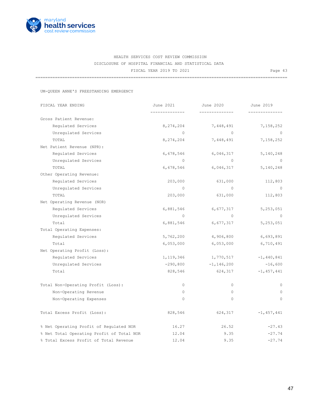

=======================================================================================================

UM-QUEEN ANNE'S FREESTANDING EMERGENCY

| FISCAL YEAR ENDING                        | June 2021   | June 2020      | June 2019<br>---------- |
|-------------------------------------------|-------------|----------------|-------------------------|
| Gross Patient Revenue:                    |             |                |                         |
| Regulated Services                        | 8,274,204   | 7,448,491      | 7,158,252               |
| Unregulated Services                      | $\Omega$    | $\Omega$       | $\bigcirc$              |
| TOTAL                                     | 8,274,204   | 7,448,491      | 7,158,252               |
| Net Patient Revenue (NPR):                |             |                |                         |
| Regulated Services                        | 6,678,546   | 6,046,317      | 5,140,248               |
| Unregulated Services                      | $\Omega$    | $\Omega$       | $\Omega$                |
| TOTAL                                     | 6,678,546   | 6,046,317      | 5,140,248               |
| Other Operating Revenue:                  |             |                |                         |
| Regulated Services                        | 203,000     | 631,000        | 112,803                 |
| Unregulated Services                      | $\circ$     | $\circ$        | $\circ$                 |
| TOTAL                                     | 203,000     | 631,000        | 112,803                 |
| Net Operating Revenue (NOR)               |             |                |                         |
| Regulated Services                        | 6,881,546   | 6,677,317      | 5, 253, 051             |
| Unregulated Services                      | $\Omega$    | $\bigcirc$     | $\overline{0}$          |
| Total                                     | 6,881,546   | 6,677,317      | 5,253,051               |
| Total Operating Expenses:                 |             |                |                         |
| Regulated Services                        | 5,762,200   | 4,906,800      | 6,693,891               |
| Total                                     | 6,053,000   | 6,053,000      | 6,710,491               |
| Net Operating Profit (Loss):              |             |                |                         |
| Regulated Services                        | 1, 119, 346 | 1,770,517      | $-1,440,841$            |
| Unregulated Services                      | $-290,800$  | $-1, 146, 200$ | $-16,600$               |
| Total                                     | 828,546     | 624,317        | $-1,457,441$            |
| Total Non-Operating Profit (Loss):        | $\circ$     | $\circ$        | $\circ$                 |
| Non-Operating Revenue                     | 0           | $\circ$        | $\circ$                 |
| Non-Operating Expenses                    | $\circ$     | $\circ$        | $\circ$                 |
| Total Excess Profit (Loss):               | 828,546     | 624,317        | $-1,457,441$            |
| % Net Operating Profit of Regulated NOR   | 16.27       | 26.52          | $-27.43$                |
| % Net Total Operating Profit of Total NOR | 12.04       | 9.35           | $-27.74$                |
| % Total Excess Profit of Total Revenue    | 12.04       | 9.35           | $-27.74$                |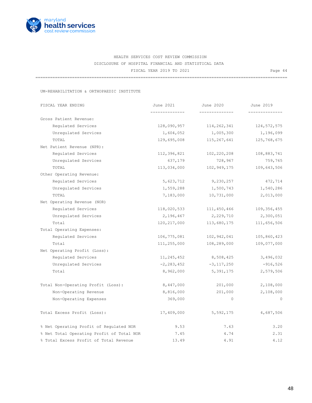

=======================================================================================================

UM-REHABILITATION & ORTHOPAEDIC INSTITUTE

| FISCAL YEAR ENDING                        | June 2021      | June 2020      | June 2019     |
|-------------------------------------------|----------------|----------------|---------------|
|                                           |                | -------------- |               |
| Gross Patient Revenue:                    |                |                |               |
| Regulated Services                        | 128,090,957    | 114,262,341    | 124, 572, 575 |
| Unregulated Services                      | 1,604,052      | 1,005,300      | 1,196,099     |
| TOTAL                                     | 129,695,008    | 115,267,641    | 125,768,675   |
| Net Patient Revenue (NPR):                |                |                |               |
| Requlated Services                        | 112,396,821    | 102,220,208    | 108,883,741   |
| Unregulated Services                      | 637,179        | 728,967        | 759,765       |
| TOTAL                                     | 113,034,000    | 102,949,175    | 109,643,506   |
| Other Operating Revenue:                  |                |                |               |
| Regulated Services                        | 5,623,712      | 9,230,257      | 472,714       |
| Unregulated Services                      | 1,559,288      | 1,500,743      | 1,540,286     |
| TOTAL                                     | 7,183,000      | 10,731,000     | 2,013,000     |
| Net Operating Revenue (NOR)               |                |                |               |
| Regulated Services                        | 118,020,533    | 111,450,466    | 109,356,455   |
| Unregulated Services                      | 2,196,467      | 2,229,710      | 2,300,051     |
| Total                                     | 120,217,000    | 113,680,175    | 111,656,506   |
| Total Operating Expenses:                 |                |                |               |
| Requlated Services                        | 106,775,081    | 102,942,041    | 105,860,423   |
| Total                                     | 111,255,000    | 108,289,000    | 109,077,000   |
| Net Operating Profit (Loss):              |                |                |               |
| Regulated Services                        | 11,245,452     | 8,508,425      | 3,496,032     |
| Unregulated Services                      | $-2, 283, 452$ | $-3, 117, 250$ | $-916,526$    |
| Total                                     | 8,962,000      | 5,391,175      | 2,579,506     |
| Total Non-Operating Profit (Loss):        | 8,447,000      | 201,000        | 2,108,000     |
| Non-Operating Revenue                     | 8,816,000      | 201,000        | 2,108,000     |
| Non-Operating Expenses                    | 369,000        | $\circ$        | $\circ$       |
| Total Excess Profit (Loss):               | 17,409,000     | 5,592,175      | 4,687,506     |
| % Net Operating Profit of Regulated NOR   | 9.53           | 7.63           | 3.20          |
| % Net Total Operating Profit of Total NOR | 7.45           | 4.74           | 2.31          |
| % Total Excess Profit of Total Revenue    | 13.49          | 4.91           | 4.12          |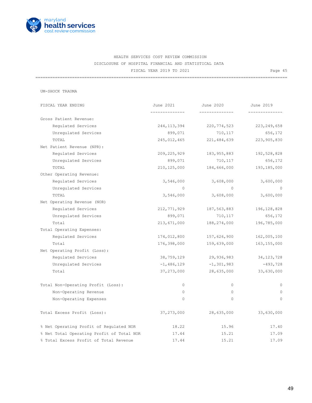

=======================================================================================================

UM-SHOCK TRAUMA

| FISCAL YEAR ENDING                        | June 2021     | June 2020      | June 2019     |
|-------------------------------------------|---------------|----------------|---------------|
|                                           |               |                |               |
| Gross Patient Revenue:                    |               |                |               |
| Requlated Services                        | 244,113,394   | 220,774,523    | 223, 249, 658 |
| Unregulated Services                      | 899,071       | 710,117        | 656,172       |
| TOTAL                                     | 245,012,465   | 221,484,639    | 223,905,830   |
| Net Patient Revenue (NPR):                |               |                |               |
| Regulated Services                        | 209, 225, 929 | 183,955,883    | 192,528,828   |
| Unregulated Services                      | 899,071       | 710,117        | 656,172       |
| TOTAL                                     | 210, 125, 000 | 184,666,000    | 193, 185, 000 |
| Other Operating Revenue:                  |               |                |               |
| Regulated Services                        | 3,546,000     | 3,608,000      | 3,600,000     |
| Unregulated Services                      | $\Omega$      | $\Omega$       | $\circ$       |
| TOTAL                                     | 3,546,000     | 3,608,000      | 3,600,000     |
| Net Operating Revenue (NOR)               |               |                |               |
| Regulated Services                        | 212,771,929   | 187,563,883    | 196, 128, 828 |
| Unregulated Services                      | 899,071       | 710,117        | 656,172       |
| Total                                     | 213,671,000   | 188,274,000    | 196,785,000   |
| Total Operating Expenses:                 |               |                |               |
| Regulated Services                        | 174,012,800   | 157,626,900    | 162,005,100   |
| Total                                     | 176,398,000   | 159,639,000    | 163, 155, 000 |
| Net Operating Profit (Loss):              |               |                |               |
| Regulated Services                        | 38,759,129    | 29,936,983     | 34, 123, 728  |
| Unregulated Services                      | $-1,486,129$  | $-1, 301, 983$ | $-493,728$    |
| Total                                     | 37,273,000    | 28,635,000     | 33,630,000    |
| Total Non-Operating Profit (Loss):        | $\circ$       | $\circ$        | $\circ$       |
| Non-Operating Revenue                     | $\circ$       | $\circ$        | $\circ$       |
| Non-Operating Expenses                    | $\circ$       | $\mathbf{0}$   | $\circ$       |
| Total Excess Profit (Loss):               | 37,273,000    | 28,635,000     | 33,630,000    |
| % Net Operating Profit of Regulated NOR   | 18.22         | 15.96          | 17.40         |
| % Net Total Operating Profit of Total NOR | 17.44         | 15.21          | 17.09         |
| % Total Excess Profit of Total Revenue    | 17.44         | 15.21          | 17.09         |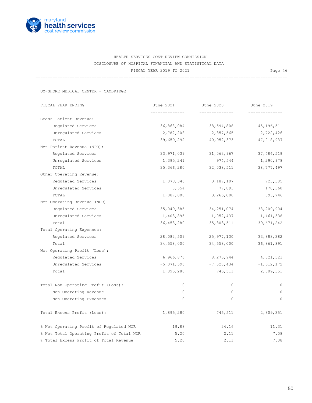

=======================================================================================================

UM-SHORE MEDICAL CENTER - CAMBRIDGE

| FISCAL YEAR ENDING                        | June 2021    | June 2020<br>-------------- | June 2019<br>------------ |
|-------------------------------------------|--------------|-----------------------------|---------------------------|
| Gross Patient Revenue:                    | ------------ |                             |                           |
| Requlated Services                        | 36,868,084   | 38,594,808                  | 45, 196, 511              |
| Unregulated Services                      | 2,782,208    | 2,357,565                   | 2,722,426                 |
| TOTAL                                     | 39,650,292   | 40,952,373                  | 47,918,937                |
| Net Patient Revenue (NPR):                |              |                             |                           |
| Regulated Services                        | 33,971,039   | 31,063,967                  | 37,486,519                |
| Unregulated Services                      | 1,395,241    | 974,544                     | 1,290,978                 |
| TOTAL                                     | 35,366,280   | 32,038,511                  | 38, 777, 497              |
| Other Operating Revenue:                  |              |                             |                           |
| Regulated Services                        | 1,078,346    | 3,187,107                   | 723,385                   |
| Unregulated Services                      | 8,654        | 77,893                      | 170,360                   |
| TOTAL                                     | 1,087,000    | 3,265,000                   | 893,746                   |
| Net Operating Revenue (NOR)               |              |                             |                           |
| Regulated Services                        | 35,049,385   | 34, 251, 074                | 38,209,904                |
| Unregulated Services                      | 1,403,895    | 1,052,437                   | 1,461,338                 |
| Total                                     | 36,453,280   | 35, 303, 511                | 39,671,242                |
| Total Operating Expenses:                 |              |                             |                           |
| Regulated Services                        | 28,082,509   | 25,977,130                  | 33,888,382                |
| Total                                     | 34,558,000   | 34,558,000                  | 36,861,891                |
| Net Operating Profit (Loss):              |              |                             |                           |
| Regulated Services                        | 6,966,876    | 8,273,944                   | 4, 321, 523               |
| Unregulated Services                      | $-5,071,596$ | $-7,528,434$                | $-1, 512, 172$            |
| Total                                     | 1,895,280    | 745,511                     | 2,809,351                 |
| Total Non-Operating Profit (Loss):        | $\circ$      | $\circ$                     | $\circ$                   |
| Non-Operating Revenue                     | $\circ$      | $\circ$                     | $\mathbf{0}$              |
| Non-Operating Expenses                    | $\circ$      | $\circ$                     | $\mathbf{0}$              |
| Total Excess Profit (Loss):               | 1,895,280    | 745,511                     | 2,809,351                 |
| % Net Operating Profit of Regulated NOR   | 19.88        | 24.16                       | 11.31                     |
| % Net Total Operating Profit of Total NOR | 5.20         | 2.11                        | 7.08                      |
| % Total Excess Profit of Total Revenue    | 5.20         | 2.11                        | 7.08                      |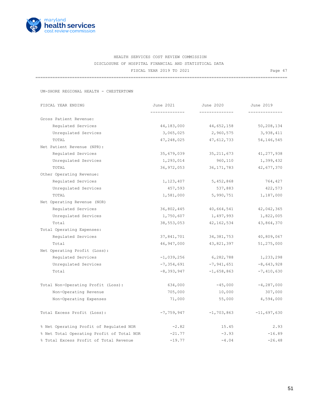

=======================================================================================================

UM-SHORE REGIONAL HEALTH - CHESTERTOWN

| FISCAL YEAR ENDING                        | June 2021    | June 2020      | June 2019     |
|-------------------------------------------|--------------|----------------|---------------|
| Gross Patient Revenue:                    | ------------ | -------------- | ------------  |
| Regulated Services                        | 44,183,000   | 44,652,158     | 50,208,134    |
| Unregulated Services                      | 3,065,025    | 2,960,575      | 3,938,411     |
| TOTAL                                     | 47,248,025   | 47,612,733     | 54, 146, 545  |
| Net Patient Revenue (NPR):                |              |                |               |
| Requlated Services                        | 35,679,039   | 35, 211, 673   | 41, 277, 938  |
| Unregulated Services                      | 1,293,014    | 960,110        | 1,399,432     |
| TOTAL                                     | 36,972,053   | 36, 171, 783   | 42,677,370    |
| Other Operating Revenue:                  |              |                |               |
| Regulated Services                        | 1,123,407    | 5,452,868      | 764,427       |
| Unregulated Services                      | 457,593      | 537,883        | 422,573       |
| TOTAL                                     | 1,581,000    | 5,990,751      | 1,187,000     |
| Net Operating Revenue (NOR)               |              |                |               |
| Regulated Services                        | 36,802,445   | 40,664,541     | 42,042,365    |
| Unregulated Services                      | 1,750,607    | 1,497,993      | 1,822,005     |
| Total                                     | 38,553,053   | 42, 162, 534   | 43,864,370    |
| Total Operating Expenses:                 |              |                |               |
| Regulated Services                        | 37,841,701   | 34, 381, 753   | 40,809,067    |
| Total                                     | 46,947,000   | 43,821,397     | 51,275,000    |
| Net Operating Profit (Loss):              |              |                |               |
| Requlated Services                        | $-1,039,256$ | 6,282,788      | 1,233,298     |
| Unregulated Services                      | $-7,354,691$ | $-7,941,651$   | $-8,643,928$  |
| Total                                     | $-8,393,947$ | $-1,658,863$   | $-7,410,630$  |
| Total Non-Operating Profit (Loss):        | 634,000      | $-45,000$      | $-4,287,000$  |
| Non-Operating Revenue                     | 705,000      | 10,000         | 307,000       |
| Non-Operating Expenses                    | 71,000       | 55,000         | 4,594,000     |
| Total Excess Profit (Loss):               | $-7,759,947$ | $-1,703,863$   | $-11,697,630$ |
| % Net Operating Profit of Regulated NOR   | $-2.82$      | 15.45          | 2.93          |
| % Net Total Operating Profit of Total NOR | $-21.77$     | $-3.93$        | $-16.89$      |
| % Total Excess Profit of Total Revenue    | $-19.77$     | $-4.04$        | $-26.48$      |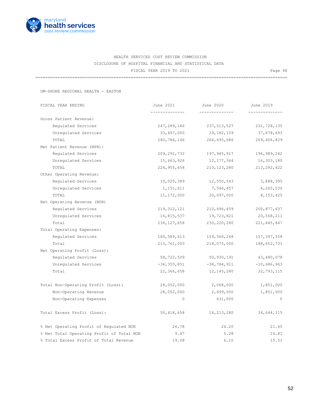

=======================================================================================================

UM-SHORE REGIONAL HEALTH - EASTON

| FISCAL YEAR ENDING                        | June 2021       | June 2020     | June 2019     |
|-------------------------------------------|-----------------|---------------|---------------|
|                                           |                 |               |               |
| Gross Patient Revenue:                    |                 |               |               |
| Requlated Services                        | 247,289,146     | 237,513,527   | 231,728,135   |
| Unregulated Services                      | 33,497,000      | 29,182,159    | 37,678,693    |
| TOTAL                                     | 280,786,146     | 266,695,686   | 269,406,829   |
| Net Patient Revenue (NPR):                |                 |               |               |
| Regulated Services                        | 209, 291, 732   | 197,945,917   | 196,989,242   |
| Unregulated Services                      | 15,663,926      | 12,177,364    | 16,303,180    |
| TOTAL                                     | 224,955,658     | 210,123,280   | 213, 292, 422 |
| Other Operating Revenue:                  |                 |               |               |
| Regulated Services                        | 10,020,389      | 12,550,543    | 3,888,395     |
| Unregulated Services                      | 1,151,611       | 7,546,457     | 4,265,030     |
| TOTAL                                     | 11,172,000      | 20,097,000    | 8,153,425     |
| Net Operating Revenue (NOR)               |                 |               |               |
| Regulated Services                        | 219, 312, 121   | 210,496,459   | 200,877,637   |
| Unregulated Services                      | 16,815,537      | 19,723,821    | 20,568,211    |
| Total                                     | 236, 127, 658   | 230, 220, 280 | 221, 445, 847 |
| Total Operating Expenses:                 |                 |               |               |
| Regulated Services                        | 160,589,613     | 159,566,268   | 157,397,558   |
| Total                                     | 213,761,000     | 218,075,000   | 188,652,733   |
| Net Operating Profit (Loss):              |                 |               |               |
| Requlated Services                        | 58,722,509      | 50,930,191    | 43,480,078    |
| Unregulated Services                      | $-36, 355, 851$ | $-38,784,911$ | $-10,686,963$ |
| Total                                     | 22,366,658      | 12, 145, 280  | 32,793,115    |
| Total Non-Operating Profit (Loss):        | 28,052,000      | 2,068,000     | 1,851,000     |
| Non-Operating Revenue                     | 28,052,000      | 2,699,000     | 1,851,000     |
| Non-Operating Expenses                    | 0               | 631,000       | $\mathbf{0}$  |
| Total Excess Profit (Loss):               | 50,418,658      | 14,213,280    | 34,644,115    |
| % Net Operating Profit of Regulated NOR   | 26.78           | 24.20         | 21.65         |
| % Net Total Operating Profit of Total NOR | 9.47            | 5.28          | 14.81         |
| % Total Excess Profit of Total Revenue    | 19.08           | 6.10          | 15.51         |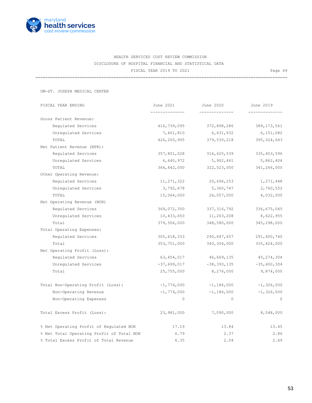

=======================================================================================================

|  |  | UM-ST. JOSEPH MEDICAL CENTER |  |
|--|--|------------------------------|--|
|--|--|------------------------------|--|

| FISCAL YEAR ENDING                        | June 2021     | June 2020       | June 2019      |
|-------------------------------------------|---------------|-----------------|----------------|
| Gross Patient Revenue:                    |               |                 |                |
| Regulated Services                        | 416,739,095   | 372,898,286     | 389, 173, 561  |
| Unregulated Services                      | 7,461,810     | 6,631,932       | 6,151,082      |
| TOTAL                                     | 424,200,905   | 379,530,218     | 395, 324, 643  |
| Net Patient Revenue (NPR):                |               |                 |                |
| Requlated Services                        | 357,801,028   | 316,620,539     | 335, 403, 596  |
| Unregulated Services                      | 6,640,972     | 5,902,461       | 5,862,404      |
| TOTAL                                     | 364, 442, 000 | 322,523,000     | 341,266,000    |
| Other Operating Revenue:                  |               |                 |                |
| Regulated Services                        | 11, 271, 322  | 20,696,253      | 1,271,448      |
| Unregulated Services                      | 3,792,678     | 5,360,747       | 2,760,552      |
| TOTAL                                     | 15,064,000    | 26,057,000      | 4,032,000      |
| Net Operating Revenue (NOR)               |               |                 |                |
| Regulated Services                        | 369,072,350   | 337, 316, 792   | 336,675,045    |
| Unregulated Services                      | 10,433,650    | 11,263,208      | 8,622,955      |
| Total                                     | 379,506,000   | 348,580,000     | 345,298,000    |
| Total Operating Expenses:                 |               |                 |                |
| Regulated Services                        | 305,618,333   | 290,647,657     | 291,400,740    |
| Total                                     | 353,751,000   | 340,304,000     | 335, 424, 000  |
| Net Operating Profit (Loss):              |               |                 |                |
| Regulated Services                        | 63, 454, 017  | 46,669,135      | 45, 274, 304   |
| Unregulated Services                      | $-37,699,017$ | $-38, 393, 135$ | $-35,400,304$  |
| Total                                     | 25,755,000    | 8,276,000       | 9,874,000      |
| Total Non-Operating Profit (Loss):        | $-1,774,000$  | $-1,186,000$    | $-1,326,000$   |
| Non-Operating Revenue                     | $-1,774,000$  | $-1, 186, 000$  | $-1, 326, 000$ |
| Non-Operating Expenses                    | $\circ$       | $\circ$         | $\Omega$       |
| Total Excess Profit (Loss):               | 23,981,000    | 7,090,000       | 8,548,000      |
| % Net Operating Profit of Regulated NOR   | 17.19         | 13.84           | 13.45          |
| % Net Total Operating Profit of Total NOR | 6.79          | 2.37            | 2.86           |
| % Total Excess Profit of Total Revenue    | 6.35          | 2.04            | 2.49           |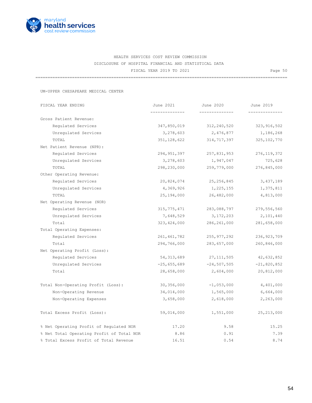

=======================================================================================================

UM-UPPER CHESAPEAKE MEDICAL CENTER

| FISCAL YEAR ENDING                        | June 2021                     | June 2020     | June 2019     |  |  |
|-------------------------------------------|-------------------------------|---------------|---------------|--|--|
|                                           | . _ _ _ _ _ _ _ _ _ _ _ _ _ _ | ------------  |               |  |  |
| Gross Patient Revenue:                    |                               |               |               |  |  |
| Requlated Services                        | 347,850,019                   | 312,240,520   | 323, 916, 502 |  |  |
| Unregulated Services                      | 3,278,603                     | 2,476,877     | 1,186,268     |  |  |
| TOTAL                                     | 351, 128, 622                 | 314,717,397   | 325, 102, 770 |  |  |
| Net Patient Revenue (NPR):                |                               |               |               |  |  |
| Requlated Services                        | 294, 951, 397                 | 257,831,953   | 276, 119, 372 |  |  |
| Unregulated Services                      | 3,278,603                     | 1,947,047     | 725,628       |  |  |
| TOTAL                                     | 298,230,000                   | 259,779,000   | 276,845,000   |  |  |
| Other Operating Revenue:                  |                               |               |               |  |  |
| Regulated Services                        | 20,824,074                    | 25, 256, 845  | 3,437,189     |  |  |
| Unregulated Services                      | 4,369,926                     | 1,225,155     | 1,375,811     |  |  |
| TOTAL                                     | 25,194,000                    | 26,482,000    | 4,813,000     |  |  |
| Net Operating Revenue (NOR)               |                               |               |               |  |  |
| Regulated Services                        | 315,775,471                   | 283,088,797   | 279,556,560   |  |  |
| Unregulated Services                      | 7,648,529                     | 3, 172, 203   | 2,101,440     |  |  |
| Total                                     | 323, 424, 000                 | 286, 261, 000 | 281,658,000   |  |  |
| Total Operating Expenses:                 |                               |               |               |  |  |
| Regulated Services                        | 261,461,782                   | 255,977,292   | 236,923,709   |  |  |
| Total                                     | 294,766,000                   | 283,657,000   | 260,846,000   |  |  |
| Net Operating Profit (Loss):              |                               |               |               |  |  |
| Regulated Services                        | 54, 313, 689                  | 27,111,505    | 42,632,852    |  |  |
| Unregulated Services                      | $-25,655,689$                 | $-24,507,505$ | $-21,820,852$ |  |  |
| Total                                     | 28,658,000                    | 2,604,000     | 20,812,000    |  |  |
| Total Non-Operating Profit (Loss):        | 30, 356, 000                  | $-1,053,000$  | 4,401,000     |  |  |
| Non-Operating Revenue                     | 34,014,000                    | 1,565,000     | 6,664,000     |  |  |
| Non-Operating Expenses                    | 3,658,000                     | 2,618,000     | 2,263,000     |  |  |
| Total Excess Profit (Loss):               | 59,014,000                    | 1,551,000     | 25, 213, 000  |  |  |
| % Net Operating Profit of Regulated NOR   | 17.20                         | 9.58          | 15.25         |  |  |
| % Net Total Operating Profit of Total NOR | 8.86                          | 0.91          | 7.39          |  |  |
| % Total Excess Profit of Total Revenue    | 16.51                         | 0.54          | 8.74          |  |  |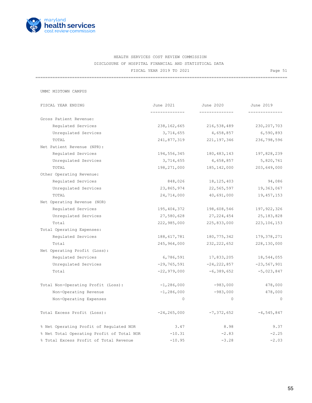

=======================================================================================================

UMMC MIDTOWN CAMPUS

| FISCAL YEAR ENDING                        | June 2021       | June 2020       | June 2019      |
|-------------------------------------------|-----------------|-----------------|----------------|
|                                           |                 |                 |                |
| Gross Patient Revenue:                    |                 |                 |                |
| Requlated Services                        | 238,162,665     | 216,538,489     | 230, 207, 703  |
| Unregulated Services                      | 3,714,655       | 4,658,857       | 6,590,893      |
| TOTAL                                     | 241,877,319     | 221,197,346     | 236,798,596    |
| Net Patient Revenue (NPR):                |                 |                 |                |
| Regulated Services                        | 194,556,345     | 180,483,143     | 197,828,239    |
| Unregulated Services                      | 3,714,655       | 4,658,857       | 5,820,761      |
| TOTAL                                     | 198,271,000     | 185, 142, 000   | 203,649,000    |
| Other Operating Revenue:                  |                 |                 |                |
| Regulated Services                        | 848,026         | 18, 125, 403    | 94,086         |
| Unregulated Services                      | 23,865,974      | 22,565,597      | 19,363,067     |
| TOTAL                                     | 24,714,000      | 40,691,000      | 19,457,153     |
| Net Operating Revenue (NOR)               |                 |                 |                |
| Regulated Services                        | 195,404,372     | 198,608,546     | 197, 922, 326  |
| Unregulated Services                      | 27,580,628      | 27,224,454      | 25,183,828     |
| Total                                     | 222,985,000     | 225,833,000     | 223, 106, 153  |
| Total Operating Expenses:                 |                 |                 |                |
| Regulated Services                        | 188,617,781     | 180,775,342     | 179,378,271    |
| Total                                     | 245,964,000     | 232, 222, 652   | 228,130,000    |
| Net Operating Profit (Loss):              |                 |                 |                |
| Regulated Services                        | 6,786,591       | 17,833,205      | 18,544,055     |
| Unregulated Services                      | $-29,765,591$   | $-24, 222, 857$ | $-23,567,901$  |
| Total                                     | $-22,979,000$   | -6,389,652      | $-5,023,847$   |
| Total Non-Operating Profit (Loss):        | $-1,286,000$    | $-983,000$      | 478,000        |
| Non-Operating Revenue                     | $-1, 286, 000$  | $-983,000$      | 478,000        |
| Non-Operating Expenses                    | $\circ$         | 0               | $\circ$        |
| Total Excess Profit (Loss):               | $-24, 265, 000$ | $-7,372,652$    | $-4, 545, 847$ |
| % Net Operating Profit of Regulated NOR   | 3.47            | 8.98            | 9.37           |
| % Net Total Operating Profit of Total NOR | $-10.31$        | $-2.83$         | $-2.25$        |
| % Total Excess Profit of Total Revenue    | $-10.95$        | $-3.28$         | $-2.03$        |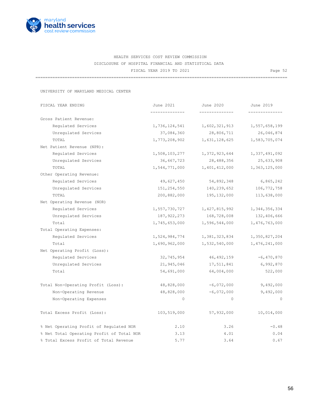

=======================================================================================================

UNIVERSITY OF MARYLAND MEDICAL CENTER

| FISCAL YEAR ENDING                        | June 2021     | June 2020     | June 2019        |  |
|-------------------------------------------|---------------|---------------|------------------|--|
|                                           |               |               |                  |  |
| Gross Patient Revenue:                    |               |               |                  |  |
| Regulated Services                        | 1,736,124,541 | 1,602,321,913 | 1,557,658,199    |  |
| Unregulated Services                      | 37,084,360    | 28,806,711    | 26,046,874       |  |
| TOTAL                                     | 1,773,208,902 | 1,631,128,625 | 1,583,705,074    |  |
| Net Patient Revenue (NPR):                |               |               |                  |  |
| Requlated Services                        | 1,508,103,277 | 1,372,923,644 | 1,337,491,092    |  |
| Unregulated Services                      | 36,667,723    | 28,488,356    | 25,633,908       |  |
| TOTAL                                     | 1,544,771,000 | 1,401,412,000 | 1,363,125,000    |  |
| Other Operating Revenue:                  |               |               |                  |  |
| Regulated Services                        | 49,627,450    | 54,892,348    | 6,865,242        |  |
| Unregulated Services                      | 151,254,550   | 140,239,652   | 106,772,758      |  |
| TOTAL                                     | 200,882,000   | 195,132,000   | 113,638,000      |  |
| Net Operating Revenue (NOR)               |               |               |                  |  |
| Regulated Services                        | 1,557,730,727 | 1,427,815,992 | 1, 344, 356, 334 |  |
| Unregulated Services                      | 187,922,273   | 168,728,008   | 132,406,666      |  |
| Total                                     | 1,745,653,000 | 1,596,544,000 | 1,476,763,000    |  |
| Total Operating Expenses:                 |               |               |                  |  |
| Requlated Services                        | 1,524,984,774 | 1,381,323,834 | 1,350,827,204    |  |
| Total                                     | 1,690,962,000 | 1,532,540,000 | 1,476,241,000    |  |
| Net Operating Profit (Loss):              |               |               |                  |  |
| Regulated Services                        | 32,745,954    | 46,492,159    | $-6,470,870$     |  |
| Unregulated Services                      | 21,945,046    | 17,511,841    | 6,992,870        |  |
| Total                                     | 54,691,000    | 64,004,000    | 522,000          |  |
| Total Non-Operating Profit (Loss):        | 48,828,000    | $-6,072,000$  | 9,492,000        |  |
| Non-Operating Revenue                     | 48,828,000    | $-6,072,000$  | 9,492,000        |  |
| Non-Operating Expenses                    | $\Omega$      | $\circ$       | $\Omega$         |  |
| Total Excess Profit (Loss):               | 103,519,000   | 57,932,000    | 10,014,000       |  |
| % Net Operating Profit of Regulated NOR   | 2.10          | 3.26          | $-0.48$          |  |
| % Net Total Operating Profit of Total NOR | 3.13          | 4.01          | 0.04             |  |
| % Total Excess Profit of Total Revenue    | 5.77          | 3.64          | 0.67             |  |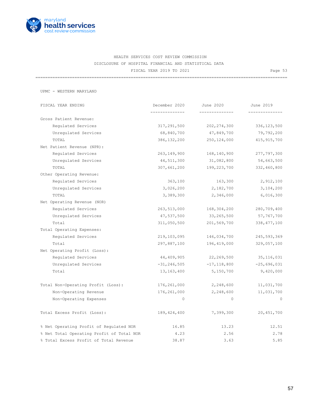

=======================================================================================================

UPMC - WESTERN MARYLAND

 FISCAL YEAR ENDING December 2020 June 2020 June 2019 -------------- -------------- -------------- Gross Patient Revenue: Regulated Services 317,291,500 202,274,300 336,123,500 Unregulated Services 68,840,700 47,849,700 79,792,200 TOTAL 386,132,200 250,124,000 415,915,700 Net Patient Revenue (NPR): Regulated Services 263,149,900 168,140,900 277,797,300 Unregulated Services 44,511,300 31,082,800 54,663,500 TOTAL 307,661,200 199,223,700 332,460,800 Other Operating Revenue: Regulated Services 2,912,100 163,300 2,912,100 Unregulated Services 3,026,200 2,182,700 3,104,200 TOTAL 3,389,300 2,346,000 6,016,300 Net Operating Revenue (NOR) Regulated Services 263,513,000 168,304,200 280,709,400 Unregulated Services  $47,537,500$   $33,265,500$   $57,767,700$  Total 311,050,500 201,569,700 338,477,100 Total Operating Expenses: Regulated Services 219,103,095 146,034,700 245,593,369 Total 297,887,100 196,419,000 329,057,100 Net Operating Profit (Loss): Regulated Services 44,409,905 22,269,500 35,116,031 Unregulated Services -31,246,505 -17,118,800 -25,696,031 Total 13,163,400 5,150,700 9,420,000 Total Non-Operating Profit (Loss): 176,261,000 2,248,600 11,031,700 Non-Operating Revenue 176,261,000 2,248,600 11,031,700 Non-Operating Expenses and the contract of the contract of the contract of the contract of the contract of the contract of the contract of the contract of the contract of the contract of the contract of the contract of the Total Excess Profit (Loss): 189,424,400 7,399,300 20,451,700 % Net Operating Profit of Regulated NOR 16.85 13.23 12.51 % Net Total Operating Profit of Total NOR 4.23 2.56 2.78 % Total Excess Profit of Total Revenue 38.87 3.63 5.85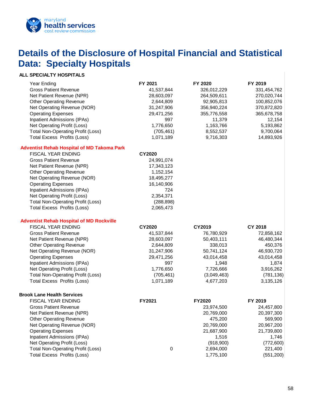

### <span id="page-59-0"></span>**Details of the Disclosure of Hospital Financial and Statistical Data: Specialty Hospitals**

### **ALL SPECIALTY HOSPITALS**

| Year Ending                                       | FY 2021       | FY 2020       | FY 2019        |
|---------------------------------------------------|---------------|---------------|----------------|
| <b>Gross Patient Revenue</b>                      | 41,537,844    | 326,012,229   | 331,454,762    |
| Net Patient Revenue (NPR)                         | 28,603,097    | 264,509,611   | 270,020,744    |
| <b>Other Operating Revenue</b>                    | 2,644,809     | 92,905,813    | 100,852,076    |
| Net Operating Revenue (NOR)                       | 31,247,906    | 356,940,224   | 370,872,820    |
| <b>Operating Expenses</b>                         | 29,471,256    | 355,776,558   | 365,678,758    |
| <b>Inpatient Admissions (IPAs)</b>                | 997           | 11,379        | 12,154         |
| Net Operating Profit (Loss)                       | 1,776,650     | 1,163,766     | 5,193,862      |
| <b>Total Non-Operating Profit (Loss)</b>          | (705, 461)    | 8,552,537     | 9,700,064      |
| <b>Total Excess Profits (Loss)</b>                | 1,071,189     | 9,716,303     | 14,893,926     |
| <b>Adventist Rehab Hospital of MD Takoma Park</b> |               |               |                |
| FISCAL YEAR ENDING                                | <b>CY2020</b> |               |                |
| <b>Gross Patient Revenue</b>                      | 24,991,074    |               |                |
| Net Patient Revenue (NPR)                         | 17,343,123    |               |                |
| <b>Other Operating Revenue</b>                    | 1,152,154     |               |                |
| Net Operating Revenue (NOR)                       | 18,495,277    |               |                |
| <b>Operating Expenses</b>                         | 16,140,906    |               |                |
| Inpatient Admissions (IPAs)                       | 724           |               |                |
| Net Operating Profit (Loss)                       | 2,354,371     |               |                |
| <b>Total Non-Operating Profit (Loss)</b>          | (288, 898)    |               |                |
| <b>Total Excess Profits (Loss)</b>                | 2,065,473     |               |                |
| <b>Adventist Rehab Hospital of MD Rockville</b>   |               |               |                |
| <b>FISCAL YEAR ENDING</b>                         | <b>CY2020</b> | CY2019        | <b>CY 2018</b> |
| <b>Gross Patient Revenue</b>                      | 41,537,844    | 76,780,929    | 72,858,162     |
| Net Patient Revenue (NPR)                         | 28,603,097    | 50,403,111    | 46,480,344     |
| <b>Other Operating Revenue</b>                    | 2,644,809     | 338,013       | 450,376        |
| Net Operating Revenue (NOR)                       | 31,247,906    | 50,741,124    | 46,930,720     |
| <b>Operating Expenses</b>                         | 29,471,256    | 43,014,458    | 43,014,458     |
| <b>Inpatient Admissions (IPAs)</b>                | 997           | 1,948         | 1,874          |
| Net Operating Profit (Loss)                       | 1,776,650     | 7,726,666     | 3,916,262      |
| <b>Total Non-Operating Profit (Loss)</b>          | (705, 461)    | (3,049,463)   | (781, 136)     |
| <b>Total Excess Profits (Loss)</b>                | 1,071,189     | 4,677,203     | 3,135,126      |
| <b>Brook Lane Health Services</b>                 |               |               |                |
| <b>FISCAL YEAR ENDING</b>                         | FY2021        | <b>FY2020</b> | FY 2019        |
| <b>Gross Patient Revenue</b>                      |               | 23,974,500    | 24,457,800     |
| Net Patient Revenue (NPR)                         |               | 20,769,000    | 20,397,300     |
| <b>Other Operating Revenue</b>                    |               | 475,200       | 569,900        |
| Net Operating Revenue (NOR)                       |               | 20,769,000    | 20,967,200     |
| <b>Operating Expenses</b>                         |               | 21,687,900    | 21,739,800     |
| Inpatient Admissions (IPAs)                       |               | 1,516         | 1,746          |
| Net Operating Profit (Loss)                       |               | (918,900)     | (772,600)      |
| <b>Total Non-Operating Profit (Loss)</b>          | 0             | 2,694,000     | 221,400        |
| <b>Total Excess Profits (Loss)</b>                |               | 1,775,100     | (551, 200)     |
|                                                   |               |               |                |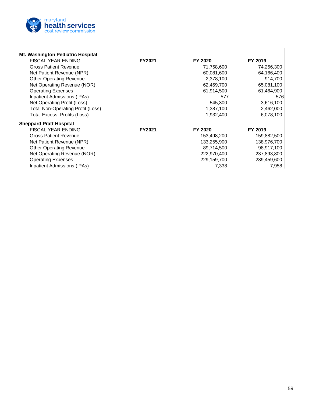

| Mt. Washington Pediatric Hospital        |               |             |             |
|------------------------------------------|---------------|-------------|-------------|
| <b>FISCAL YEAR ENDING</b>                | <b>FY2021</b> | FY 2020     | FY 2019     |
| <b>Gross Patient Revenue</b>             |               | 71,758,600  | 74,256,300  |
| Net Patient Revenue (NPR)                |               | 60,081,600  | 64,166,400  |
| <b>Other Operating Revenue</b>           |               | 2,378,100   | 914,700     |
| Net Operating Revenue (NOR)              |               | 62,459,700  | 65,081,100  |
| <b>Operating Expenses</b>                |               | 61,914,500  | 61,464,900  |
| Inpatient Admissions (IPAs)              |               | 577         | 576         |
| Net Operating Profit (Loss)              |               | 545,300     | 3,616,100   |
| <b>Total Non-Operating Profit (Loss)</b> |               | 1,387,100   | 2,462,000   |
| <b>Total Excess Profits (Loss)</b>       |               | 1,932,400   | 6,078,100   |
| <b>Sheppard Pratt Hospital</b>           |               |             |             |
| <b>FISCAL YEAR ENDING</b>                | <b>FY2021</b> | FY 2020     | FY 2019     |
| <b>Gross Patient Revenue</b>             |               | 153,498,200 | 159,882,500 |
| Net Patient Revenue (NPR)                |               | 133,255,900 | 138,976,700 |
| <b>Other Operating Revenue</b>           |               | 89,714,500  | 98,917,100  |
| Net Operating Revenue (NOR)              |               | 222,970,400 | 237,893,800 |
| <b>Operating Expenses</b>                |               | 229,159,700 | 239,459,600 |
| <b>Inpatient Admissions (IPAs)</b>       |               | 7,338       | 7,958       |

 $\overline{\phantom{a}}$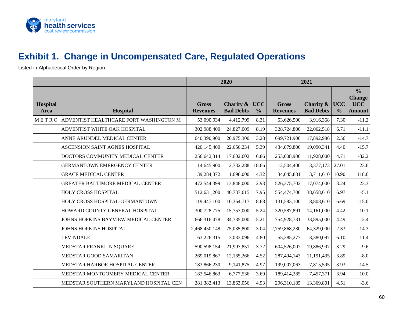

### **Exhibit 1. Change in Uncompensated Care, Regulated Operations**

Listed in Alphabetical Order by Region

<span id="page-61-0"></span>

|                         |                                         | 2020<br>2021                    |                                          |                             |                                 |                               |                             |                                                               |
|-------------------------|-----------------------------------------|---------------------------------|------------------------------------------|-----------------------------|---------------------------------|-------------------------------|-----------------------------|---------------------------------------------------------------|
| <b>Hospital</b><br>Area | <b>Hospital</b>                         | <b>Gross</b><br><b>Revenues</b> | <b>Charity &amp;</b><br><b>Bad Debts</b> | <b>UCC</b><br>$\frac{0}{0}$ | <b>Gross</b><br><b>Revenues</b> | Charity &<br><b>Bad Debts</b> | <b>UCC</b><br>$\frac{0}{0}$ | $\frac{0}{0}$<br><b>Change</b><br><b>UCC</b><br><b>Amount</b> |
| METRO                   | ADVENTIST HEALTHCARE FORT WASHINGTON M  | 53,090,934                      | 4,412,799                                | 8.31                        | 53,626,500                      | 3,916,368                     | 7.30                        | $-11.2$                                                       |
|                         | ADVENTIST WHITE OAK HOSPITAL            | 302,988,400                     | 24,827,009                               | 8.19                        | 328,724,800                     | 22,062,518                    | 6.71                        | $-11.1$                                                       |
|                         | ANNE ARUNDEL MEDICAL CENTER             | 640,390,900                     | 20,975,300                               | 3.28                        | 699,721,900                     | 17,892,986                    | 2.56                        | $-14.7$                                                       |
|                         | ASCENSION SAINT AGNES HOSPITAL          | 420,145,400                     | 22,656,234                               | 5.39                        | 434,079,800                     | 19,090,341                    | 4.40                        | $-15.7$                                                       |
|                         | DOCTORS COMMUNITY MEDICAL CENTER        | 256,642,314                     | 17,602,602                               | 6.86                        | 253,008,900                     | 11,928,000                    | 4.71                        | $-32.2$                                                       |
|                         | <b>GERMANTOWN EMERGENCY CENTER</b>      | 14,645,900                      | 2,732,288                                | 18.66                       | 12,504,400                      | 3,377,173                     | 27.01                       | 23.6                                                          |
|                         | <b>GRACE MEDICAL CENTER</b>             | 39,284,372                      | 1,698,000                                | 4.32                        | 34,045,881                      | 3,711,610                     | 10.90                       | 118.6                                                         |
|                         | <b>GREATER BALTIMORE MEDICAL CENTER</b> | 472,544,399                     | 13,848,000                               | 2.93                        | 526, 375, 702                   | 17,074,000                    | 3.24                        | 23.3                                                          |
|                         | HOLY CROSS HOSPITAL                     | 512,631,200                     | 40,737,615                               | 7.95                        | 554,474,700                     | 38,658,610                    | 6.97                        | $-5.1$                                                        |
|                         | HOLY CROSS HOSPITAL-GERMANTOWN          | 119,447,100                     | 10,364,717                               | 8.68                        | 131,583,100                     | 8,808,610                     | 6.69                        | $-15.0$                                                       |
|                         | HOWARD COUNTY GENERAL HOSPITAL          | 300,728,775                     | 15,757,000                               | 5.24                        | 320,587,891                     | 14,161,000                    | 4.42                        | $-10.1$                                                       |
|                         | JOHNS HOPKINS BAYVIEW MEDICAL CENTER    | 666,316,478                     | 34,735,000                               | 5.21                        | 754,928,731                     | 33,895,000                    | 4.49                        | $-2.4$                                                        |
|                         | JOHNS HOPKINS HOSPITAL                  | 2,468,450,148                   | 75,035,800                               | 3.04                        | 2,759,868,230                   | 64,329,000                    | 2.33                        | $-14.3$                                                       |
|                         | <b>LEVINDALE</b>                        | 63,226,315                      | 3,033,096                                | 4.80                        | 55,385,277                      | 3,380,097                     | 6.10                        | 11.4                                                          |
|                         | MEDSTAR FRANKLIN SQUARE                 | 590,598,154                     | 21,997,851                               | 3.72                        | 604,526,007                     | 19,886,997                    | 3.29                        | $-9.6$                                                        |
|                         | MEDSTAR GOOD SAMARITAN                  | 269,019,867                     | 12,165,266                               | 4.52                        | 287,494,143                     | 11,191,435                    | 3.89                        | $-8.0$                                                        |
|                         | MEDSTAR HARBOR HOSPITAL CENTER          | 183,866,230                     | 9,141,875                                | 4.97                        | 199,007,063                     | 7,815,595                     | 3.93                        | $-14.5$                                                       |
|                         | MEDSTAR MONTGOMERY MEDICAL CENTER       | 183,546,863                     | 6,777,536                                | 3.69                        | 189,414,285                     | 7,457,371                     | 3.94                        | 10.0                                                          |
|                         | MEDSTAR SOUTHERN MARYLAND HOSPITAL CEN  | 281,382,413                     | 13,863,056                               | 4.93                        | 296,310,185                     | 13,369,801                    | 4.51                        | $-3.6$                                                        |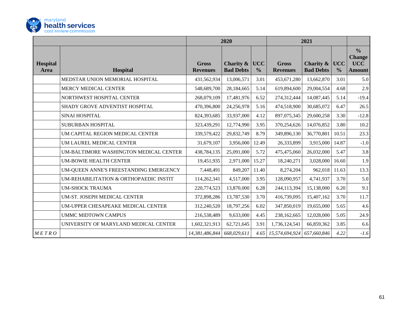

|                         |                                        | 2020                            |                               | 2021                        |                                 |                               |                             |                                                               |
|-------------------------|----------------------------------------|---------------------------------|-------------------------------|-----------------------------|---------------------------------|-------------------------------|-----------------------------|---------------------------------------------------------------|
| <b>Hospital</b><br>Area | <b>Hospital</b>                        | <b>Gross</b><br><b>Revenues</b> | Charity &<br><b>Bad Debts</b> | <b>UCC</b><br>$\frac{6}{6}$ | <b>Gross</b><br><b>Revenues</b> | Charity &<br><b>Bad Debts</b> | <b>UCC</b><br>$\frac{0}{0}$ | $\frac{0}{0}$<br><b>Change</b><br><b>UCC</b><br><b>Amount</b> |
|                         | MEDSTAR UNION MEMORIAL HOSPITAL        | 431,562,934                     | 13,006,571                    | 3.01                        | 453,671,280                     | 13,662,870                    | 3.01                        | 5.0                                                           |
|                         | MERCY MEDICAL CENTER                   | 548,689,700                     | 28,184,665                    | 5.14                        | 619,894,600                     | 29,004,554                    | 4.68                        | 2.9                                                           |
|                         | NORTHWEST HOSPITAL CENTER              | 268,079,109                     | 17,481,976                    | 6.52                        | 274,312,444                     | 14,087,445                    | 5.14                        | $-19.4$                                                       |
|                         | SHADY GROVE ADVENTIST HOSPITAL         | 470,396,800                     | 24,256,978                    | 5.16                        | 474,518,900                     | 30,685,072                    | 6.47                        | 26.5                                                          |
|                         | <b>SINAI HOSPITAL</b>                  | 824,393,685                     | 33,937,000                    | 4.12                        | 897,075,345                     | 29,600,258                    | 3.30                        | $-12.8$                                                       |
|                         | SUBURBAN HOSPITAL                      | 323,439,291                     | 12,774,990                    | 3.95                        | 370,254,626                     | 14,076,852                    | 3.80                        | 10.2                                                          |
|                         | UM CAPITAL REGION MEDICAL CENTER       | 339,579,422                     | 29,832,749                    | 8.79                        | 349,896,130                     | 36,770,801                    | 10.51                       | 23.3                                                          |
|                         | UM LAUREL MEDICAL CENTER               | 31,679,107                      | 3,956,000                     | 12.49                       | 26,333,899                      | 3,915,000                     | 14.87                       | $-1.0$                                                        |
|                         | UM-BALTIMORE WASHINGTON MEDICAL CENTER | 438,784,135                     | 25,091,000                    | 5.72                        | 475,475,060                     | 26,032,000                    | 5.47                        | 3.8                                                           |
|                         | <b>UM-BOWIE HEALTH CENTER</b>          | 19,451,935                      | 2,971,000                     | 15.27                       | 18,240,271                      | 3,028,000                     | 16.60                       | 1.9                                                           |
|                         | UM-QUEEN ANNE'S FREESTANDING EMERGENCY | 7,448,491                       | 849,207                       | 11.40                       | 8,274,204                       | 962,018                       | 11.63                       | 13.3                                                          |
|                         | UM-REHABILITATION & ORTHOPAEDIC INSTIT | 114,262,341                     | 4,517,000                     | 3.95                        | 128,090,957                     | 4,741,937                     | 3.70                        | 5.0                                                           |
|                         | <b>UM-SHOCK TRAUMA</b>                 | 220,774,523                     | 13,870,000                    | 6.28                        | 244,113,394                     | 15,138,000                    | 6.20                        | 9.1                                                           |
|                         | UM-ST. JOSEPH MEDICAL CENTER           | 372,898,286                     | 13,787,530                    | 3.70                        | 416,739,095                     | 15,407,162                    | 3.70                        | 11.7                                                          |
|                         | UM-UPPER CHESAPEAKE MEDICAL CENTER     | 312,240,520                     | 18,797,256                    | 6.02                        | 347,850,019                     | 19,655,000                    | 5.65                        | 4.6                                                           |
|                         | <b>UMMC MIDTOWN CAMPUS</b>             | 216,538,489                     | 9,633,000                     | 4.45                        | 238,162,665                     | 12,028,000                    | 5.05                        | 24.9                                                          |
|                         | UNIVERSITY OF MARYLAND MEDICAL CENTER  | 1,602,321,913                   | 62,721,645                    | 3.91                        | 1,736,124,541                   | 66,859,362                    | 3.85                        | 6.6                                                           |
| METRO                   |                                        | 14,381,486,844                  | 668,029,611                   | 4.65                        | 15,574,694,924                  | 657,660,846                   | 4.22                        | $-1.6$                                                        |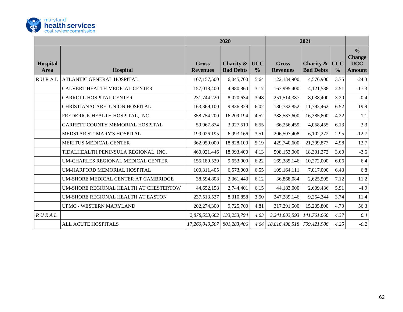

|                         |                                        | 2020                            |                               |                             | 2021                            |                               |                             |                                                               |
|-------------------------|----------------------------------------|---------------------------------|-------------------------------|-----------------------------|---------------------------------|-------------------------------|-----------------------------|---------------------------------------------------------------|
| <b>Hospital</b><br>Area | Hospital                               | <b>Gross</b><br><b>Revenues</b> | Charity &<br><b>Bad Debts</b> | <b>UCC</b><br>$\frac{6}{6}$ | <b>Gross</b><br><b>Revenues</b> | Charity &<br><b>Bad Debts</b> | <b>UCC</b><br>$\frac{6}{9}$ | $\frac{0}{0}$<br><b>Change</b><br><b>UCC</b><br><b>Amount</b> |
| <b>RURAL</b>            | ATLANTIC GENERAL HOSPITAL              | 107,157,500                     | 6,045,700                     | 5.64                        | 122,134,900                     | 4,576,900                     | 3.75                        | $-24.3$                                                       |
|                         | CALVERT HEALTH MEDICAL CENTER          | 157,018,400                     | 4,980,860                     | 3.17                        | 163,995,400                     | 4,121,538                     | 2.51                        | $-17.3$                                                       |
|                         | <b>CARROLL HOSPITAL CENTER</b>         | 231,744,220                     | 8,070,634                     | 3.48                        | 251,514,387                     | 8,038,400                     | 3.20                        | $-0.4$                                                        |
|                         | CHRISTIANACARE, UNION HOSPITAL         | 163,369,100                     | 9,836,829                     | 6.02                        | 180,732,852                     | 11,792,462                    | 6.52                        | 19.9                                                          |
|                         | FREDERICK HEALTH HOSPITAL, INC         | 358,754,200                     | 16,209,194                    | 4.52                        | 388,587,600                     | 16,385,800                    | 4.22                        | 1.1                                                           |
|                         | GARRETT COUNTY MEMORIAL HOSPITAL       | 59,967,874                      | 3,927,510                     | 6.55                        | 66,256,459                      | 4,058,455                     | 6.13                        | 3.3                                                           |
|                         | MEDSTAR ST. MARY'S HOSPITAL            | 199,026,195                     | 6,993,166                     | 3.51                        | 206,507,408                     | 6,102,272                     | 2.95                        | $-12.7$                                                       |
|                         | MERITUS MEDICAL CENTER                 | 362,959,000                     | 18,828,100                    | 5.19                        | 429,740,600                     | 21,399,877                    | 4.98                        | 13.7                                                          |
|                         | TIDALHEALTH PENINSULA REGIONAL, INC.   | 460,021,446                     | 18,993,400                    | 4.13                        | 508,153,000                     | 18,301,272                    | 3.60                        | $-3.6$                                                        |
|                         | UM-CHARLES REGIONAL MEDICAL CENTER     | 155,189,529                     | 9,653,000                     | 6.22                        | 169, 385, 146                   | 10,272,000                    | 6.06                        | 6.4                                                           |
|                         | UM-HARFORD MEMORIAL HOSPITAL           | 100,311,405                     | 6,573,000                     | 6.55                        | 109,164,111                     | 7,017,000                     | 6.43                        | 6.8                                                           |
|                         | UM-SHORE MEDICAL CENTER AT CAMBRIDGE   | 38,594,808                      | 2,361,443                     | 6.12                        | 36,868,084                      | 2,625,505                     | 7.12                        | 11.2                                                          |
|                         | UM-SHORE REGIONAL HEALTH AT CHESTERTOW | 44,652,158                      | 2,744,401                     | 6.15                        | 44,183,000                      | 2,609,436                     | 5.91                        | $-4.9$                                                        |
|                         | UM-SHORE REGIONAL HEALTH AT EASTON     | 237,513,527                     | 8,310,858                     | 3.50                        | 247,289,146                     | 9,254,344                     | 3.74                        | 11.4                                                          |
|                         | UPMC - WESTERN MARYLAND                | 202,274,300                     | 9,725,700                     | 4.81                        | 317,291,500                     | 15,205,800                    | 4.79                        | 56.3                                                          |
| R U R A L               |                                        | 2,878,553,662                   | 133,253,794                   | 4.63                        | 3,241,803,593                   | 141,761,060                   | 4.37                        | 6.4                                                           |
|                         | ALL ACUTE HOSPITALS                    | 17,260,040,507                  | 801,283,406                   | 4.64                        | 18,816,498,518                  | 799,421,906                   | 4.25                        | $-0.2$                                                        |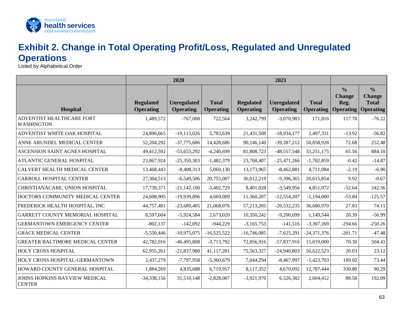

### **Exhibit 2. Change in Total Operating Profit/Loss, Regulated and Unregulated Operations**

Listed by Alphabetical Order

<span id="page-64-0"></span>

|                                                | 2020                                 |                                        |                                  | 2021                                 |                                        |                                  |                                                            |                                                                    |
|------------------------------------------------|--------------------------------------|----------------------------------------|----------------------------------|--------------------------------------|----------------------------------------|----------------------------------|------------------------------------------------------------|--------------------------------------------------------------------|
| Hospital                                       | <b>Regulated</b><br><b>Operating</b> | <b>Unregulated</b><br><b>Operating</b> | <b>Total</b><br><b>Operating</b> | <b>Regulated</b><br><b>Operating</b> | <b>Unregulated</b><br><b>Operating</b> | <b>Total</b><br><b>Operating</b> | $\frac{0}{0}$<br><b>Change</b><br>Reg.<br><b>Operating</b> | $\frac{0}{0}$<br><b>Change</b><br><b>Total</b><br><b>Operating</b> |
| ADVENTIST HEALTHCARE FORT<br><b>WASHINGTON</b> | 1,489,572                            | $-767,008$                             | 722,564                          | 3,242,799                            | $-3,070,983$                           | 171,816                          | 117.70                                                     | $-76.22$                                                           |
| ADVENTIST WHITE OAK HOSPITAL                   | 24,896,665                           | $-19,113,026$                          | 5,783,639                        | 21,431,508                           | $-18,934,177$                          | 2,497,331                        | $-13.92$                                                   | $-56.82$                                                           |
| ANNE ARUNDEL MEDICAL CENTER                    | 52,204,292                           | $-37,775,606$                          | 14,428,686                       | 90,146,140                           | $-39,287,212$                          | 50,858,928                       | 72.68                                                      | 252.48                                                             |
| ASCENSION SAINT AGNES HOSPITAL                 | 49,412,592                           | $-53,653,292$                          | $-4,240,699$                     | 81,808,723                           | $-48,557,548$                          | 33,251,175                       | 65.56                                                      | 884.10                                                             |
| ATLANTIC GENERAL HOSPITAL                      | 23,867,924                           | $-25,350,303$                          | $-1,482,379$                     | 23,768,407                           | $-25,471,266$                          | $-1,702,859$                     | $-0.42$                                                    | $-14.87$                                                           |
| CALVERT HEALTH MEDICAL CENTER                  | 13,468,443                           | $-8,408,313$                           | 5,060,130                        | 13,173,965                           | $-8,462,881$                           | 4,711,084                        | $-2.19$                                                    | $-6.90$                                                            |
| CARROLL HOSPITAL CENTER                        | 27,304,513                           | $-6,549,506$                           | 20,755,007                       | 30,012,219                           | $-9,396,365$                           | 20,615,854                       | 9.92                                                       | $-0.67$                                                            |
| CHRISTIANACARE, UNION HOSPITAL                 | 17,739,371                           | $-21,142,100$                          | $-3,402,729$                     | 8,401,028                            | $-3,549,956$                           | 4,851,072                        | $-52.64$                                                   | 242.56                                                             |
| DOCTORS COMMUNITY MEDICAL CENTER               | 24,608,905                           | -19,939,896                            | 4,669,009                        | 11,360,207                           | $-12,554,207$                          | $-1,194,000$                     | $-53.84$                                                   | $-125.57$                                                          |
| FREDERICK HEALTH HOSPITAL, INC                 | 44,757,481                           | $-23,689,405$                          | 21,068,076                       | 57,213,205                           | $-20,532,235$                          | 36,680,970                       | 27.83                                                      | 74.11                                                              |
| GARRETT COUNTY MEMORIAL HOSPITAL               | 8,597,604                            | $-5,924,584$                           | 2,673,020                        | 10,350,242                           | $-9,200,699$                           | 1,149,544                        | 20.39                                                      | $-56.99$                                                           |
| <b>GERMANTOWN EMERGENCY CENTER</b>             | $-802,137$                           | $-142,092$                             | $-944,229$                       | $-3,165,753$                         | $-141,516$                             | $-3,307,269$                     | $-294.66$                                                  | $-250.26$                                                          |
| <b>GRACE MEDICAL CENTER</b>                    | $-5,550,446$                         | $-10,975,075$                          | $-16,525,522$                    | $-16,746,085$                        | $-7,625,291$                           | $-24,371,376$                    | $-201.71$                                                  | $-47.48$                                                           |
| <b>GREATER BALTIMORE MEDICAL CENTER</b>        | 42,782,016                           | $-46,495,808$                          | $-3,713,792$                     | 72,856,916                           | $-57,837,916$                          | 15,019,000                       | 70.30                                                      | 504.41                                                             |
| HOLY CROSS HOSPITAL                            | 62,955,261                           | $-21,837,980$                          | 41,117,281                       | 75,563,327                           | $-24,940,803$                          | 50,622,523                       | 20.03                                                      | 23.12                                                              |
| HOLY CROSS HOSPITAL-GERMANTOWN                 | 2,437,279                            | $-7,797,958$                           | $-5,360,679$                     | 7,044,294                            | $-8,467,997$                           | $-1,423,703$                     | 189.02                                                     | 73.44                                                              |
| HOWARD COUNTY GENERAL HOSPITAL                 | 1,884,269                            | 4,835,688                              | 6,719,957                        | 8,117,352                            | 4,670,092                              | 12,787,444                       | 330.80                                                     | 90.29                                                              |
| JOHNS HOPKINS BAYVIEW MEDICAL<br><b>CENTER</b> | $-34,338,156$                        | 31,510,148                             | $-2,828,007$                     | $-3,921,970$                         | 6,526,382                              | 2,604,412                        | 88.58                                                      | 192.09                                                             |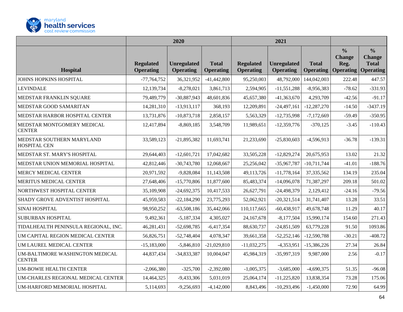

|                                                  | 2020                                 |                                        | 2021                             |                                      |                                        |                                  |                                                            |                                                                    |
|--------------------------------------------------|--------------------------------------|----------------------------------------|----------------------------------|--------------------------------------|----------------------------------------|----------------------------------|------------------------------------------------------------|--------------------------------------------------------------------|
| Hospital                                         | <b>Regulated</b><br><b>Operating</b> | <b>Unregulated</b><br><b>Operating</b> | <b>Total</b><br><b>Operating</b> | <b>Regulated</b><br><b>Operating</b> | <b>Unregulated</b><br><b>Operating</b> | <b>Total</b><br><b>Operating</b> | $\frac{6}{6}$<br><b>Change</b><br>Reg.<br><b>Operating</b> | $\frac{0}{0}$<br><b>Change</b><br><b>Total</b><br><b>Operating</b> |
| JOHNS HOPKINS HOSPITAL                           | $-77,764,752$                        | 36,321,952                             | $-41,442,800$                    | 95,250,003                           | 48,792,000                             | 144,042,003                      | 222.48                                                     | 447.57                                                             |
| <b>LEVINDALE</b>                                 | 12,139,734                           | $-8,278,021$                           | 3,861,713                        | 2,594,905                            | $-11,551,288$                          | $-8,956,383$                     | $-78.62$                                                   | $-331.93$                                                          |
| MEDSTAR FRANKLIN SQUARE                          | 79,489,779                           | $-30,887,943$                          | 48,601,836                       | 45,657,380                           | $-41,363,670$                          | 4,293,709                        | $-42.56$                                                   | $-91.17$                                                           |
| MEDSTAR GOOD SAMARITAN                           | 14,281,310                           | $-13,913,117$                          | 368,193                          | 12,209,891                           | $-24,497,161$                          | $-12,287,270$                    | $-14.50$                                                   | $-3437.19$                                                         |
| MEDSTAR HARBOR HOSPITAL CENTER                   | 13,731,876                           | $-10,873,718$                          | 2,858,157                        | 5,563,329                            | $-12,735,998$                          | $-7,172,669$                     | $-59.49$                                                   | $-350.95$                                                          |
| MEDSTAR MONTGOMERY MEDICAL<br><b>CENTER</b>      | 12,417,894                           | $-8,869,185$                           | 3,548,709                        | 11,989,651                           | $-12,359,776$                          | $-370,125$                       | $-3.45$                                                    | $-110.43$                                                          |
| MEDSTAR SOUTHERN MARYLAND<br>HOSPITAL CEN        | 33,589,123                           | $-21,895,382$                          | 11,693,741                       | 21,233,690                           | $-25,830,603$                          | $-4,596,913$                     | $-36.78$                                                   | $-139.31$                                                          |
| MEDSTAR ST. MARY'S HOSPITAL                      | 29,644,403                           | $-12,601,721$                          | 17,042,682                       | 33,505,228                           | $-12,829,274$                          | 20,675,953                       | 13.02                                                      | 21.32                                                              |
| MEDSTAR UNION MEMORIAL HOSPITAL                  | 42,812,446                           | $-30,743,780$                          | 12,068,667                       | 25,256,042                           | $-35,967,787$                          | $-10,711,744$                    | $-41.01$                                                   | $-188.76$                                                          |
| MERCY MEDICAL CENTER                             | 20,971,592                           | $-9,828,084$                           | 11,143,508                       | 49,113,726                           | $-11,778,164$                          | 37, 335, 562                     | 134.19                                                     | 235.04                                                             |
| MERITUS MEDICAL CENTER                           | 27,648,406                           | $-15,770,806$                          | 11,877,600                       | 85,483,374                           | $-14,096,078$                          | 71,387,297                       | 209.18                                                     | 501.02                                                             |
| NORTHWEST HOSPITAL CENTER                        | 35,109,908                           | $-24,692,375$                          | 10,417,533                       | 26,627,791                           | $-24,498,379$                          | 2,129,412                        | $-24.16$                                                   | $-79.56$                                                           |
| SHADY GROVE ADVENTIST HOSPITAL                   | 45,959,583                           | $-22,184,290$                          | 23,775,293                       | 52,062,921                           | $-20,321,514$                          | 31,741,407                       | 13.28                                                      | 33.51                                                              |
| SINAI HOSPITAL                                   | 98,950,252                           | $-63,508,186$                          | 35,442,066                       | 110,117,665                          | $-60,438,917$                          | 49,678,748                       | 11.29                                                      | 40.17                                                              |
| SUBURBAN HOSPITAL                                | 9,492,361                            | $-5,187,334$                           | 4,305,027                        | 24, 167, 678                         | $-8,177,504$                           | 15,990,174                       | 154.60                                                     | 271.43                                                             |
| TIDALHEALTH PENINSULA REGIONAL, INC.             | 46,281,431                           | $-52,698,785$                          | $-6,417,354$                     | 88,630,737                           | $-24,851,509$                          | 63,779,228                       | 91.50                                                      | 1093.86                                                            |
| UM CAPITAL REGION MEDICAL CENTER                 | 56,826,751                           | $-52,748,404$                          | 4,078,347                        | 39,661,358                           | $-52,252,146$                          | $-12,590,788$                    | $-30.21$                                                   | $-408.72$                                                          |
| UM LAUREL MEDICAL CENTER                         | $-15,183,000$                        | $-5,846,810$                           | $-21,029,810$                    | $-11,032,275$                        | $-4,353,951$                           | $-15,386,226$                    | 27.34                                                      | 26.84                                                              |
| UM-BALTIMORE WASHINGTON MEDICAL<br><b>CENTER</b> | 44,837,434                           | $-34,833,387$                          | 10,004,047                       | 45,984,319                           | -35,997,319                            | 9,987,000                        | 2.56                                                       | $-0.17$                                                            |
| <b>UM-BOWIE HEALTH CENTER</b>                    | $-2,066,380$                         | $-325,700$                             | $-2,392,080$                     | $-1,005,375$                         | $-3,685,000$                           | $-4,690,375$                     | 51.35                                                      | $-96.08$                                                           |
| UM-CHARLES REGIONAL MEDICAL CENTER               | 14,464,325                           | $-9,433,306$                           | 5,031,019                        | 25,064,174                           | $-11,225,820$                          | 13,838,354                       | 73.28                                                      | 175.06                                                             |
| UM-HARFORD MEMORIAL HOSPITAL                     | 5,114,693                            | $-9,256,693$                           | $-4,142,000$                     | 8,843,496                            | $-10,293,496$                          | $-1,450,000$                     | 72.90                                                      | 64.99                                                              |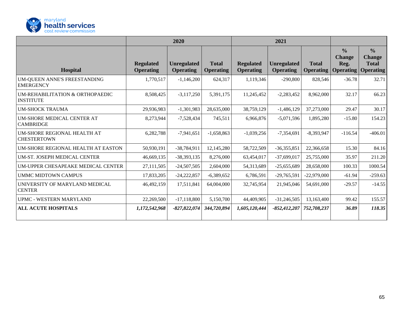

|                                                     | 2020                                 |                                        | 2021                             |                                      |                                        |                                  |                                                    |                                                                    |
|-----------------------------------------------------|--------------------------------------|----------------------------------------|----------------------------------|--------------------------------------|----------------------------------------|----------------------------------|----------------------------------------------------|--------------------------------------------------------------------|
| <b>Hospital</b>                                     | <b>Regulated</b><br><b>Operating</b> | <b>Unregulated</b><br><b>Operating</b> | <b>Total</b><br><b>Operating</b> | <b>Regulated</b><br><b>Operating</b> | <b>Unregulated</b><br><b>Operating</b> | <b>Total</b><br><b>Operating</b> | $\frac{0}{0}$<br><b>Change</b><br>Reg.<br>$\alpha$ | $\frac{0}{0}$<br><b>Change</b><br><b>Total</b><br><b>Operating</b> |
| UM-QUEEN ANNE'S FREESTANDING<br><b>EMERGENCY</b>    | 1,770,517                            | $-1,146,200$                           | 624,317                          | 1,119,346                            | $-290,800$                             | 828,546                          | $-36.78$                                           | 32.71                                                              |
| UM-REHABILITATION & ORTHOPAEDIC<br><b>INSTITUTE</b> | 8,508,425                            | $-3,117,250$                           | 5,391,175                        | 11,245,452                           | $-2,283,452$                           | 8,962,000                        | 32.17                                              | 66.23                                                              |
| <b>UM-SHOCK TRAUMA</b>                              | 29,936,983                           | $-1,301,983$                           | 28,635,000                       | 38,759,129                           | $-1,486,129$                           | 37,273,000                       | 29.47                                              | 30.17                                                              |
| UM-SHORE MEDICAL CENTER AT<br><b>CAMBRIDGE</b>      | 8,273,944                            | $-7,528,434$                           | 745,511                          | 6,966,876                            | $-5,071,596$                           | 1,895,280                        | $-15.80$                                           | 154.23                                                             |
| UM-SHORE REGIONAL HEALTH AT<br><b>CHESTERTOWN</b>   | 6,282,788                            | $-7,941,651$                           | $-1,658,863$                     | $-1,039,256$                         | $-7,354,691$                           | $-8,393,947$                     | $-116.54$                                          | $-406.01$                                                          |
| UM-SHORE REGIONAL HEALTH AT EASTON                  | 50,930,191                           | $-38,784,911$                          | 12,145,280                       | 58,722,509                           | $-36,355,851$                          | 22,366,658                       | 15.30                                              | 84.16                                                              |
| UM-ST. JOSEPH MEDICAL CENTER                        | 46,669,135                           | $-38,393,135$                          | 8,276,000                        | 63,454,017                           | $-37,699,017$                          | 25,755,000                       | 35.97                                              | 211.20                                                             |
| UM-UPPER CHESAPEAKE MEDICAL CENTER                  | 27,111,505                           | $-24,507,505$                          | 2,604,000                        | 54,313,689                           | $-25,655,689$                          | 28,658,000                       | 100.33                                             | 1000.54                                                            |
| <b>UMMC MIDTOWN CAMPUS</b>                          | 17,833,205                           | $-24,222,857$                          | $-6,389,652$                     | 6,786,591                            | $-29,765,591$                          | $-22,979,000$                    | $-61.94$                                           | $-259.63$                                                          |
| UNIVERSITY OF MARYLAND MEDICAL<br><b>CENTER</b>     | 46,492,159                           | 17,511,841                             | 64,004,000                       | 32,745,954                           | 21,945,046                             | 54,691,000                       | $-29.57$                                           | $-14.55$                                                           |
| <b>UPMC - WESTERN MARYLAND</b>                      | 22,269,500                           | $-17,118,800$                          | 5,150,700                        | 44,409,905                           | $-31,246,505$                          | 13,163,400                       | 99.42                                              | 155.57                                                             |
| <b>ALL ACUTE HOSPITALS</b>                          | 1,172,542,968                        | $-827,822,074$                         | 344,720,894                      | 1,605,120,444                        | $-852,412,207$                         | 752,708,237                      | 36.89                                              | 118.35                                                             |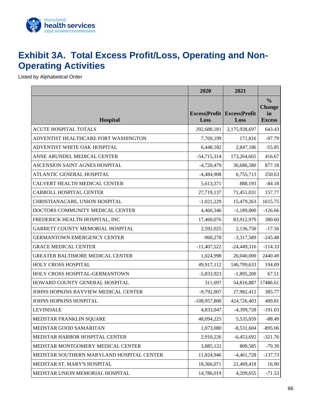

### <span id="page-67-0"></span>**Exhibit 3A. Total Excess Profit/Loss, Operating and Non-Operating Activities**

Listed by Alphabetical Order

|                                           | 2020                         | 2021                         |                                                       |
|-------------------------------------------|------------------------------|------------------------------|-------------------------------------------------------|
| <b>Hospital</b>                           | <b>Excess Profit</b><br>Loss | <b>Excess Profit</b><br>Loss | $\frac{0}{0}$<br><b>Change</b><br>in<br><b>Excess</b> |
| <b>ACUTE HOSPITAL TOTALS</b>              | 292,688,181                  | 2,175,928,697                | 643.43                                                |
| ADVENTIST HEALTHCARE FORT WASHINGTON      | 7,769,199                    | 171,816                      | $-97.79$                                              |
| ADVENTIST WHITE OAK HOSPITAL              | 6,448,182                    | 2,847,186                    | $-55.85$                                              |
| ANNE ARUNDEL MEDICAL CENTER               | $-54,715,314$                | 173,264,665                  | 416.67                                                |
| ASCENSION SAINT AGNES HOSPITAL            | $-4,720,479$                 | 36,686,580                   | 877.18                                                |
| ATLANTIC GENERAL HOSPITAL                 | $-4,484,908$                 | 6,755,713                    | 250.63                                                |
| CALVERT HEALTH MEDICAL CENTER             | 5,613,371                    | 888,193                      | $-84.18$                                              |
| <b>CARROLL HOSPITAL CENTER</b>            | 27,719,137                   | 71,451,031                   | 157.77                                                |
| CHRISTIANACARE, UNION HOSPITAL            | $-1,021,229$                 | 15,479,263                   | 1615.75                                               |
| DOCTORS COMMUNITY MEDICAL CENTER          | 4,460,346                    | $-1,189,000$                 | $-126.66$                                             |
| FREDERICK HEALTH HOSPITAL, INC            | 17,460,076                   | 83,912,970                   | 380.60                                                |
| GARRETT COUNTY MEMORIAL HOSPITAL          | 2,592,025                    | 2,136,750                    | $-17.56$                                              |
| <b>GERMANTOWN EMERGENCY CENTER</b>        | $-960,278$                   | $-3,317,589$                 | $-245.48$                                             |
| <b>GRACE MEDICAL CENTER</b>               | $-11,407,522$                | $-24,449,316$                | $-114.33$                                             |
| GREATER BALTIMORE MEDICAL CENTER          | 1,024,998                    | 26,040,000                   | 2440.49                                               |
| <b>HOLY CROSS HOSPITAL</b>                | 49,917,112                   | 146,799,633                  | 194.09                                                |
| HOLY CROSS HOSPITAL-GERMANTOWN            | $-5,833,923$                 | $-1,895,200$                 | 67.51                                                 |
| HOWARD COUNTY GENERAL HOSPITAL            | 311,697                      | 54,816,887                   | 17486.61                                              |
| JOHNS HOPKINS BAYVIEW MEDICAL CENTER      | $-9,792,007$                 | 27,982,412                   | 385.77                                                |
| JOHNS HOPKINS HOSPITAL                    | $-108,957,800$               | 424,726,403                  | 489.81                                                |
| <b>LEVINDALE</b>                          | 4,833,047                    | $-4,399,728$                 | $-191.03$                                             |
| MEDSTAR FRANKLIN SQUARE                   | 48,094,225                   | 5,535,059                    | $-88.49$                                              |
| MEDSTAR GOOD SAMARITAN                    | 1,073,080                    | $-8,531,604$                 | $-895.06$                                             |
| MEDSTAR HARBOR HOSPITAL CENTER            | 2,910,226                    | $-6,453,692$                 | $-321.76$                                             |
| MEDSTAR MONTGOMERY MEDICAL CENTER         | 3,885,122                    | 800,585                      | $-79.39$                                              |
| MEDSTAR SOUTHERN MARYLAND HOSPITAL CENTER | 11,824,946                   | $-4,461,728$                 | $-137.73$                                             |
| MEDSTAR ST. MARY'S HOSPITAL               | 18,366,071                   | 21,469,418                   | 16.90                                                 |
| MEDSTAR UNION MEMORIAL HOSPITAL           | 14,786,019                   | 4,209,655                    | $-71.53$                                              |